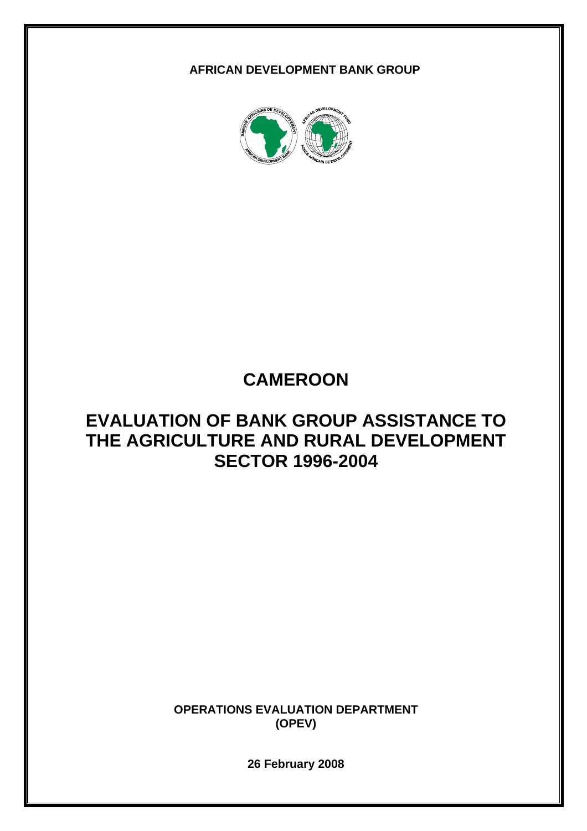**AFRICAN DEVELOPMENT BANK GROUP** 



# **CAMEROON**

# **EVALUATION OF BANK GROUP ASSISTANCE TO THE AGRICULTURE AND RURAL DEVELOPMENT SECTOR 1996-2004**

**OPERATIONS EVALUATION DEPARTMENT (OPEV)** 

**26 February 2008**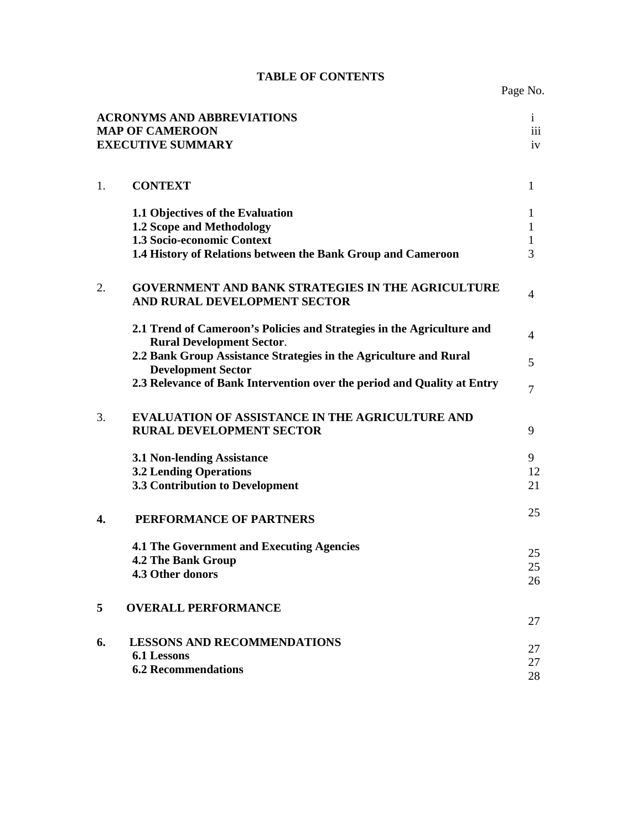|  | <b>TABLE OF CONTENTS</b> |
|--|--------------------------|
|--|--------------------------|

| <b>ACRONYMS AND ABBREVIATIONS</b><br>$\mathbf{i}$<br>iii<br><b>MAP OF CAMEROON</b><br><b>EXECUTIVE SUMMARY</b><br>iv |                                                                                                                                                                    |                             |  |  |  |
|----------------------------------------------------------------------------------------------------------------------|--------------------------------------------------------------------------------------------------------------------------------------------------------------------|-----------------------------|--|--|--|
| 1.                                                                                                                   | <b>CONTEXT</b>                                                                                                                                                     | $\mathbf{1}$                |  |  |  |
|                                                                                                                      | 1.1 Objectives of the Evaluation<br><b>1.2 Scope and Methodology</b><br>1.3 Socio-economic Context<br>1.4 History of Relations between the Bank Group and Cameroon | 1<br>1<br>$\mathbf{1}$<br>3 |  |  |  |
| 2.                                                                                                                   | <b>GOVERNMENT AND BANK STRATEGIES IN THE AGRICULTURE</b><br>AND RURAL DEVELOPMENT SECTOR                                                                           | 4                           |  |  |  |
|                                                                                                                      | 2.1 Trend of Cameroon's Policies and Strategies in the Agriculture and<br><b>Rural Development Sector.</b>                                                         | 4                           |  |  |  |
|                                                                                                                      | 2.2 Bank Group Assistance Strategies in the Agriculture and Rural<br><b>Development Sector</b>                                                                     | 5                           |  |  |  |
|                                                                                                                      | 2.3 Relevance of Bank Intervention over the period and Quality at Entry                                                                                            | 7                           |  |  |  |
| 3.                                                                                                                   | EVALUATION OF ASSISTANCE IN THE AGRICULTURE AND<br><b>RURAL DEVELOPMENT SECTOR</b>                                                                                 | 9                           |  |  |  |
|                                                                                                                      | <b>3.1 Non-lending Assistance</b><br><b>3.2 Lending Operations</b><br><b>3.3 Contribution to Development</b>                                                       | 9<br>12<br>21               |  |  |  |
| 4.                                                                                                                   | PERFORMANCE OF PARTNERS                                                                                                                                            | 25                          |  |  |  |
|                                                                                                                      | <b>4.1 The Government and Executing Agencies</b><br><b>4.2 The Bank Group</b><br>4.3 Other donors                                                                  | 25<br>25<br>26              |  |  |  |
| 5                                                                                                                    | <b>OVERALL PERFORMANCE</b>                                                                                                                                         | 27                          |  |  |  |
| 6.                                                                                                                   | <b>LESSONS AND RECOMMENDATIONS</b><br>6.1 Lessons<br><b>6.2 Recommendations</b>                                                                                    | 27<br>27<br>28              |  |  |  |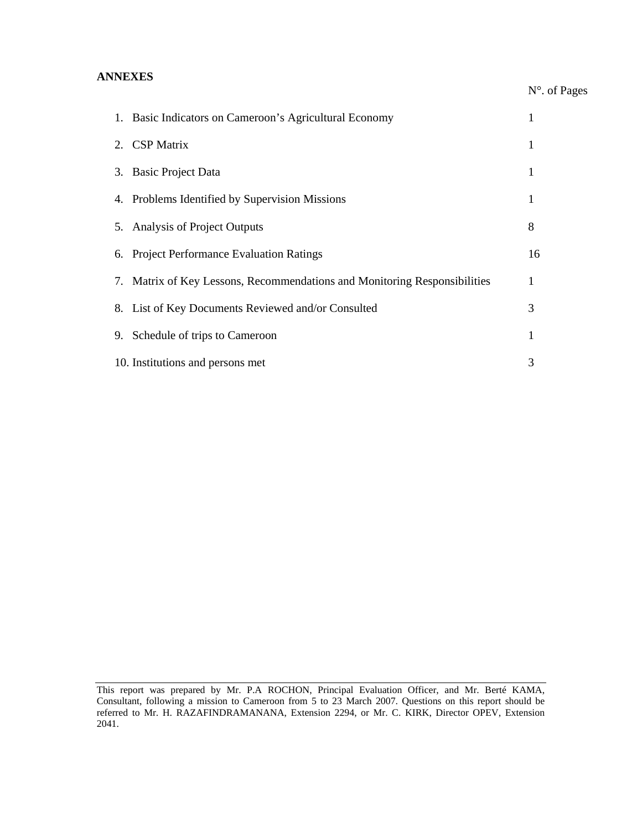# **ANNEXES**

# N°. of Pages

| 1. Basic Indicators on Cameroon's Agricultural Economy                    |    |
|---------------------------------------------------------------------------|----|
| 2. CSP Matrix                                                             | 1  |
| 3. Basic Project Data                                                     |    |
| 4. Problems Identified by Supervision Missions                            |    |
| 5. Analysis of Project Outputs                                            | 8  |
| 6. Project Performance Evaluation Ratings                                 | 16 |
| 7. Matrix of Key Lessons, Recommendations and Monitoring Responsibilities | 1  |
| 8. List of Key Documents Reviewed and/or Consulted                        | 3  |
| 9. Schedule of trips to Cameroon                                          | 1  |
| 10. Institutions and persons met                                          | 3  |

This report was prepared by Mr. P.A ROCHON, Principal Evaluation Officer, and Mr. Berté KAMA, Consultant, following a mission to Cameroon from 5 to 23 March 2007. Questions on this report should be referred to Mr. H. RAZAFINDRAMANANA, Extension 2294, or Mr. C. KIRK, Director OPEV, Extension 2041.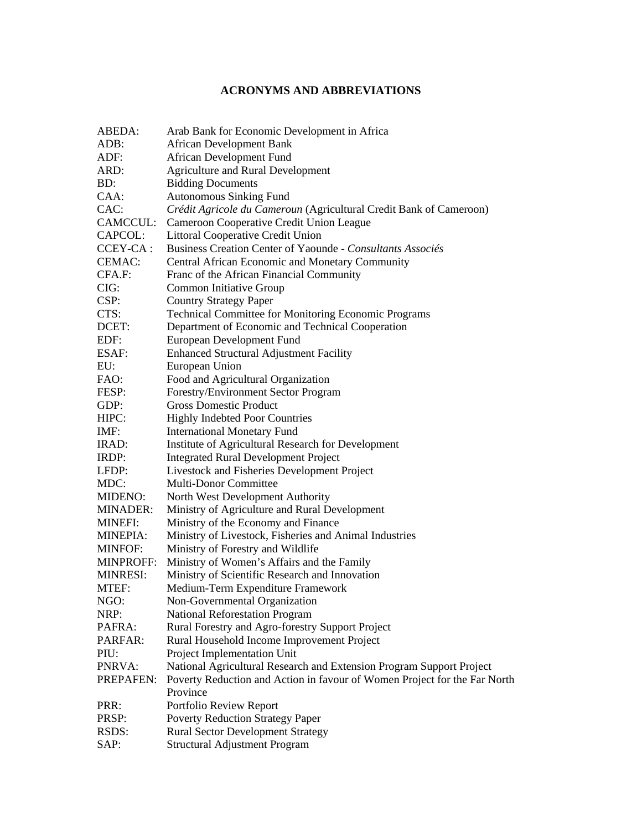# **ACRONYMS AND ABBREVIATIONS**

| ABEDA:           | Arab Bank for Economic Development in Africa                                          |
|------------------|---------------------------------------------------------------------------------------|
| ADB:             | <b>African Development Bank</b>                                                       |
| ADF:             | African Development Fund                                                              |
| ARD:             | <b>Agriculture and Rural Development</b>                                              |
| BD:              | <b>Bidding Documents</b>                                                              |
| CAA:             | <b>Autonomous Sinking Fund</b>                                                        |
| CAC:             | Crédit Agricole du Cameroun (Agricultural Credit Bank of Cameroon)                    |
| CAMCCUL:         | Cameroon Cooperative Credit Union League                                              |
| CAPCOL:          | <b>Littoral Cooperative Credit Union</b>                                              |
| CCEY-CA:         | Business Creation Center of Yaounde - Consultants Associés                            |
| CEMAC:           | Central African Economic and Monetary Community                                       |
| CFA.F:           | Franc of the African Financial Community                                              |
| CIG:             | Common Initiative Group                                                               |
| CSP:             | <b>Country Strategy Paper</b>                                                         |
| CTS:             | Technical Committee for Monitoring Economic Programs                                  |
| DCET:            | Department of Economic and Technical Cooperation                                      |
| EDF:             | European Development Fund                                                             |
| ESAF:            | <b>Enhanced Structural Adjustment Facility</b>                                        |
| EU:              |                                                                                       |
| FAO:             | European Union                                                                        |
|                  | Food and Agricultural Organization                                                    |
| FESP:            | Forestry/Environment Sector Program<br><b>Gross Domestic Product</b>                  |
| GDP:             |                                                                                       |
| HIPC:            | <b>Highly Indebted Poor Countries</b>                                                 |
| IMF:             | <b>International Monetary Fund</b>                                                    |
| IRAD:            | Institute of Agricultural Research for Development                                    |
| IRDP:            | Integrated Rural Development Project                                                  |
| LFDP:            | Livestock and Fisheries Development Project                                           |
| MDC:             | Multi-Donor Committee                                                                 |
| MIDENO:          | North West Development Authority                                                      |
| MINADER:         | Ministry of Agriculture and Rural Development                                         |
| <b>MINEFI:</b>   | Ministry of the Economy and Finance                                                   |
| <b>MINEPIA:</b>  | Ministry of Livestock, Fisheries and Animal Industries                                |
| <b>MINFOF:</b>   | Ministry of Forestry and Wildlife                                                     |
| <b>MINPROFF:</b> | Ministry of Women's Affairs and the Family                                            |
| <b>MINRESI:</b>  | Ministry of Scientific Research and Innovation                                        |
| MTEF:            | Medium-Term Expenditure Framework                                                     |
| NGO:             | Non-Governmental Organization                                                         |
| NRP:             | <b>National Reforestation Program</b>                                                 |
| PAFRA:           | Rural Forestry and Agro-forestry Support Project                                      |
| PARFAR:          | Rural Household Income Improvement Project                                            |
| PIU:             | Project Implementation Unit                                                           |
| PNRVA:           | National Agricultural Research and Extension Program Support Project                  |
| PREPAFEN:        | Poverty Reduction and Action in favour of Women Project for the Far North<br>Province |
| PRR:             | Portfolio Review Report                                                               |
| PRSP:            | <b>Poverty Reduction Strategy Paper</b>                                               |
| RSDS:            | <b>Rural Sector Development Strategy</b>                                              |
| SAP:             | <b>Structural Adjustment Program</b>                                                  |
|                  |                                                                                       |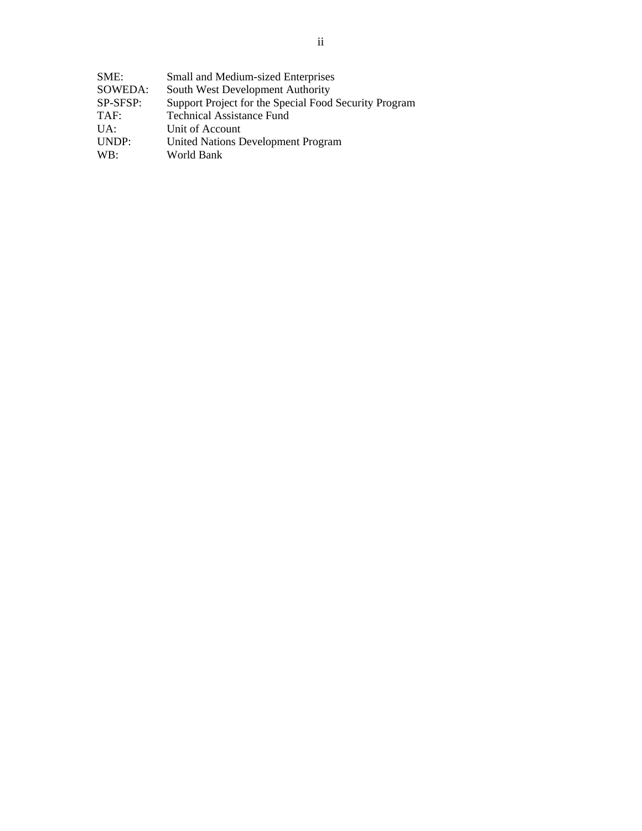| SME:     | Small and Medium-sized Enterprises                    |
|----------|-------------------------------------------------------|
| SOWEDA:  | South West Development Authority                      |
| SP-SFSP: | Support Project for the Special Food Security Program |
| TAF:     | <b>Technical Assistance Fund</b>                      |
| $U A$ :  | Unit of Account                                       |
| UNDP:    | <b>United Nations Development Program</b>             |
| WB:      | World Bank                                            |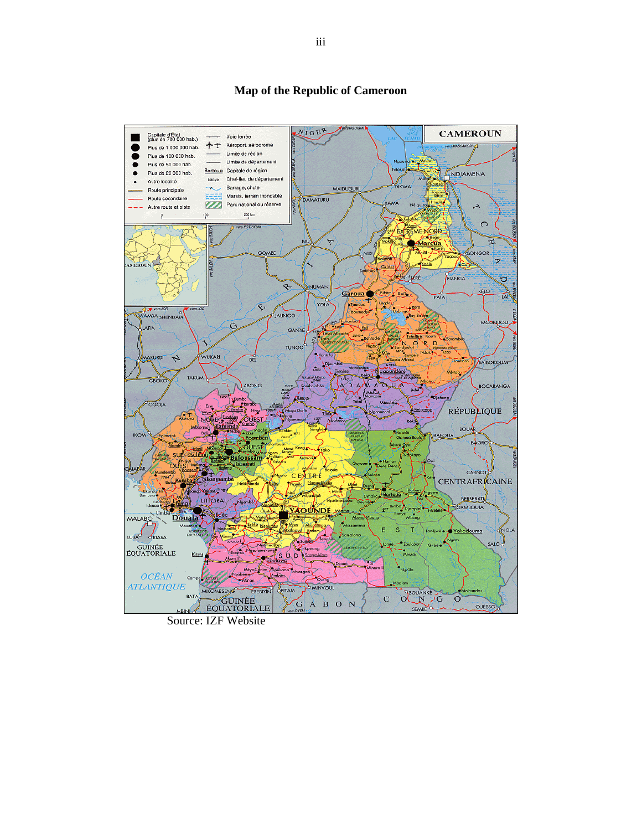#### NIGER **CAMEROUN** Capitale d'État<br>(plus de 700 000 hab.) + Voie ferrée 十十 Aéroport, aérodrome vers MASSAKORI Pius de 1 000 000 hab. Limite de région Plus de 100 000 hab. ● Limite de département Plus de 50 000 hab.  $\bullet$ Bertoug Capitale de région Plus de 20 000 hab. NDJAMENA  $\bullet$ Chef-lieu de département Bonyo Autre localité **DIKWA** Barrage, chute MAIDUGUR Route principale lagi<br>Bil Marais, terrain inondable Route secondaire DAMATURU AMA Parc national ou réserve N.  $\overline{\mathcal{A}}$ Autre route et piste 200 km  $\frac{0}{1}$ 100  $\circ$ www.pottsky.au 下 EXTREME NORD BIU  $\overline{\nabla}$  $\overline{u}$ Maroua GOMBE BONGOR  $\overline{\mathbf{y}}$ K <u>(टेज</u> MEROUN guil y RE FIANGA Ь R. NUMAN KÉLO **Caroua** PALA ÷, YOLA ♦ Vers JOS **Roumedia** JAUNGO WAMBA SHENDAM **MOUNDOU**  $\circ$ LAFIA GANYE **Pol** Tcholline Ko  $\mathsf{O}_{\mathsf{B}}$  $R_{\rm m}$ **TUNGO** WUKARI AKURDI  $\overline{r}$ **BELI** BAIBOKOUM TAKUM GBOKO ABONG b BOCARANGA OGOJA **RÉPUBLIQUE OUEST** ı6. **BOUA** BABOUA BAORO. **OUEST Jafoussam** CARNOT EDITRE  $\overline{C}$ **CENTRAFRICAINE**  $N<sub>d</sub>$ Nango Ek BERBÉRATI LITTORAL GAMBOULA 927 AALAn Douala MALABO NOLA S T Yokadouma LUBA<sup>O</sup> ORIABA **SALO** O GUINÉE<br>ÉQUATORIALE Krib D. D Méw **OCÉAN** Camp ৡ **Ma'a** *ATLANTIQUE* **D MINVOUL** MIKOMESENG EBEBIYIN BITAM **BOUANKE** BATA GUINÉE<br>ÉQUATORIALE  $\mathbf C$  $\circ$ G A B O N OUÉSSO

# **Map of the Republic of Cameroon**

Source: IZF Website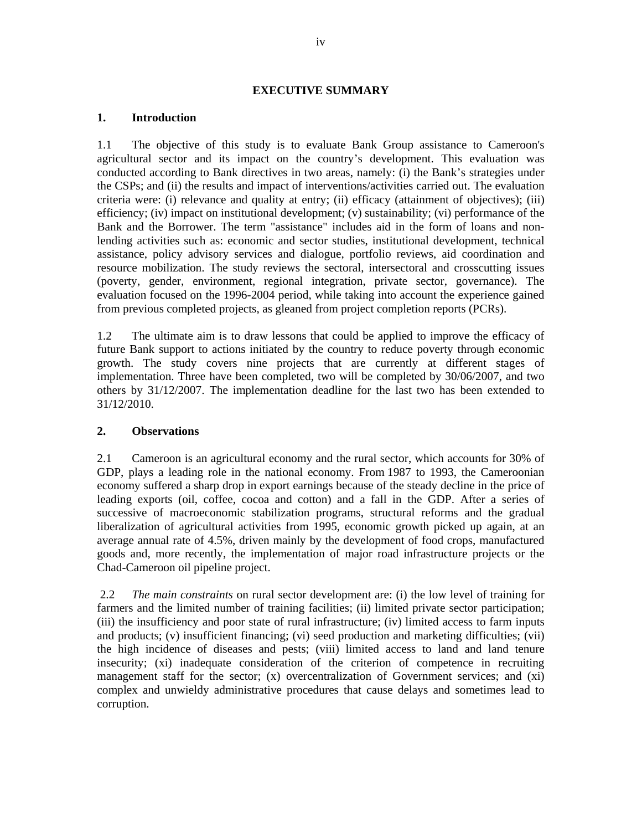#### **EXECUTIVE SUMMARY**

## **1. Introduction**

1.1 The objective of this study is to evaluate Bank Group assistance to Cameroon's agricultural sector and its impact on the country's development. This evaluation was conducted according to Bank directives in two areas, namely: (i) the Bank's strategies under the CSPs; and (ii) the results and impact of interventions/activities carried out. The evaluation criteria were: (i) relevance and quality at entry; (ii) efficacy (attainment of objectives); (iii) efficiency; (iv) impact on institutional development; (v) sustainability; (vi) performance of the Bank and the Borrower. The term "assistance" includes aid in the form of loans and nonlending activities such as: economic and sector studies, institutional development, technical assistance, policy advisory services and dialogue, portfolio reviews, aid coordination and resource mobilization. The study reviews the sectoral, intersectoral and crosscutting issues (poverty, gender, environment, regional integration, private sector, governance). The evaluation focused on the 1996-2004 period, while taking into account the experience gained from previous completed projects, as gleaned from project completion reports (PCRs).

1.2 The ultimate aim is to draw lessons that could be applied to improve the efficacy of future Bank support to actions initiated by the country to reduce poverty through economic growth. The study covers nine projects that are currently at different stages of implementation. Three have been completed, two will be completed by 30/06/2007, and two others by 31/12/2007. The implementation deadline for the last two has been extended to 31/12/2010.

## **2. Observations**

2.1 Cameroon is an agricultural economy and the rural sector, which accounts for 30% of GDP, plays a leading role in the national economy. From 1987 to 1993, the Cameroonian economy suffered a sharp drop in export earnings because of the steady decline in the price of leading exports (oil, coffee, cocoa and cotton) and a fall in the GDP. After a series of successive of macroeconomic stabilization programs, structural reforms and the gradual liberalization of agricultural activities from 1995, economic growth picked up again, at an average annual rate of 4.5%, driven mainly by the development of food crops, manufactured goods and, more recently, the implementation of major road infrastructure projects or the Chad-Cameroon oil pipeline project.

 2.2 *The main constraints* on rural sector development are: (i) the low level of training for farmers and the limited number of training facilities; (ii) limited private sector participation; (iii) the insufficiency and poor state of rural infrastructure; (iv) limited access to farm inputs and products; (v) insufficient financing; (vi) seed production and marketing difficulties; (vii) the high incidence of diseases and pests; (viii) limited access to land and land tenure insecurity; (xi) inadequate consideration of the criterion of competence in recruiting management staff for the sector; (x) overcentralization of Government services; and (xi) complex and unwieldy administrative procedures that cause delays and sometimes lead to corruption.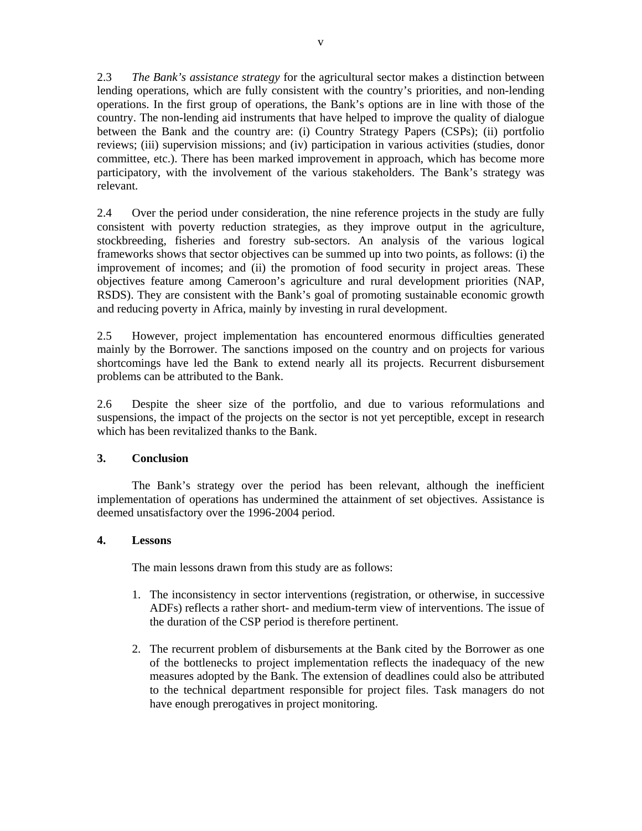2.3 *The Bank's assistance strategy* for the agricultural sector makes a distinction between lending operations, which are fully consistent with the country's priorities, and non-lending operations. In the first group of operations, the Bank's options are in line with those of the country. The non-lending aid instruments that have helped to improve the quality of dialogue between the Bank and the country are: (i) Country Strategy Papers (CSPs); (ii) portfolio reviews; (iii) supervision missions; and (iv) participation in various activities (studies, donor committee, etc.). There has been marked improvement in approach, which has become more participatory, with the involvement of the various stakeholders. The Bank's strategy was relevant.

2.4 Over the period under consideration, the nine reference projects in the study are fully consistent with poverty reduction strategies, as they improve output in the agriculture, stockbreeding, fisheries and forestry sub-sectors. An analysis of the various logical frameworks shows that sector objectives can be summed up into two points, as follows: (i) the improvement of incomes; and (ii) the promotion of food security in project areas. These objectives feature among Cameroon's agriculture and rural development priorities (NAP, RSDS). They are consistent with the Bank's goal of promoting sustainable economic growth and reducing poverty in Africa, mainly by investing in rural development.

2.5 However, project implementation has encountered enormous difficulties generated mainly by the Borrower. The sanctions imposed on the country and on projects for various shortcomings have led the Bank to extend nearly all its projects. Recurrent disbursement problems can be attributed to the Bank.

2.6 Despite the sheer size of the portfolio, and due to various reformulations and suspensions, the impact of the projects on the sector is not yet perceptible, except in research which has been revitalized thanks to the Bank.

## **3. Conclusion**

 The Bank's strategy over the period has been relevant, although the inefficient implementation of operations has undermined the attainment of set objectives. Assistance is deemed unsatisfactory over the 1996-2004 period.

## **4. Lessons**

The main lessons drawn from this study are as follows:

- 1. The inconsistency in sector interventions (registration, or otherwise, in successive ADFs) reflects a rather short- and medium-term view of interventions. The issue of the duration of the CSP period is therefore pertinent.
- 2. The recurrent problem of disbursements at the Bank cited by the Borrower as one of the bottlenecks to project implementation reflects the inadequacy of the new measures adopted by the Bank. The extension of deadlines could also be attributed to the technical department responsible for project files. Task managers do not have enough prerogatives in project monitoring.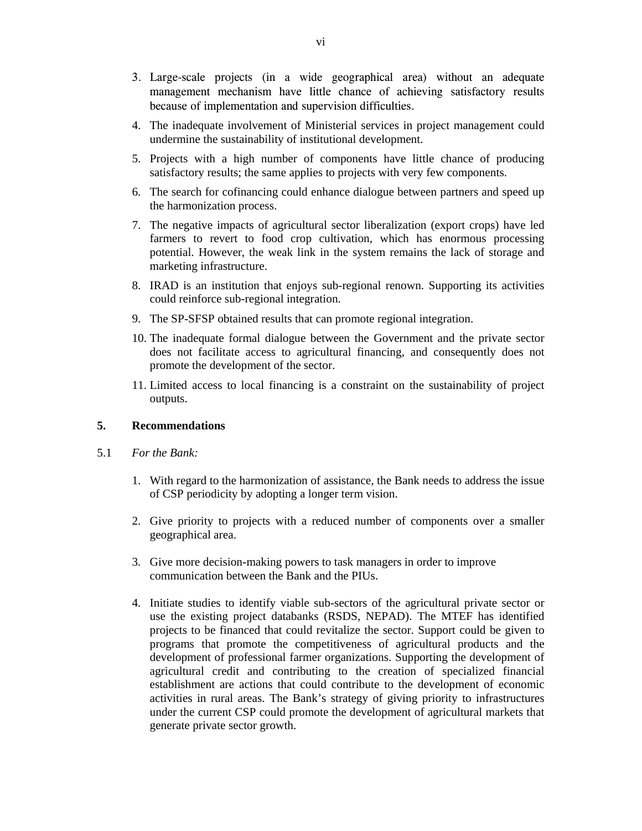- 3. Large-scale projects (in a wide geographical area) without an adequate management mechanism have little chance of achieving satisfactory results because of implementation and supervision difficulties.
- 4. The inadequate involvement of Ministerial services in project management could undermine the sustainability of institutional development.
- 5. Projects with a high number of components have little chance of producing satisfactory results; the same applies to projects with very few components.
- 6. The search for cofinancing could enhance dialogue between partners and speed up the harmonization process.
- 7. The negative impacts of agricultural sector liberalization (export crops) have led farmers to revert to food crop cultivation, which has enormous processing potential. However, the weak link in the system remains the lack of storage and marketing infrastructure.
- 8. IRAD is an institution that enjoys sub-regional renown. Supporting its activities could reinforce sub-regional integration.
- 9. The SP-SFSP obtained results that can promote regional integration.
- 10. The inadequate formal dialogue between the Government and the private sector does not facilitate access to agricultural financing, and consequently does not promote the development of the sector.
- 11. Limited access to local financing is a constraint on the sustainability of project outputs.

#### **5. Recommendations**

- 5.1 *For the Bank:*
	- 1. With regard to the harmonization of assistance, the Bank needs to address the issue of CSP periodicity by adopting a longer term vision.
	- 2. Give priority to projects with a reduced number of components over a smaller geographical area.
	- 3. Give more decision-making powers to task managers in order to improve communication between the Bank and the PIUs.
	- 4. Initiate studies to identify viable sub-sectors of the agricultural private sector or use the existing project databanks (RSDS, NEPAD). The MTEF has identified projects to be financed that could revitalize the sector. Support could be given to programs that promote the competitiveness of agricultural products and the development of professional farmer organizations. Supporting the development of agricultural credit and contributing to the creation of specialized financial establishment are actions that could contribute to the development of economic activities in rural areas. The Bank's strategy of giving priority to infrastructures under the current CSP could promote the development of agricultural markets that generate private sector growth.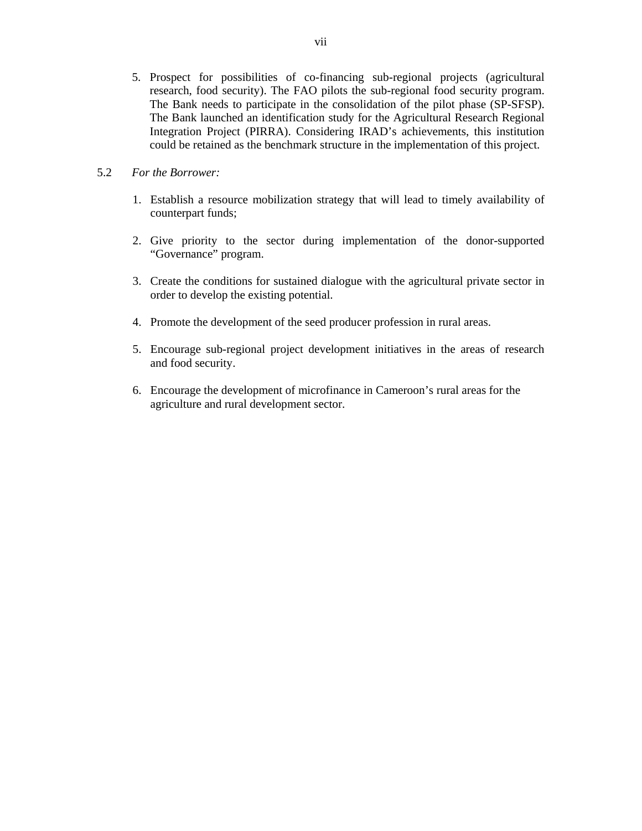5. Prospect for possibilities of co-financing sub-regional projects (agricultural research, food security). The FAO pilots the sub-regional food security program. The Bank needs to participate in the consolidation of the pilot phase (SP-SFSP). The Bank launched an identification study for the Agricultural Research Regional Integration Project (PIRRA). Considering IRAD's achievements, this institution could be retained as the benchmark structure in the implementation of this project.

# 5.2 *For the Borrower:*

- 1. Establish a resource mobilization strategy that will lead to timely availability of counterpart funds;
- 2. Give priority to the sector during implementation of the donor-supported "Governance" program.
- 3. Create the conditions for sustained dialogue with the agricultural private sector in order to develop the existing potential.
- 4. Promote the development of the seed producer profession in rural areas.
- 5. Encourage sub-regional project development initiatives in the areas of research and food security.
- 6. Encourage the development of microfinance in Cameroon's rural areas for the agriculture and rural development sector.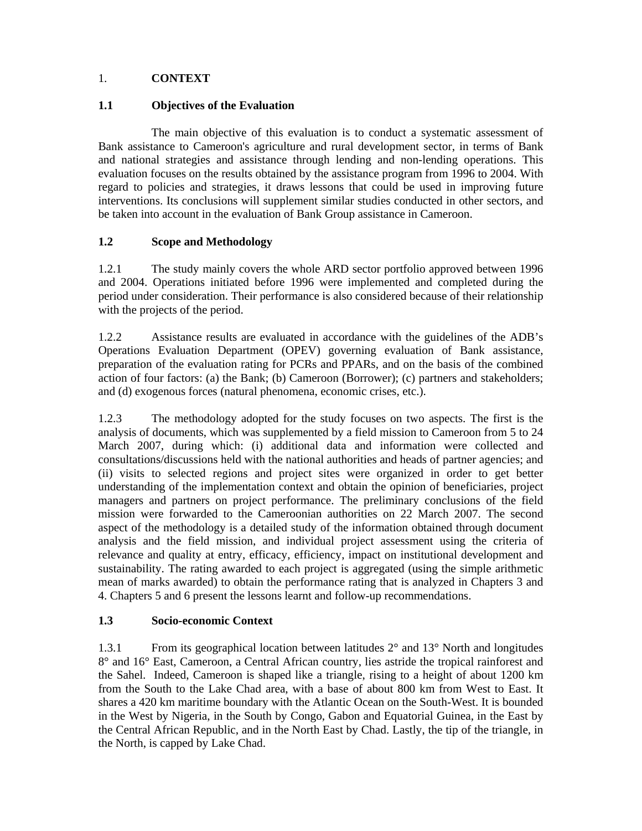# 1. **CONTEXT**

# **1.1 Objectives of the Evaluation**

 The main objective of this evaluation is to conduct a systematic assessment of Bank assistance to Cameroon's agriculture and rural development sector, in terms of Bank and national strategies and assistance through lending and non-lending operations. This evaluation focuses on the results obtained by the assistance program from 1996 to 2004. With regard to policies and strategies, it draws lessons that could be used in improving future interventions. Its conclusions will supplement similar studies conducted in other sectors, and be taken into account in the evaluation of Bank Group assistance in Cameroon.

# **1.2 Scope and Methodology**

1.2.1 The study mainly covers the whole ARD sector portfolio approved between 1996 and 2004. Operations initiated before 1996 were implemented and completed during the period under consideration. Their performance is also considered because of their relationship with the projects of the period.

1.2.2 Assistance results are evaluated in accordance with the guidelines of the ADB's Operations Evaluation Department (OPEV) governing evaluation of Bank assistance, preparation of the evaluation rating for PCRs and PPARs, and on the basis of the combined action of four factors: (a) the Bank; (b) Cameroon (Borrower); (c) partners and stakeholders; and (d) exogenous forces (natural phenomena, economic crises, etc.).

1.2.3 The methodology adopted for the study focuses on two aspects. The first is the analysis of documents, which was supplemented by a field mission to Cameroon from 5 to 24 March 2007, during which: (i) additional data and information were collected and consultations/discussions held with the national authorities and heads of partner agencies; and (ii) visits to selected regions and project sites were organized in order to get better understanding of the implementation context and obtain the opinion of beneficiaries, project managers and partners on project performance. The preliminary conclusions of the field mission were forwarded to the Cameroonian authorities on 22 March 2007. The second aspect of the methodology is a detailed study of the information obtained through document analysis and the field mission, and individual project assessment using the criteria of relevance and quality at entry, efficacy, efficiency, impact on institutional development and sustainability. The rating awarded to each project is aggregated (using the simple arithmetic mean of marks awarded) to obtain the performance rating that is analyzed in Chapters 3 and 4. Chapters 5 and 6 present the lessons learnt and follow-up recommendations.

# **1.3 Socio-economic Context**

1.3.1 From its geographical location between latitudes 2° and 13° North and longitudes 8° and 16° East, Cameroon, a Central African country, lies astride the tropical rainforest and the Sahel. Indeed, Cameroon is shaped like a triangle, rising to a height of about 1200 km from the South to the Lake Chad area, with a base of about 800 km from West to East. It shares a 420 km maritime boundary with the Atlantic Ocean on the South-West. It is bounded in the West by Nigeria, in the South by Congo, Gabon and Equatorial Guinea, in the East by the Central African Republic, and in the North East by Chad. Lastly, the tip of the triangle, in the North, is capped by Lake Chad.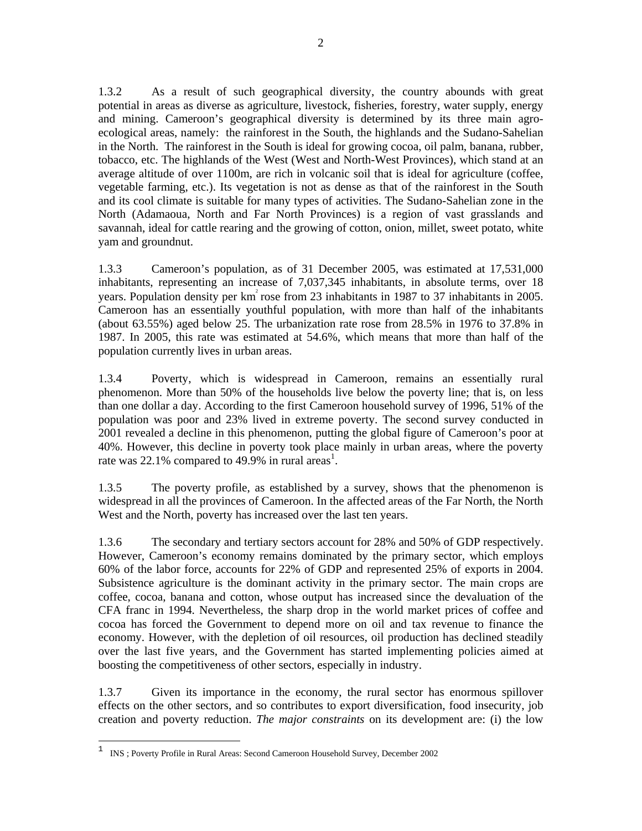1.3.2 As a result of such geographical diversity, the country abounds with great potential in areas as diverse as agriculture, livestock, fisheries, forestry, water supply, energy and mining. Cameroon's geographical diversity is determined by its three main agroecological areas, namely: the rainforest in the South, the highlands and the Sudano-Sahelian in the North. The rainforest in the South is ideal for growing cocoa, oil palm, banana, rubber, tobacco, etc. The highlands of the West (West and North-West Provinces), which stand at an average altitude of over 1100m, are rich in volcanic soil that is ideal for agriculture (coffee, vegetable farming, etc.). Its vegetation is not as dense as that of the rainforest in the South and its cool climate is suitable for many types of activities. The Sudano-Sahelian zone in the North (Adamaoua, North and Far North Provinces) is a region of vast grasslands and savannah, ideal for cattle rearing and the growing of cotton, onion, millet, sweet potato, white yam and groundnut.

1.3.3 Cameroon's population, as of 31 December 2005, was estimated at 17,531,000 inhabitants, representing an increase of 7,037,345 inhabitants, in absolute terms, over 18 years. Population density per  $km^2$  rose from 23 inhabitants in 1987 to 37 inhabitants in 2005. Cameroon has an essentially youthful population, with more than half of the inhabitants (about 63.55%) aged below 25. The urbanization rate rose from 28.5% in 1976 to 37.8% in 1987. In 2005, this rate was estimated at 54.6%, which means that more than half of the population currently lives in urban areas.

1.3.4 Poverty, which is widespread in Cameroon, remains an essentially rural phenomenon. More than 50% of the households live below the poverty line; that is, on less than one dollar a day. According to the first Cameroon household survey of 1996, 51% of the population was poor and 23% lived in extreme poverty. The second survey conducted in 2001 revealed a decline in this phenomenon, putting the global figure of Cameroon's poor at 40%. However, this decline in poverty took place mainly in urban areas, where the poverty rate was 22.1% compared to 49.9% in rural areas<sup>1</sup>.

1.3.5 The poverty profile, as established by a survey, shows that the phenomenon is widespread in all the provinces of Cameroon. In the affected areas of the Far North, the North West and the North, poverty has increased over the last ten years.

1.3.6 The secondary and tertiary sectors account for 28% and 50% of GDP respectively. However, Cameroon's economy remains dominated by the primary sector, which employs 60% of the labor force, accounts for 22% of GDP and represented 25% of exports in 2004. Subsistence agriculture is the dominant activity in the primary sector. The main crops are coffee, cocoa, banana and cotton, whose output has increased since the devaluation of the CFA franc in 1994. Nevertheless, the sharp drop in the world market prices of coffee and cocoa has forced the Government to depend more on oil and tax revenue to finance the economy. However, with the depletion of oil resources, oil production has declined steadily over the last five years, and the Government has started implementing policies aimed at boosting the competitiveness of other sectors, especially in industry.

1.3.7 Given its importance in the economy, the rural sector has enormous spillover effects on the other sectors, and so contributes to export diversification, food insecurity, job creation and poverty reduction. *The major constraints* on its development are: (i) the low

 $\mathbf 1$ <sup>1</sup> INS ; Poverty Profile in Rural Areas: Second Cameroon Household Survey, December 2002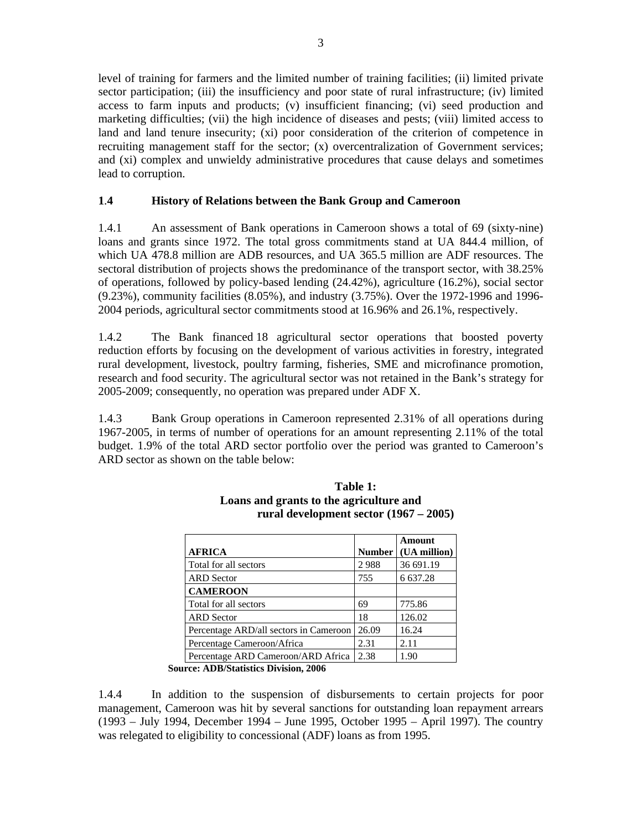level of training for farmers and the limited number of training facilities; (ii) limited private sector participation; (iii) the insufficiency and poor state of rural infrastructure; (iv) limited access to farm inputs and products; (v) insufficient financing; (vi) seed production and marketing difficulties; (vii) the high incidence of diseases and pests; (viii) limited access to land and land tenure insecurity; (xi) poor consideration of the criterion of competence in recruiting management staff for the sector; (x) overcentralization of Government services; and (xi) complex and unwieldy administrative procedures that cause delays and sometimes lead to corruption.

# **1**.**4 History of Relations between the Bank Group and Cameroon**

1.4.1 An assessment of Bank operations in Cameroon shows a total of 69 (sixty-nine) loans and grants since 1972. The total gross commitments stand at UA 844.4 million, of which UA 478.8 million are ADB resources, and UA 365.5 million are ADF resources. The sectoral distribution of projects shows the predominance of the transport sector, with 38.25% of operations, followed by policy-based lending (24.42%), agriculture (16.2%), social sector (9.23%), community facilities (8.05%), and industry (3.75%). Over the 1972-1996 and 1996- 2004 periods, agricultural sector commitments stood at 16.96% and 26.1%, respectively.

1.4.2 The Bank financed 18 agricultural sector operations that boosted poverty reduction efforts by focusing on the development of various activities in forestry, integrated rural development, livestock, poultry farming, fisheries, SME and microfinance promotion, research and food security. The agricultural sector was not retained in the Bank's strategy for 2005-2009; consequently, no operation was prepared under ADF X.

1.4.3 Bank Group operations in Cameroon represented 2.31% of all operations during 1967-2005, in terms of number of operations for an amount representing 2.11% of the total budget. 1.9% of the total ARD sector portfolio over the period was granted to Cameroon's ARD sector as shown on the table below:

|                                        |               | Amount       |
|----------------------------------------|---------------|--------------|
| <b>AFRICA</b>                          | <b>Number</b> | (UA million) |
| Total for all sectors                  | 2988          | 36 691.19    |
| <b>ARD</b> Sector                      | 755           | 6 637.28     |
| <b>CAMEROON</b>                        |               |              |
| Total for all sectors                  | 69            | 775.86       |
| <b>ARD</b> Sector                      | 18            | 126.02       |
| Percentage ARD/all sectors in Cameroon | 26.09         | 16.24        |
| Percentage Cameroon/Africa             | 2.31          | 2.11         |
| Percentage ARD Cameroon/ARD Africa     | 2.38          | 1.90         |

**Table 1: Loans and grants to the agriculture and rural development sector (1967 – 2005)**

**Source: ADB/Statistics Division, 2006**

1.4.4 In addition to the suspension of disbursements to certain projects for poor management, Cameroon was hit by several sanctions for outstanding loan repayment arrears (1993 – July 1994, December 1994 – June 1995, October 1995 – April 1997). The country was relegated to eligibility to concessional (ADF) loans as from 1995.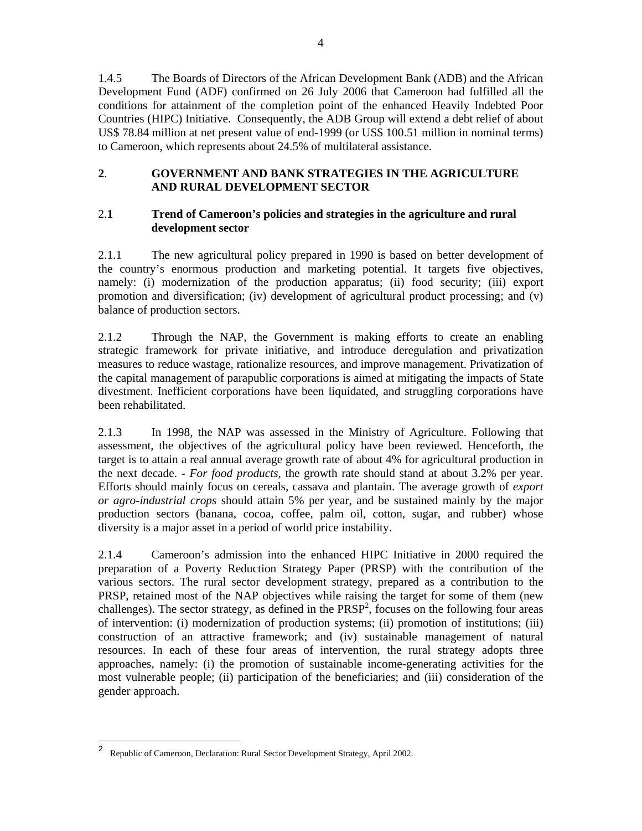1.4.5 The Boards of Directors of the African Development Bank (ADB) and the African Development Fund (ADF) confirmed on 26 July 2006 that Cameroon had fulfilled all the conditions for attainment of the completion point of the enhanced Heavily Indebted Poor Countries (HIPC) Initiative. Consequently, the ADB Group will extend a debt relief of about US\$ 78.84 million at net present value of end-1999 (or US\$ 100.51 million in nominal terms) to Cameroon, which represents about 24.5% of multilateral assistance.

# **2**. **GOVERNMENT AND BANK STRATEGIES IN THE AGRICULTURE AND RURAL DEVELOPMENT SECTOR**

# 2.**1 Trend of Cameroon's policies and strategies in the agriculture and rural development sector**

2.1.1 The new agricultural policy prepared in 1990 is based on better development of the country's enormous production and marketing potential. It targets five objectives, namely: (i) modernization of the production apparatus; (ii) food security; (iii) export promotion and diversification; (iv) development of agricultural product processing; and (v) balance of production sectors.

2.1.2 Through the NAP, the Government is making efforts to create an enabling strategic framework for private initiative, and introduce deregulation and privatization measures to reduce wastage, rationalize resources, and improve management. Privatization of the capital management of parapublic corporations is aimed at mitigating the impacts of State divestment. Inefficient corporations have been liquidated, and struggling corporations have been rehabilitated.

2.1.3 In 1998, the NAP was assessed in the Ministry of Agriculture. Following that assessment, the objectives of the agricultural policy have been reviewed. Henceforth, the target is to attain a real annual average growth rate of about 4% for agricultural production in the next decade. *- For food products,* the growth rate should stand at about 3.2% per year. Efforts should mainly focus on cereals, cassava and plantain. The average growth of *export or agro-industrial crops* should attain 5% per year, and be sustained mainly by the major production sectors (banana, cocoa, coffee, palm oil, cotton, sugar, and rubber) whose diversity is a major asset in a period of world price instability.

2.1.4 Cameroon's admission into the enhanced HIPC Initiative in 2000 required the preparation of a Poverty Reduction Strategy Paper (PRSP) with the contribution of the various sectors. The rural sector development strategy, prepared as a contribution to the PRSP, retained most of the NAP objectives while raising the target for some of them (new challenges). The sector strategy, as defined in the  $PRSP<sup>2</sup>$ , focuses on the following four areas of intervention: (i) modernization of production systems; (ii) promotion of institutions; (iii) construction of an attractive framework; and (iv) sustainable management of natural resources. In each of these four areas of intervention, the rural strategy adopts three approaches, namely: (i) the promotion of sustainable income-generating activities for the most vulnerable people; (ii) participation of the beneficiaries; and (iii) consideration of the gender approach.

<sup>2</sup> Republic of Cameroon, Declaration: Rural Sector Development Strategy, April 2002.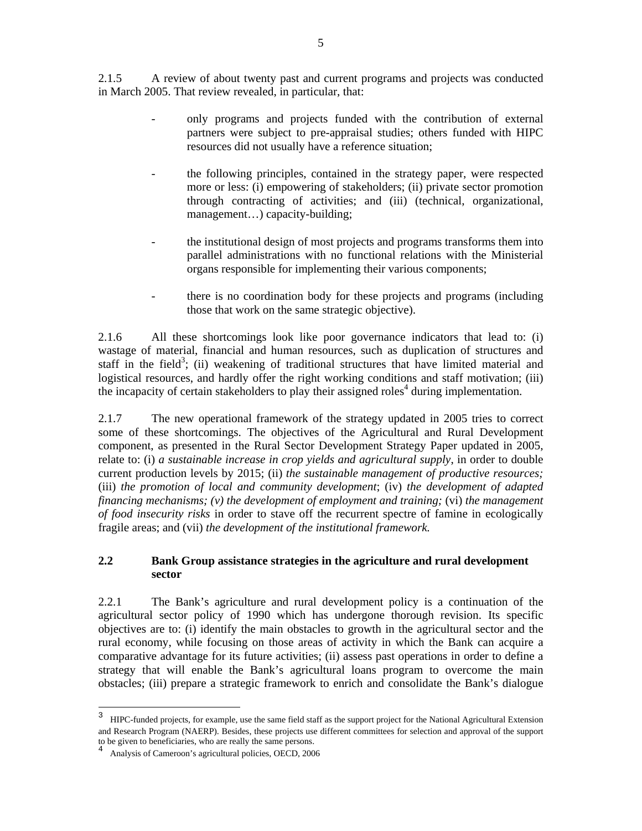2.1.5 A review of about twenty past and current programs and projects was conducted in March 2005. That review revealed, in particular, that:

- only programs and projects funded with the contribution of external partners were subject to pre-appraisal studies; others funded with HIPC resources did not usually have a reference situation;
- the following principles, contained in the strategy paper, were respected more or less: (i) empowering of stakeholders; (ii) private sector promotion through contracting of activities; and (iii) (technical, organizational, management…) capacity-building;
- the institutional design of most projects and programs transforms them into parallel administrations with no functional relations with the Ministerial organs responsible for implementing their various components;
- there is no coordination body for these projects and programs (including those that work on the same strategic objective).

2.1.6 All these shortcomings look like poor governance indicators that lead to: (i) wastage of material, financial and human resources, such as duplication of structures and staff in the field<sup>3</sup>; (ii) weakening of traditional structures that have limited material and logistical resources, and hardly offer the right working conditions and staff motivation; (iii) the incapacity of certain stakeholders to play their assigned roles<sup>4</sup> during implementation.

2.1.7 The new operational framework of the strategy updated in 2005 tries to correct some of these shortcomings. The objectives of the Agricultural and Rural Development component, as presented in the Rural Sector Development Strategy Paper updated in 2005, relate to: (i) *a sustainable increase in crop yields and agricultural supply*, in order to double current production levels by 2015; (ii) *the sustainable management of productive resources;* (iii) *the promotion of local and community development*; (iv) *the development of adapted financing mechanisms; (v) the development of employment and training;* (vi) *the management of food insecurity risks* in order to stave off the recurrent spectre of famine in ecologically fragile areas; and (vii) *the development of the institutional framework.* 

## **2.2 Bank Group assistance strategies in the agriculture and rural development sector**

2.2.1 The Bank's agriculture and rural development policy is a continuation of the agricultural sector policy of 1990 which has undergone thorough revision. Its specific objectives are to: (i) identify the main obstacles to growth in the agricultural sector and the rural economy, while focusing on those areas of activity in which the Bank can acquire a comparative advantage for its future activities; (ii) assess past operations in order to define a strategy that will enable the Bank's agricultural loans program to overcome the main obstacles; (iii) prepare a strategic framework to enrich and consolidate the Bank's dialogue

<sup>3</sup> HIPC-funded projects, for example, use the same field staff as the support project for the National Agricultural Extension and Research Program (NAERP). Besides, these projects use different committees for selection and approval of the support to be given to beneficiaries, who are really the same persons.

<sup>4</sup> Analysis of Cameroon's agricultural policies, OECD, 2006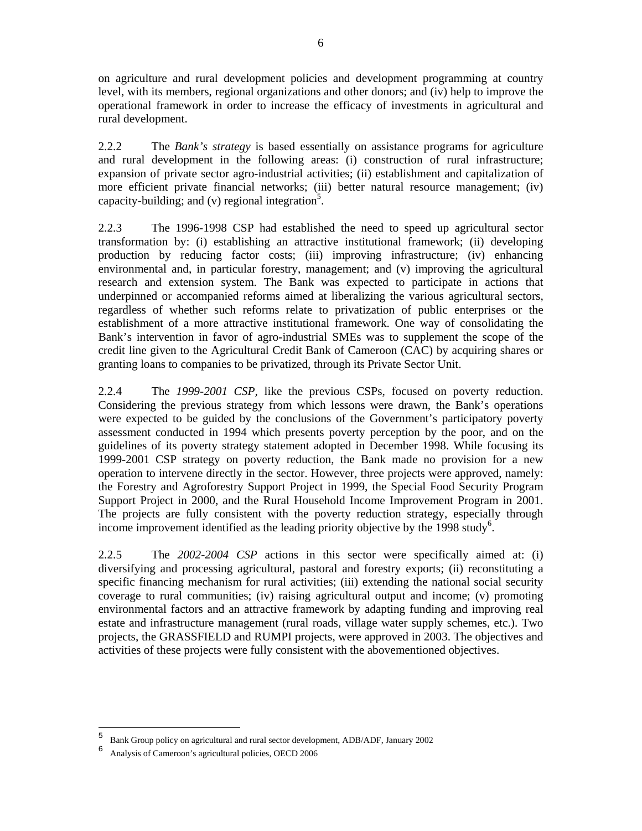on agriculture and rural development policies and development programming at country level, with its members, regional organizations and other donors; and (iv) help to improve the operational framework in order to increase the efficacy of investments in agricultural and rural development.

2.2.2 The *Bank's strategy* is based essentially on assistance programs for agriculture and rural development in the following areas: (i) construction of rural infrastructure; expansion of private sector agro-industrial activities; (ii) establishment and capitalization of more efficient private financial networks; (iii) better natural resource management; (iv) capacity-building; and (v) regional integration<sup>5</sup>.

2.2.3 The 1996-1998 CSP had established the need to speed up agricultural sector transformation by: (i) establishing an attractive institutional framework; (ii) developing production by reducing factor costs; (iii) improving infrastructure; (iv) enhancing environmental and, in particular forestry, management; and (v) improving the agricultural research and extension system. The Bank was expected to participate in actions that underpinned or accompanied reforms aimed at liberalizing the various agricultural sectors, regardless of whether such reforms relate to privatization of public enterprises or the establishment of a more attractive institutional framework. One way of consolidating the Bank's intervention in favor of agro-industrial SMEs was to supplement the scope of the credit line given to the Agricultural Credit Bank of Cameroon (CAC) by acquiring shares or granting loans to companies to be privatized, through its Private Sector Unit.

2.2.4 The *1999-2001 CSP,* like the previous CSPs, focused on poverty reduction. Considering the previous strategy from which lessons were drawn, the Bank's operations were expected to be guided by the conclusions of the Government's participatory poverty assessment conducted in 1994 which presents poverty perception by the poor, and on the guidelines of its poverty strategy statement adopted in December 1998. While focusing its 1999-2001 CSP strategy on poverty reduction, the Bank made no provision for a new operation to intervene directly in the sector. However, three projects were approved, namely: the Forestry and Agroforestry Support Project in 1999, the Special Food Security Program Support Project in 2000, and the Rural Household Income Improvement Program in 2001. The projects are fully consistent with the poverty reduction strategy, especially through income improvement identified as the leading priority objective by the 1998 study<sup>6</sup>.

2.2.5 The *2002-2004 CSP* actions in this sector were specifically aimed at: (i) diversifying and processing agricultural, pastoral and forestry exports; (ii) reconstituting a specific financing mechanism for rural activities; (iii) extending the national social security coverage to rural communities; (iv) raising agricultural output and income; (v) promoting environmental factors and an attractive framework by adapting funding and improving real estate and infrastructure management (rural roads, village water supply schemes, etc.). Two projects, the GRASSFIELD and RUMPI projects, were approved in 2003. The objectives and activities of these projects were fully consistent with the abovementioned objectives.

<sup>&</sup>lt;sup>5</sup> Bank Group policy on agricultural and rural sector development, ADB/ADF, January 2002<br>6 April 1965 Conservation of Contract a conjuntum la policies. OECD 2006

<sup>6</sup> Analysis of Cameroon's agricultural policies, OECD 2006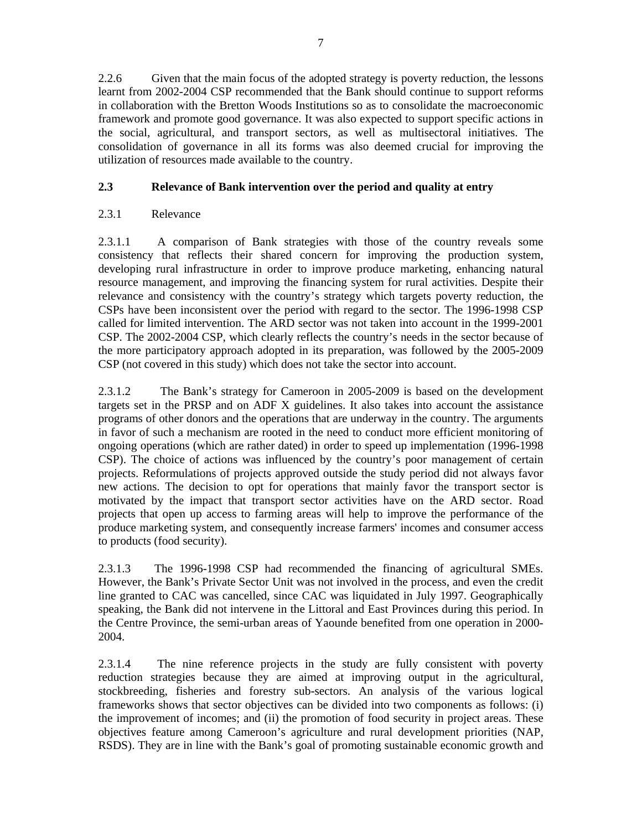2.2.6 Given that the main focus of the adopted strategy is poverty reduction, the lessons learnt from 2002-2004 CSP recommended that the Bank should continue to support reforms in collaboration with the Bretton Woods Institutions so as to consolidate the macroeconomic framework and promote good governance. It was also expected to support specific actions in the social, agricultural, and transport sectors, as well as multisectoral initiatives. The consolidation of governance in all its forms was also deemed crucial for improving the utilization of resources made available to the country.

# **2.3 Relevance of Bank intervention over the period and quality at entry**

# 2.3.1 Relevance

2.3.1.1 A comparison of Bank strategies with those of the country reveals some consistency that reflects their shared concern for improving the production system, developing rural infrastructure in order to improve produce marketing, enhancing natural resource management, and improving the financing system for rural activities. Despite their relevance and consistency with the country's strategy which targets poverty reduction, the CSPs have been inconsistent over the period with regard to the sector. The 1996-1998 CSP called for limited intervention. The ARD sector was not taken into account in the 1999-2001 CSP. The 2002-2004 CSP, which clearly reflects the country's needs in the sector because of the more participatory approach adopted in its preparation, was followed by the 2005-2009 CSP (not covered in this study) which does not take the sector into account.

2.3.1.2 The Bank's strategy for Cameroon in 2005-2009 is based on the development targets set in the PRSP and on ADF X guidelines. It also takes into account the assistance programs of other donors and the operations that are underway in the country. The arguments in favor of such a mechanism are rooted in the need to conduct more efficient monitoring of ongoing operations (which are rather dated) in order to speed up implementation (1996-1998 CSP). The choice of actions was influenced by the country's poor management of certain projects. Reformulations of projects approved outside the study period did not always favor new actions. The decision to opt for operations that mainly favor the transport sector is motivated by the impact that transport sector activities have on the ARD sector. Road projects that open up access to farming areas will help to improve the performance of the produce marketing system, and consequently increase farmers' incomes and consumer access to products (food security).

2.3.1.3 The 1996-1998 CSP had recommended the financing of agricultural SMEs. However, the Bank's Private Sector Unit was not involved in the process, and even the credit line granted to CAC was cancelled, since CAC was liquidated in July 1997. Geographically speaking, the Bank did not intervene in the Littoral and East Provinces during this period. In the Centre Province, the semi-urban areas of Yaounde benefited from one operation in 2000- 2004.

2.3.1.4 The nine reference projects in the study are fully consistent with poverty reduction strategies because they are aimed at improving output in the agricultural, stockbreeding, fisheries and forestry sub-sectors. An analysis of the various logical frameworks shows that sector objectives can be divided into two components as follows: (i) the improvement of incomes; and (ii) the promotion of food security in project areas. These objectives feature among Cameroon's agriculture and rural development priorities (NAP, RSDS). They are in line with the Bank's goal of promoting sustainable economic growth and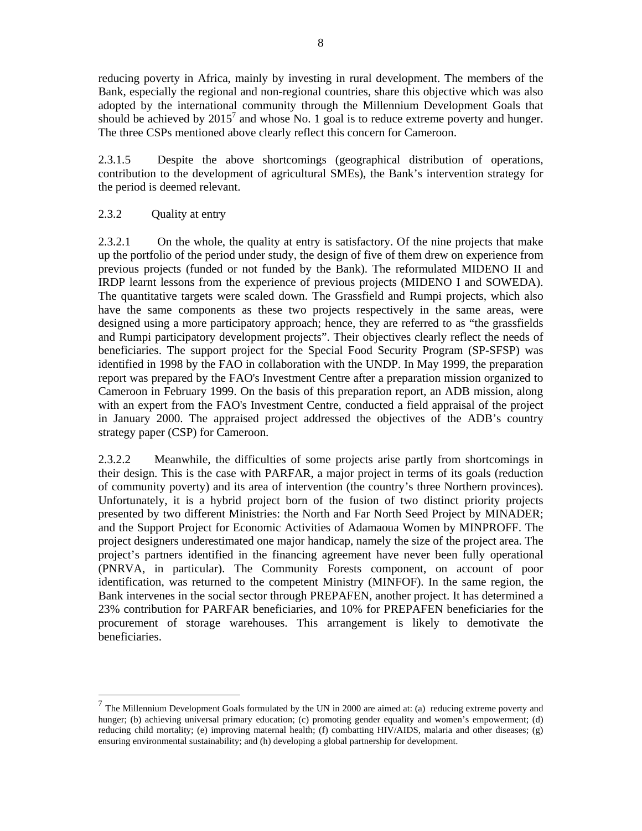reducing poverty in Africa, mainly by investing in rural development. The members of the Bank, especially the regional and non-regional countries, share this objective which was also adopted by the international community through the Millennium Development Goals that should be achieved by  $2015<sup>7</sup>$  and whose No. 1 goal is to reduce extreme poverty and hunger. The three CSPs mentioned above clearly reflect this concern for Cameroon.

2.3.1.5 Despite the above shortcomings (geographical distribution of operations, contribution to the development of agricultural SMEs), the Bank's intervention strategy for the period is deemed relevant.

# 2.3.2 Ouality at entry

-

2.3.2.1 On the whole, the quality at entry is satisfactory. Of the nine projects that make up the portfolio of the period under study, the design of five of them drew on experience from previous projects (funded or not funded by the Bank). The reformulated MIDENO II and IRDP learnt lessons from the experience of previous projects (MIDENO I and SOWEDA). The quantitative targets were scaled down. The Grassfield and Rumpi projects, which also have the same components as these two projects respectively in the same areas, were designed using a more participatory approach; hence, they are referred to as "the grassfields and Rumpi participatory development projects". Their objectives clearly reflect the needs of beneficiaries. The support project for the Special Food Security Program (SP-SFSP) was identified in 1998 by the FAO in collaboration with the UNDP. In May 1999, the preparation report was prepared by the FAO's Investment Centre after a preparation mission organized to Cameroon in February 1999. On the basis of this preparation report, an ADB mission, along with an expert from the FAO's Investment Centre, conducted a field appraisal of the project in January 2000. The appraised project addressed the objectives of the ADB's country strategy paper (CSP) for Cameroon.

2.3.2.2 Meanwhile, the difficulties of some projects arise partly from shortcomings in their design. This is the case with PARFAR, a major project in terms of its goals (reduction of community poverty) and its area of intervention (the country's three Northern provinces). Unfortunately, it is a hybrid project born of the fusion of two distinct priority projects presented by two different Ministries: the North and Far North Seed Project by MINADER; and the Support Project for Economic Activities of Adamaoua Women by MINPROFF. The project designers underestimated one major handicap, namely the size of the project area. The project's partners identified in the financing agreement have never been fully operational (PNRVA, in particular). The Community Forests component, on account of poor identification, was returned to the competent Ministry (MINFOF). In the same region, the Bank intervenes in the social sector through PREPAFEN, another project. It has determined a 23% contribution for PARFAR beneficiaries, and 10% for PREPAFEN beneficiaries for the procurement of storage warehouses. This arrangement is likely to demotivate the beneficiaries.

<sup>7</sup> The Millennium Development Goals formulated by the UN in 2000 are aimed at: (a) reducing extreme poverty and hunger; (b) achieving universal primary education; (c) promoting gender equality and women's empowerment; (d) reducing child mortality; (e) improving maternal health; (f) combatting HIV/AIDS, malaria and other diseases; (g) ensuring environmental sustainability; and (h) developing a global partnership for development.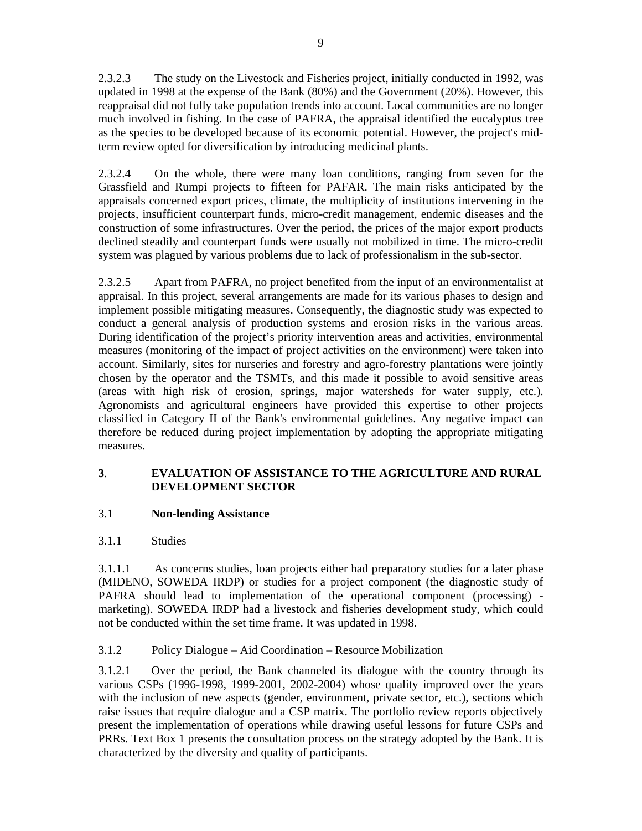2.3.2.3 The study on the Livestock and Fisheries project, initially conducted in 1992, was updated in 1998 at the expense of the Bank (80%) and the Government (20%). However, this reappraisal did not fully take population trends into account. Local communities are no longer much involved in fishing. In the case of PAFRA, the appraisal identified the eucalyptus tree as the species to be developed because of its economic potential. However, the project's midterm review opted for diversification by introducing medicinal plants.

2.3.2.4 On the whole, there were many loan conditions, ranging from seven for the Grassfield and Rumpi projects to fifteen for PAFAR. The main risks anticipated by the appraisals concerned export prices, climate, the multiplicity of institutions intervening in the projects, insufficient counterpart funds, micro-credit management, endemic diseases and the construction of some infrastructures. Over the period, the prices of the major export products declined steadily and counterpart funds were usually not mobilized in time. The micro-credit system was plagued by various problems due to lack of professionalism in the sub-sector.

2.3.2.5 Apart from PAFRA, no project benefited from the input of an environmentalist at appraisal. In this project, several arrangements are made for its various phases to design and implement possible mitigating measures. Consequently, the diagnostic study was expected to conduct a general analysis of production systems and erosion risks in the various areas. During identification of the project's priority intervention areas and activities, environmental measures (monitoring of the impact of project activities on the environment) were taken into account. Similarly, sites for nurseries and forestry and agro-forestry plantations were jointly chosen by the operator and the TSMTs, and this made it possible to avoid sensitive areas (areas with high risk of erosion, springs, major watersheds for water supply, etc.). Agronomists and agricultural engineers have provided this expertise to other projects classified in Category II of the Bank's environmental guidelines. Any negative impact can therefore be reduced during project implementation by adopting the appropriate mitigating measures.

# **3**. **EVALUATION OF ASSISTANCE TO THE AGRICULTURE AND RURAL DEVELOPMENT SECTOR**

# 3.1 **Non-lending Assistance**

# 3.1.1 Studies

3.1.1.1 As concerns studies, loan projects either had preparatory studies for a later phase (MIDENO, SOWEDA IRDP) or studies for a project component (the diagnostic study of PAFRA should lead to implementation of the operational component (processing) marketing). SOWEDA IRDP had a livestock and fisheries development study, which could not be conducted within the set time frame. It was updated in 1998.

# 3.1.2 Policy Dialogue – Aid Coordination – Resource Mobilization

3.1.2.1 Over the period, the Bank channeled its dialogue with the country through its various CSPs (1996-1998, 1999-2001, 2002-2004) whose quality improved over the years with the inclusion of new aspects (gender, environment, private sector, etc.), sections which raise issues that require dialogue and a CSP matrix. The portfolio review reports objectively present the implementation of operations while drawing useful lessons for future CSPs and PRRs. Text Box 1 presents the consultation process on the strategy adopted by the Bank. It is characterized by the diversity and quality of participants.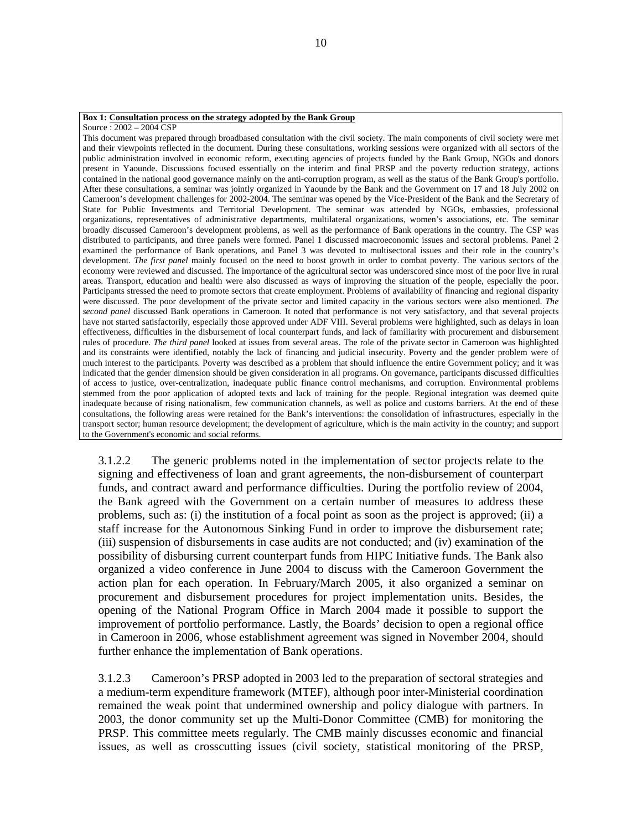#### **Box 1: Consultation process on the strategy adopted by the Bank Group**

Source : 2002 – 2004 CSP

This document was prepared through broadbased consultation with the civil society. The main components of civil society were met and their viewpoints reflected in the document. During these consultations, working sessions were organized with all sectors of the public administration involved in economic reform, executing agencies of projects funded by the Bank Group, NGOs and donors present in Yaounde. Discussions focused essentially on the interim and final PRSP and the poverty reduction strategy, actions contained in the national good governance mainly on the anti-corruption program, as well as the status of the Bank Group's portfolio. After these consultations, a seminar was jointly organized in Yaounde by the Bank and the Government on 17 and 18 July 2002 on Cameroon's development challenges for 2002-2004. The seminar was opened by the Vice-President of the Bank and the Secretary of State for Public Investments and Territorial Development. The seminar was attended by NGOs, embassies, professional organizations, representatives of administrative departments, multilateral organizations, women's associations, etc. The seminar broadly discussed Cameroon's development problems, as well as the performance of Bank operations in the country. The CSP was distributed to participants, and three panels were formed. Panel 1 discussed macroeconomic issues and sectoral problems. Panel 2 examined the performance of Bank operations, and Panel 3 was devoted to multisectoral issues and their role in the country's development. *The first panel* mainly focused on the need to boost growth in order to combat poverty. The various sectors of the economy were reviewed and discussed. The importance of the agricultural sector was underscored since most of the poor live in rural areas. Transport, education and health were also discussed as ways of improving the situation of the people, especially the poor. Participants stressed the need to promote sectors that create employment. Problems of availability of financing and regional disparity were discussed. The poor development of the private sector and limited capacity in the various sectors were also mentioned. *The second panel* discussed Bank operations in Cameroon. It noted that performance is not very satisfactory, and that several projects have not started satisfactorily, especially those approved under ADF VIII. Several problems were highlighted, such as delays in loan effectiveness, difficulties in the disbursement of local counterpart funds, and lack of familiarity with procurement and disbursement rules of procedure. *The third panel* looked at issues from several areas. The role of the private sector in Cameroon was highlighted and its constraints were identified, notably the lack of financing and judicial insecurity. Poverty and the gender problem were of much interest to the participants. Poverty was described as a problem that should influence the entire Government policy; and it was indicated that the gender dimension should be given consideration in all programs. On governance, participants discussed difficulties of access to justice, over-centralization, inadequate public finance control mechanisms, and corruption. Environmental problems stemmed from the poor application of adopted texts and lack of training for the people. Regional integration was deemed quite inadequate because of rising nationalism, few communication channels, as well as police and customs barriers. At the end of these consultations, the following areas were retained for the Bank's interventions: the consolidation of infrastructures, especially in the transport sector; human resource development; the development of agriculture, which is the main activity in the country; and support to the Government's economic and social reforms.

3.1.2.2 The generic problems noted in the implementation of sector projects relate to the signing and effectiveness of loan and grant agreements, the non-disbursement of counterpart funds, and contract award and performance difficulties. During the portfolio review of 2004, the Bank agreed with the Government on a certain number of measures to address these problems, such as: (i) the institution of a focal point as soon as the project is approved; (ii) a staff increase for the Autonomous Sinking Fund in order to improve the disbursement rate; (iii) suspension of disbursements in case audits are not conducted; and (iv) examination of the possibility of disbursing current counterpart funds from HIPC Initiative funds. The Bank also organized a video conference in June 2004 to discuss with the Cameroon Government the action plan for each operation. In February/March 2005, it also organized a seminar on procurement and disbursement procedures for project implementation units. Besides, the opening of the National Program Office in March 2004 made it possible to support the improvement of portfolio performance. Lastly, the Boards' decision to open a regional office in Cameroon in 2006, whose establishment agreement was signed in November 2004, should further enhance the implementation of Bank operations.

3.1.2.3 Cameroon's PRSP adopted in 2003 led to the preparation of sectoral strategies and a medium-term expenditure framework (MTEF), although poor inter-Ministerial coordination remained the weak point that undermined ownership and policy dialogue with partners. In 2003, the donor community set up the Multi-Donor Committee (CMB) for monitoring the PRSP. This committee meets regularly. The CMB mainly discusses economic and financial issues, as well as crosscutting issues (civil society, statistical monitoring of the PRSP,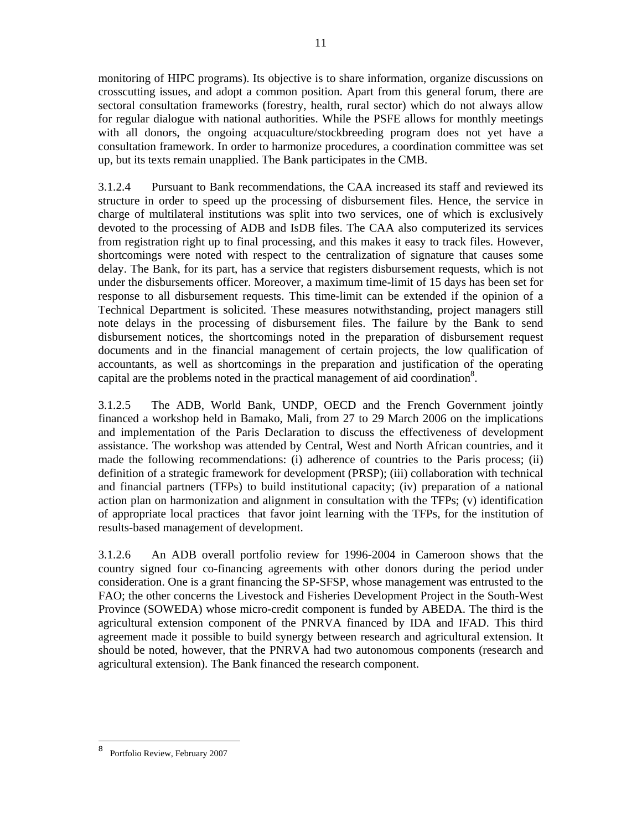monitoring of HIPC programs). Its objective is to share information, organize discussions on crosscutting issues, and adopt a common position. Apart from this general forum, there are sectoral consultation frameworks (forestry, health, rural sector) which do not always allow for regular dialogue with national authorities. While the PSFE allows for monthly meetings with all donors, the ongoing acquaculture/stockbreeding program does not yet have a consultation framework. In order to harmonize procedures, a coordination committee was set up, but its texts remain unapplied. The Bank participates in the CMB.

3.1.2.4 Pursuant to Bank recommendations, the CAA increased its staff and reviewed its structure in order to speed up the processing of disbursement files. Hence, the service in charge of multilateral institutions was split into two services, one of which is exclusively devoted to the processing of ADB and IsDB files. The CAA also computerized its services from registration right up to final processing, and this makes it easy to track files. However, shortcomings were noted with respect to the centralization of signature that causes some delay. The Bank, for its part, has a service that registers disbursement requests, which is not under the disbursements officer. Moreover, a maximum time-limit of 15 days has been set for response to all disbursement requests. This time-limit can be extended if the opinion of a Technical Department is solicited. These measures notwithstanding, project managers still note delays in the processing of disbursement files. The failure by the Bank to send disbursement notices, the shortcomings noted in the preparation of disbursement request documents and in the financial management of certain projects, the low qualification of accountants, as well as shortcomings in the preparation and justification of the operating capital are the problems noted in the practical management of aid coordination<sup>8</sup>.

3.1.2.5 The ADB, World Bank, UNDP, OECD and the French Government jointly financed a workshop held in Bamako, Mali, from 27 to 29 March 2006 on the implications and implementation of the Paris Declaration to discuss the effectiveness of development assistance. The workshop was attended by Central, West and North African countries, and it made the following recommendations: (i) adherence of countries to the Paris process; (ii) definition of a strategic framework for development (PRSP); (iii) collaboration with technical and financial partners (TFPs) to build institutional capacity; (iv) preparation of a national action plan on harmonization and alignment in consultation with the TFPs; (v) identification of appropriate local practices that favor joint learning with the TFPs, for the institution of results-based management of development.

3.1.2.6 An ADB overall portfolio review for 1996-2004 in Cameroon shows that the country signed four co-financing agreements with other donors during the period under consideration. One is a grant financing the SP-SFSP, whose management was entrusted to the FAO; the other concerns the Livestock and Fisheries Development Project in the South-West Province (SOWEDA) whose micro-credit component is funded by ABEDA. The third is the agricultural extension component of the PNRVA financed by IDA and IFAD. This third agreement made it possible to build synergy between research and agricultural extension. It should be noted, however, that the PNRVA had two autonomous components (research and agricultural extension). The Bank financed the research component.

<sup>8</sup> Portfolio Review, February 2007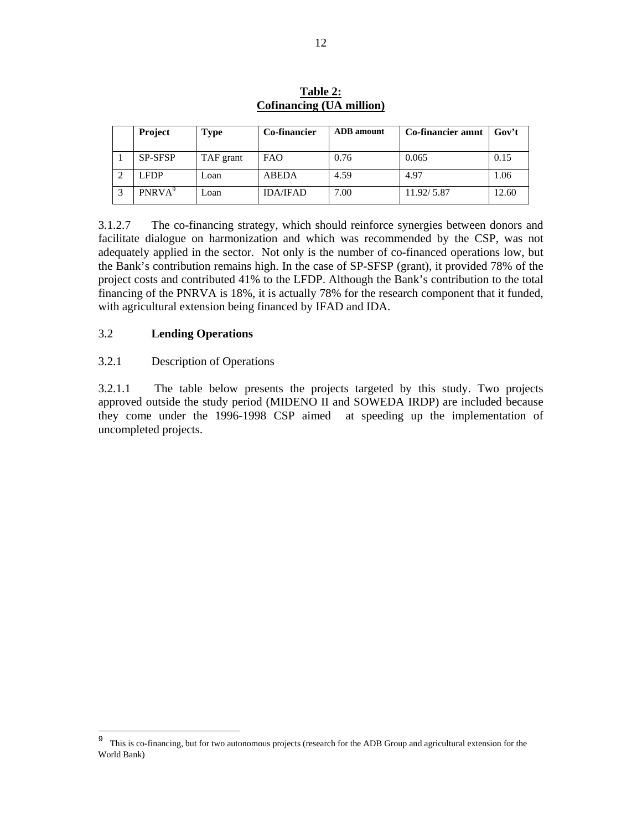| <b>Project</b>     | Type      | <b>Co-financier</b> | <b>ADB</b> amount | Co-financier amnt | Gov't |
|--------------------|-----------|---------------------|-------------------|-------------------|-------|
| <b>SP-SFSP</b>     | TAF grant | <b>FAO</b>          | 0.76              | 0.065             | 0.15  |
| <b>LFDP</b>        | Loan      | <b>ABEDA</b>        | 4.59              | 4.97              | 1.06  |
| PNRVA <sup>9</sup> | Loan      | <b>IDA/IFAD</b>     | 7.00              | 11.92/5.87        | 12.60 |

**Table 2: Cofinancing (UA million)**

3.1.2.7 The co-financing strategy, which should reinforce synergies between donors and facilitate dialogue on harmonization and which was recommended by the CSP, was not adequately applied in the sector. Not only is the number of co-financed operations low, but the Bank's contribution remains high. In the case of SP-SFSP (grant), it provided 78% of the project costs and contributed 41% to the LFDP. Although the Bank's contribution to the total financing of the PNRVA is 18%, it is actually 78% for the research component that it funded, with agricultural extension being financed by IFAD and IDA.

## 3.2 **Lending Operations**

-

#### 3.2.1 Description of Operations

3.2.1.1 The table below presents the projects targeted by this study. Two projects approved outside the study period (MIDENO II and SOWEDA IRDP) are included because they come under the 1996-1998 CSP aimed at speeding up the implementation of uncompleted projects.

<sup>&</sup>lt;sup>9</sup> This is co-financing, but for two autonomous projects (research for the ADB Group and agricultural extension for the World Bank)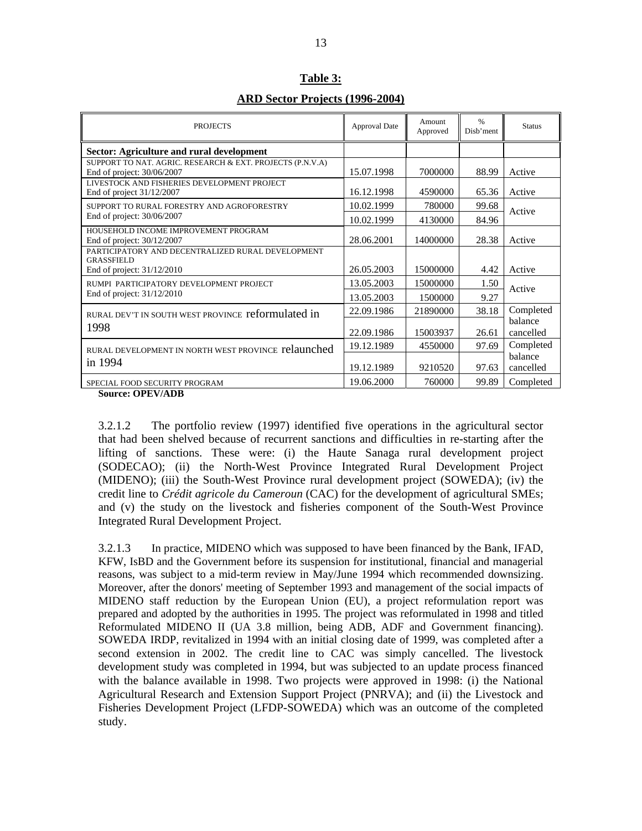| <b>PROJECTS</b>                                                                         | <b>Approval Date</b> | Amount<br>Approved | $\%$<br>Disb'ment | <b>Status</b> |
|-----------------------------------------------------------------------------------------|----------------------|--------------------|-------------------|---------------|
| Sector: Agriculture and rural development                                               |                      |                    |                   |               |
| SUPPORT TO NAT. AGRIC. RESEARCH & EXT. PROJECTS (P.N.V.A)<br>End of project: 30/06/2007 | 15.07.1998           | 7000000            | 88.99             | Active        |
| LIVESTOCK AND FISHERIES DEVELOPMENT PROJECT<br>End of project $31/12/2007$              | 16.12.1998           | 4590000            | 65.36             | Active        |
| SUPPORT TO RURAL FORESTRY AND AGROFORESTRY                                              | 10.02.1999           | 780000             | 99.68             | Active        |
| End of project: 30/06/2007                                                              | 10.02.1999           | 4130000            | 84.96             |               |
| HOUSEHOLD INCOME IMPROVEMENT PROGRAM<br>End of project: 30/12/2007                      | 28.06.2001           | 14000000           | 28.38             | Active        |
| PARTICIPATORY AND DECENTRALIZED RURAL DEVELOPMENT<br><b>GRASSFIELD</b>                  |                      |                    |                   |               |
| End of project: 31/12/2010                                                              | 26.05.2003           | 15000000           | 4.42              | Active        |
| RUMPI PARTICIPATORY DEVELOPMENT PROJECT                                                 | 13.05.2003           | 15000000           | 1.50              |               |
| End of project: 31/12/2010                                                              | 13.05.2003           | 1500000            | 9.27              | Active        |
| RURAL DEV'T IN SOUTH WEST PROVINCE reformulated in                                      | 22.09.1986           | 21890000           | 38.18             | Completed     |
| 1998                                                                                    |                      |                    |                   | balance       |
|                                                                                         | 22.09.1986           | 15003937           | 26.61             | cancelled     |
| RURAL DEVELOPMENT IN NORTH WEST PROVINCE relaunched                                     | 19.12.1989           | 4550000            | 97.69             | Completed     |
| in 1994                                                                                 |                      |                    |                   | balance       |
|                                                                                         | 19.12.1989           | 9210520            | 97.63             | cancelled     |
| SPECIAL FOOD SECURITY PROGRAM                                                           | 19.06.2000           | 760000             | 99.89             | Completed     |

**Table 3: ARD Sector Projects (1996-2004)**

**Source: OPEV/ADB** 

3.2.1.2 The portfolio review (1997) identified five operations in the agricultural sector that had been shelved because of recurrent sanctions and difficulties in re-starting after the lifting of sanctions. These were: (i) the Haute Sanaga rural development project (SODECAO); (ii) the North-West Province Integrated Rural Development Project (MIDENO); (iii) the South-West Province rural development project (SOWEDA); (iv) the credit line to *Crédit agricole du Cameroun* (CAC) for the development of agricultural SMEs; and (v) the study on the livestock and fisheries component of the South-West Province Integrated Rural Development Project.

3.2.1.3 In practice, MIDENO which was supposed to have been financed by the Bank, IFAD, KFW, IsBD and the Government before its suspension for institutional, financial and managerial reasons, was subject to a mid-term review in May/June 1994 which recommended downsizing. Moreover, after the donors' meeting of September 1993 and management of the social impacts of MIDENO staff reduction by the European Union (EU), a project reformulation report was prepared and adopted by the authorities in 1995. The project was reformulated in 1998 and titled Reformulated MIDENO II (UA 3.8 million, being ADB, ADF and Government financing). SOWEDA IRDP, revitalized in 1994 with an initial closing date of 1999, was completed after a second extension in 2002. The credit line to CAC was simply cancelled. The livestock development study was completed in 1994, but was subjected to an update process financed with the balance available in 1998. Two projects were approved in 1998: (i) the National Agricultural Research and Extension Support Project (PNRVA); and (ii) the Livestock and Fisheries Development Project (LFDP-SOWEDA) which was an outcome of the completed study.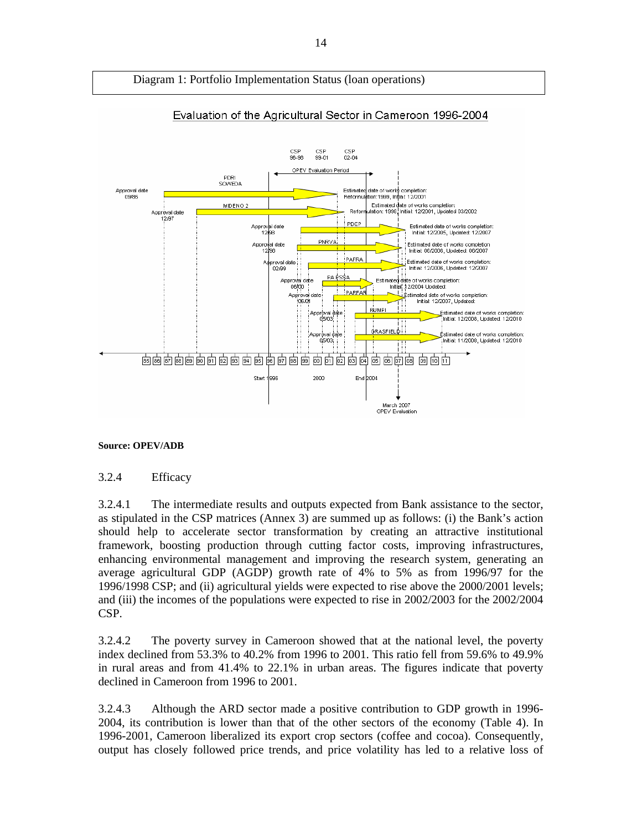

#### **Source: OPEV/ADB**

#### 3.2.4 Efficacy

3.2.4.1 The intermediate results and outputs expected from Bank assistance to the sector, as stipulated in the CSP matrices (Annex 3) are summed up as follows: (i) the Bank's action should help to accelerate sector transformation by creating an attractive institutional framework, boosting production through cutting factor costs, improving infrastructures, enhancing environmental management and improving the research system, generating an average agricultural GDP (AGDP) growth rate of 4% to 5% as from 1996/97 for the 1996/1998 CSP; and (ii) agricultural yields were expected to rise above the 2000/2001 levels; and (iii) the incomes of the populations were expected to rise in 2002/2003 for the 2002/2004 CSP.

3.2.4.2 The poverty survey in Cameroon showed that at the national level, the poverty index declined from 53.3% to 40.2% from 1996 to 2001. This ratio fell from 59.6% to 49.9% in rural areas and from 41.4% to 22.1% in urban areas. The figures indicate that poverty declined in Cameroon from 1996 to 2001.

3.2.4.3 Although the ARD sector made a positive contribution to GDP growth in 1996- 2004, its contribution is lower than that of the other sectors of the economy (Table 4). In 1996-2001, Cameroon liberalized its export crop sectors (coffee and cocoa). Consequently, output has closely followed price trends, and price volatility has led to a relative loss of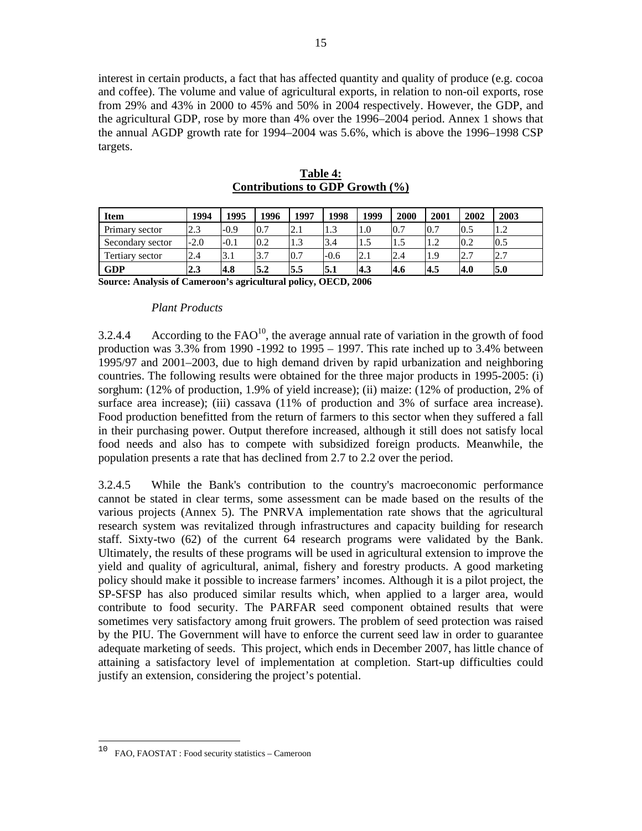interest in certain products, a fact that has affected quantity and quality of produce (e.g. cocoa and coffee). The volume and value of agricultural exports, in relation to non-oil exports, rose from 29% and 43% in 2000 to 45% and 50% in 2004 respectively. However, the GDP, and the agricultural GDP, rose by more than 4% over the 1996–2004 period. Annex 1 shows that the annual AGDP growth rate for 1994–2004 was 5.6%, which is above the 1996–1998 CSP targets.

| <b>Item</b>      | 1994   | 1995   | 1996 | 1997 | 1998   | 1999 | 2000 | 2001 | 2002 | 2003 |
|------------------|--------|--------|------|------|--------|------|------|------|------|------|
| Primary sector   | 2.3    | $-0.9$ | 0.7  | 2.1  | 1.3    | 1.0  | 0.7  | 0.7  | 0.5  | 1.2  |
| Secondary sector | $-2.0$ | $-0.1$ | 0.2  | 1.3  | 3.4    | 1.5  | 1.5  | 1.2  | 0.2  | 0.5  |
| Tertiary sector  | 2.4    | 3.1    | 3.7  | 0.7  | $-0.6$ | 2.1  | 2.4  | .1.9 | 2.7  | 2.7  |
| <b>GDP</b>       | 2.3    | 4.8    | 5.2  | 5.5  | 5.1    | 4.3  | 4.6  | 4.5  | 4.0  | 5.0  |

**Table 4: Contributions to GDP Growth (%)**

**Source: Analysis of Cameroon's agricultural policy, OECD, 2006**

#### *Plant Products*

3.2.4.4 According to the  $FAO<sup>10</sup>$ , the average annual rate of variation in the growth of food production was  $3.3\%$  from 1990 -1992 to 1995 – 1997. This rate inched up to  $3.4\%$  between 1995/97 and 2001–2003, due to high demand driven by rapid urbanization and neighboring countries. The following results were obtained for the three major products in 1995-2005: (i) sorghum: (12% of production, 1.9% of yield increase); (ii) maize: (12% of production, 2% of surface area increase); (iii) cassava (11% of production and 3% of surface area increase). Food production benefitted from the return of farmers to this sector when they suffered a fall in their purchasing power. Output therefore increased, although it still does not satisfy local food needs and also has to compete with subsidized foreign products. Meanwhile, the population presents a rate that has declined from 2.7 to 2.2 over the period.

3.2.4.5 While the Bank's contribution to the country's macroeconomic performance cannot be stated in clear terms, some assessment can be made based on the results of the various projects (Annex 5). The PNRVA implementation rate shows that the agricultural research system was revitalized through infrastructures and capacity building for research staff. Sixty-two (62) of the current 64 research programs were validated by the Bank. Ultimately, the results of these programs will be used in agricultural extension to improve the yield and quality of agricultural, animal, fishery and forestry products. A good marketing policy should make it possible to increase farmers' incomes. Although it is a pilot project, the SP-SFSP has also produced similar results which, when applied to a larger area, would contribute to food security. The PARFAR seed component obtained results that were sometimes very satisfactory among fruit growers. The problem of seed protection was raised by the PIU. The Government will have to enforce the current seed law in order to guarantee adequate marketing of seeds. This project, which ends in December 2007, has little chance of attaining a satisfactory level of implementation at completion. Start-up difficulties could justify an extension, considering the project's potential.

FAO, FAOSTAT : Food security statistics – Cameroon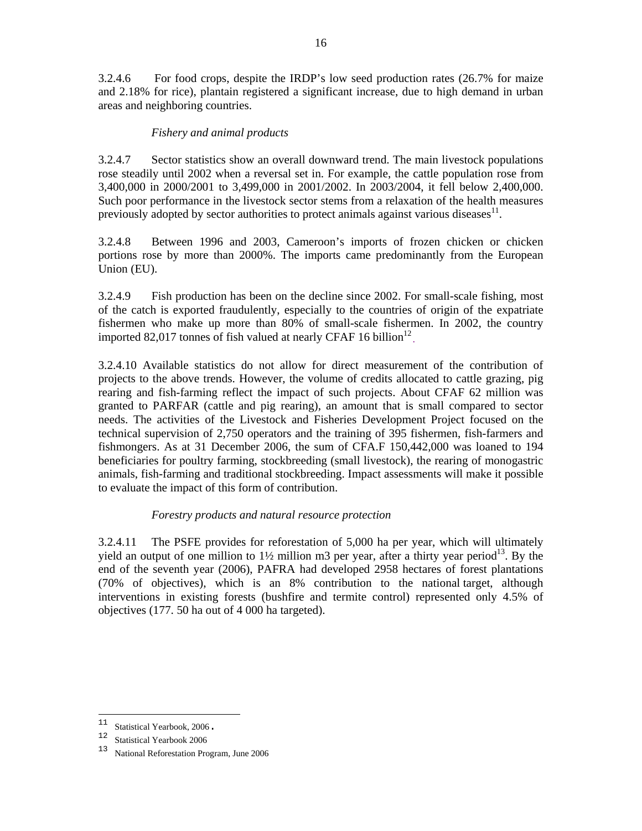3.2.4.6 For food crops, despite the IRDP's low seed production rates (26.7% for maize and 2.18% for rice), plantain registered a significant increase, due to high demand in urban areas and neighboring countries.

# *Fishery and animal products*

3.2.4.7 Sector statistics show an overall downward trend. The main livestock populations rose steadily until 2002 when a reversal set in. For example, the cattle population rose from 3,400,000 in 2000/2001 to 3,499,000 in 2001/2002. In 2003/2004, it fell below 2,400,000. Such poor performance in the livestock sector stems from a relaxation of the health measures previously adopted by sector authorities to protect animals against various diseases $^{11}$ .

3.2.4.8 Between 1996 and 2003, Cameroon's imports of frozen chicken or chicken portions rose by more than 2000%. The imports came predominantly from the European Union (EU).

3.2.4.9 Fish production has been on the decline since 2002. For small-scale fishing, most of the catch is exported fraudulently, especially to the countries of origin of the expatriate fishermen who make up more than 80% of small-scale fishermen. In 2002, the country imported 82,017 tonnes of fish valued at nearly CFAF 16 billion<sup>12</sup>

3.2.4.10 Available statistics do not allow for direct measurement of the contribution of projects to the above trends. However, the volume of credits allocated to cattle grazing, pig rearing and fish-farming reflect the impact of such projects. About CFAF 62 million was granted to PARFAR (cattle and pig rearing), an amount that is small compared to sector needs. The activities of the Livestock and Fisheries Development Project focused on the technical supervision of 2,750 operators and the training of 395 fishermen, fish-farmers and fishmongers. As at 31 December 2006, the sum of CFA.F 150,442,000 was loaned to 194 beneficiaries for poultry farming, stockbreeding (small livestock), the rearing of monogastric animals, fish-farming and traditional stockbreeding. Impact assessments will make it possible to evaluate the impact of this form of contribution.

## *Forestry products and natural resource protection*

3.2.4.11 The PSFE provides for reforestation of 5,000 ha per year, which will ultimately yield an output of one million to  $1\frac{1}{2}$  million m3 per year, after a thirty year period<sup>13</sup>. By the end of the seventh year (2006), PAFRA had developed 2958 hectares of forest plantations (70% of objectives), which is an 8% contribution to the national target, although interventions in existing forests (bushfire and termite control) represented only 4.5% of objectives (177. 50 ha out of 4 000 ha targeted).

 $11$ 

<sup>&</sup>lt;sup>11</sup> Statistical Yearbook, 2006.<br><sup>12</sup> Statistical Yearbook 2006

<sup>13</sup> National Reforestation Program, June 2006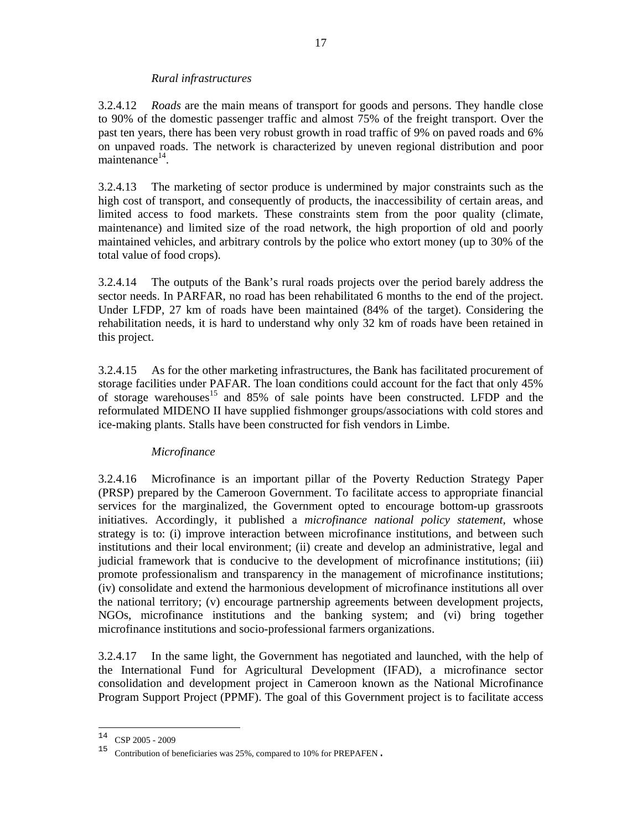#### *Rural infrastructures*

3.2.4.12 *Roads* are the main means of transport for goods and persons. They handle close to 90% of the domestic passenger traffic and almost 75% of the freight transport. Over the past ten years, there has been very robust growth in road traffic of 9% on paved roads and 6% on unpaved roads. The network is characterized by uneven regional distribution and poor maintenance<sup>14</sup>.

3.2.4.13 The marketing of sector produce is undermined by major constraints such as the high cost of transport, and consequently of products, the inaccessibility of certain areas, and limited access to food markets. These constraints stem from the poor quality (climate, maintenance) and limited size of the road network, the high proportion of old and poorly maintained vehicles, and arbitrary controls by the police who extort money (up to 30% of the total value of food crops).

3.2.4.14 The outputs of the Bank's rural roads projects over the period barely address the sector needs. In PARFAR, no road has been rehabilitated 6 months to the end of the project. Under LFDP, 27 km of roads have been maintained (84% of the target). Considering the rehabilitation needs, it is hard to understand why only 32 km of roads have been retained in this project.

3.2.4.15 As for the other marketing infrastructures, the Bank has facilitated procurement of storage facilities under PAFAR. The loan conditions could account for the fact that only 45% of storage warehouses<sup>15</sup> and 85% of sale points have been constructed. LFDP and the reformulated MIDENO II have supplied fishmonger groups/associations with cold stores and ice-making plants. Stalls have been constructed for fish vendors in Limbe.

## *Microfinance*

3.2.4.16 Microfinance is an important pillar of the Poverty Reduction Strategy Paper (PRSP) prepared by the Cameroon Government. To facilitate access to appropriate financial services for the marginalized, the Government opted to encourage bottom-up grassroots initiatives. Accordingly, it published a *microfinance national policy statement,* whose strategy is to: (i) improve interaction between microfinance institutions, and between such institutions and their local environment; (ii) create and develop an administrative, legal and judicial framework that is conducive to the development of microfinance institutions; (iii) promote professionalism and transparency in the management of microfinance institutions; (iv) consolidate and extend the harmonious development of microfinance institutions all over the national territory; (v) encourage partnership agreements between development projects, NGOs, microfinance institutions and the banking system; and (vi) bring together microfinance institutions and socio-professional farmers organizations.

3.2.4.17 In the same light, the Government has negotiated and launched, with the help of the International Fund for Agricultural Development (IFAD), a microfinance sector consolidation and development project in Cameroon known as the National Microfinance Program Support Project (PPMF). The goal of this Government project is to facilitate access

 $14$  CSP 2005 - 2009

<sup>15</sup> Contribution of beneficiaries was 25%, compared to 10% for PREPAFEN.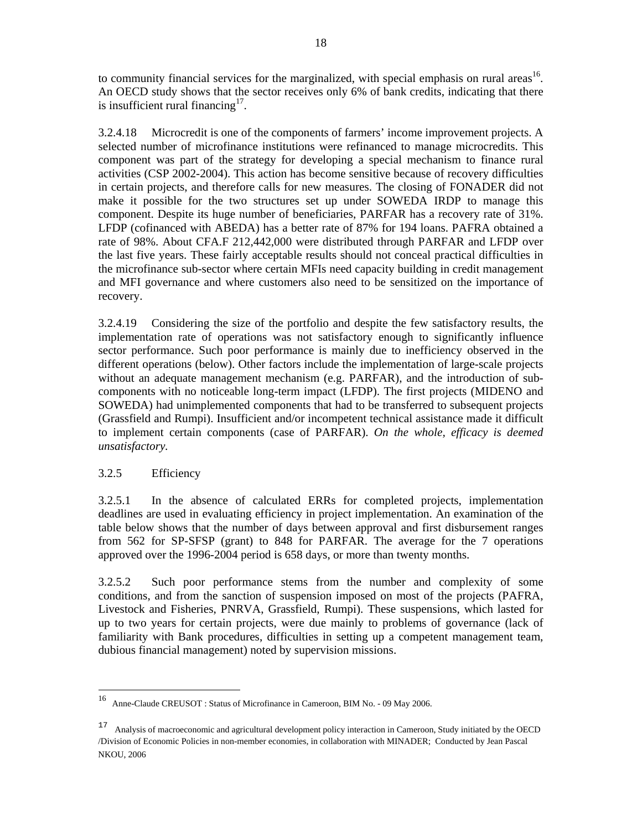to community financial services for the marginalized, with special emphasis on rural areas<sup>16</sup>. An OECD study shows that the sector receives only 6% of bank credits, indicating that there is insufficient rural financing  $17$ .

3.2.4.18 Microcredit is one of the components of farmers' income improvement projects. A selected number of microfinance institutions were refinanced to manage microcredits. This component was part of the strategy for developing a special mechanism to finance rural activities (CSP 2002-2004). This action has become sensitive because of recovery difficulties in certain projects, and therefore calls for new measures. The closing of FONADER did not make it possible for the two structures set up under SOWEDA IRDP to manage this component. Despite its huge number of beneficiaries, PARFAR has a recovery rate of 31%. LFDP (cofinanced with ABEDA) has a better rate of 87% for 194 loans. PAFRA obtained a rate of 98%. About CFA.F 212,442,000 were distributed through PARFAR and LFDP over the last five years. These fairly acceptable results should not conceal practical difficulties in the microfinance sub-sector where certain MFIs need capacity building in credit management and MFI governance and where customers also need to be sensitized on the importance of recovery.

3.2.4.19 Considering the size of the portfolio and despite the few satisfactory results, the implementation rate of operations was not satisfactory enough to significantly influence sector performance. Such poor performance is mainly due to inefficiency observed in the different operations (below). Other factors include the implementation of large-scale projects without an adequate management mechanism (e.g. PARFAR), and the introduction of subcomponents with no noticeable long-term impact (LFDP). The first projects (MIDENO and SOWEDA) had unimplemented components that had to be transferred to subsequent projects (Grassfield and Rumpi). Insufficient and/or incompetent technical assistance made it difficult to implement certain components (case of PARFAR). *On the whole, efficacy is deemed unsatisfactory.*

# 3.2.5 Efficiency

-

3.2.5.1 In the absence of calculated ERRs for completed projects, implementation deadlines are used in evaluating efficiency in project implementation. An examination of the table below shows that the number of days between approval and first disbursement ranges from 562 for SP-SFSP (grant) to 848 for PARFAR. The average for the 7 operations approved over the 1996-2004 period is 658 days, or more than twenty months.

3.2.5.2 Such poor performance stems from the number and complexity of some conditions, and from the sanction of suspension imposed on most of the projects (PAFRA, Livestock and Fisheries, PNRVA, Grassfield, Rumpi). These suspensions, which lasted for up to two years for certain projects, were due mainly to problems of governance (lack of familiarity with Bank procedures, difficulties in setting up a competent management team, dubious financial management) noted by supervision missions.

<sup>16</sup> Anne-Claude CREUSOT : Status of Microfinance in Cameroon, BIM No. - 09 May 2006.

<sup>&</sup>lt;sup>17</sup> Analysis of macroeconomic and agricultural development policy interaction in Cameroon, Study initiated by the OECD /Division of Economic Policies in non-member economies, in collaboration with MINADER; Conducted by Jean Pascal NKOU, 2006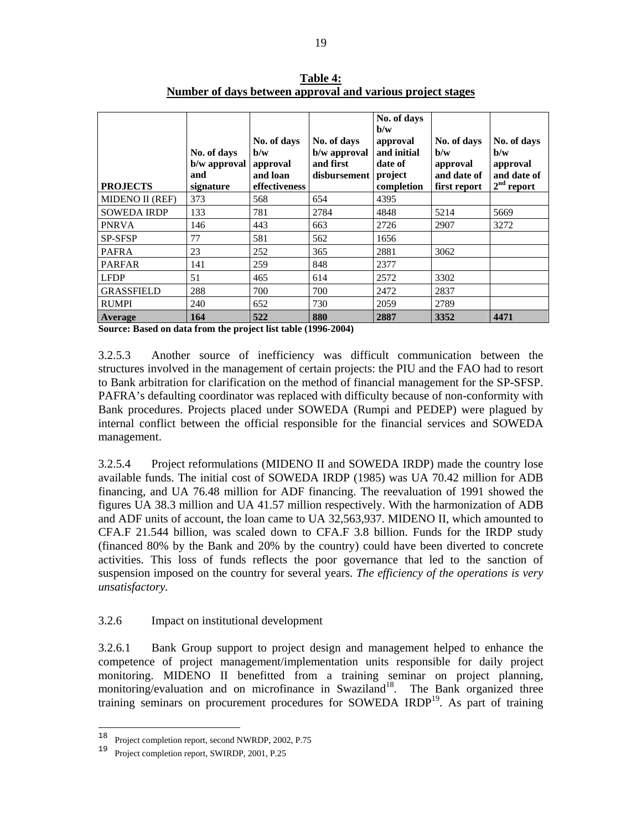| <b>PROJECTS</b>    | No. of days<br>b/w approval<br>and<br>signature | No. of days<br>$\mathbf{b}/\mathbf{w}$<br>approval<br>and loan<br>effectiveness | No. of days<br>b/w approval<br>and first<br>disbursement | No. of days<br>$\mathbf{b}/\mathbf{w}$<br>approval<br>and initial<br>date of<br>project<br>completion | No. of days<br>b/w<br>approval<br>and date of<br>first report | No. of days<br>$\mathbf{b}/\mathbf{w}$<br>approval<br>and date of<br>$2nd$ report |
|--------------------|-------------------------------------------------|---------------------------------------------------------------------------------|----------------------------------------------------------|-------------------------------------------------------------------------------------------------------|---------------------------------------------------------------|-----------------------------------------------------------------------------------|
| MIDENO II (REF)    | 373                                             | 568                                                                             | 654                                                      | 4395                                                                                                  |                                                               |                                                                                   |
| <b>SOWEDA IRDP</b> | 133                                             | 781                                                                             | 2784                                                     | 4848                                                                                                  | 5214                                                          | 5669                                                                              |
| <b>PNRVA</b>       | 146                                             | 443                                                                             | 663                                                      | 2726                                                                                                  | 2907                                                          | 3272                                                                              |
| <b>SP-SFSP</b>     | 77                                              | 581                                                                             | 562                                                      | 1656                                                                                                  |                                                               |                                                                                   |
| <b>PAFRA</b>       | 23                                              | 252                                                                             | 365                                                      | 2881                                                                                                  | 3062                                                          |                                                                                   |
| <b>PARFAR</b>      | 141                                             | 259                                                                             | 848                                                      | 2377                                                                                                  |                                                               |                                                                                   |
| <b>LFDP</b>        | 51                                              | 465                                                                             | 614                                                      | 2572                                                                                                  | 3302                                                          |                                                                                   |
| <b>GRASSFIELD</b>  | 288                                             | 700                                                                             | 700                                                      | 2472                                                                                                  | 2837                                                          |                                                                                   |
| <b>RUMPI</b>       | 240                                             | 652                                                                             | 730                                                      | 2059                                                                                                  | 2789                                                          |                                                                                   |
| Average            | 164                                             | 522                                                                             | 880                                                      | 2887                                                                                                  | 3352                                                          | 4471                                                                              |

**Table 4: Number of days between approval and various project stages**

**Source: Based on data from the project list table (1996-2004)**

3.2.5.3 Another source of inefficiency was difficult communication between the structures involved in the management of certain projects: the PIU and the FAO had to resort to Bank arbitration for clarification on the method of financial management for the SP-SFSP. PAFRA's defaulting coordinator was replaced with difficulty because of non-conformity with Bank procedures. Projects placed under SOWEDA (Rumpi and PEDEP) were plagued by internal conflict between the official responsible for the financial services and SOWEDA management.

3.2.5.4 Project reformulations (MIDENO II and SOWEDA IRDP) made the country lose available funds. The initial cost of SOWEDA IRDP (1985) was UA 70.42 million for ADB financing, and UA 76.48 million for ADF financing. The reevaluation of 1991 showed the figures UA 38.3 million and UA 41.57 million respectively. With the harmonization of ADB and ADF units of account, the loan came to UA 32,563,937. MIDENO II, which amounted to CFA.F 21.544 billion, was scaled down to CFA.F 3.8 billion. Funds for the IRDP study (financed 80% by the Bank and 20% by the country) could have been diverted to concrete activities. This loss of funds reflects the poor governance that led to the sanction of suspension imposed on the country for several years. *The efficiency of the operations is very unsatisfactory.* 

#### 3.2.6 Impact on institutional development

3.2.6.1 Bank Group support to project design and management helped to enhance the competence of project management/implementation units responsible for daily project monitoring. MIDENO II benefitted from a training seminar on project planning, monitoring/evaluation and on microfinance in Swaziland<sup>18</sup>. The Bank organized three training seminars on procurement procedures for SOWEDA IRDP<sup>19</sup>. As part of training

 $1\,8$ <sup>18</sup> Project completion report, second NWRDP, 2002, P.75<br><sup>19</sup> Project completion report, SWIPDP, 2001, P.25

Project completion report, SWIRDP, 2001, P.25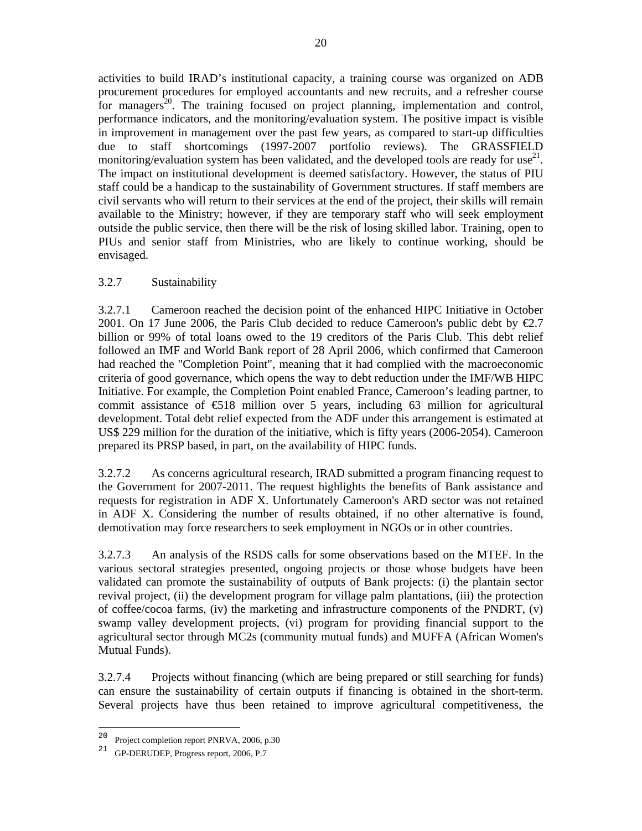activities to build IRAD's institutional capacity, a training course was organized on ADB procurement procedures for employed accountants and new recruits, and a refresher course for managers<sup>20</sup>. The training focused on project planning, implementation and control, performance indicators, and the monitoring/evaluation system. The positive impact is visible in improvement in management over the past few years, as compared to start-up difficulties due to staff shortcomings (1997-2007 portfolio reviews). The GRASSFIELD monitoring/evaluation system has been validated, and the developed tools are ready for use<sup>21</sup>. The impact on institutional development is deemed satisfactory. However, the status of PIU staff could be a handicap to the sustainability of Government structures. If staff members are civil servants who will return to their services at the end of the project, their skills will remain available to the Ministry; however, if they are temporary staff who will seek employment outside the public service, then there will be the risk of losing skilled labor. Training, open to PIUs and senior staff from Ministries, who are likely to continue working, should be envisaged.

## 3.2.7 Sustainability

3.2.7.1 Cameroon reached the decision point of the enhanced HIPC Initiative in October 2001. On 17 June 2006, the Paris Club decided to reduce Cameroon's public debt by  $\epsilon$ .7 billion or 99% of total loans owed to the 19 creditors of the Paris Club. This debt relief followed an IMF and World Bank report of 28 April 2006, which confirmed that Cameroon had reached the "Completion Point", meaning that it had complied with the macroeconomic criteria of good governance, which opens the way to debt reduction under the IMF/WB HIPC Initiative. For example, the Completion Point enabled France, Cameroon's leading partner, to commit assistance of  $\epsilon$ 18 million over 5 years, including 63 million for agricultural development. Total debt relief expected from the ADF under this arrangement is estimated at US\$ 229 million for the duration of the initiative, which is fifty years (2006-2054). Cameroon prepared its PRSP based, in part, on the availability of HIPC funds.

3.2.7.2 As concerns agricultural research, IRAD submitted a program financing request to the Government for 2007-2011. The request highlights the benefits of Bank assistance and requests for registration in ADF X. Unfortunately Cameroon's ARD sector was not retained in ADF X. Considering the number of results obtained, if no other alternative is found, demotivation may force researchers to seek employment in NGOs or in other countries.

3.2.7.3 An analysis of the RSDS calls for some observations based on the MTEF. In the various sectoral strategies presented, ongoing projects or those whose budgets have been validated can promote the sustainability of outputs of Bank projects: (i) the plantain sector revival project, (ii) the development program for village palm plantations, (iii) the protection of coffee/cocoa farms, (iv) the marketing and infrastructure components of the PNDRT, (v) swamp valley development projects, (vi) program for providing financial support to the agricultural sector through MC2s (community mutual funds) and MUFFA (African Women's Mutual Funds).

3.2.7.4 Projects without financing (which are being prepared or still searching for funds) can ensure the sustainability of certain outputs if financing is obtained in the short-term. Several projects have thus been retained to improve agricultural competitiveness, the

 $20\,$ Project completion report PNRVA, 2006, p.30

<sup>21</sup> GP-DERUDEP, Progress report, 2006, P.7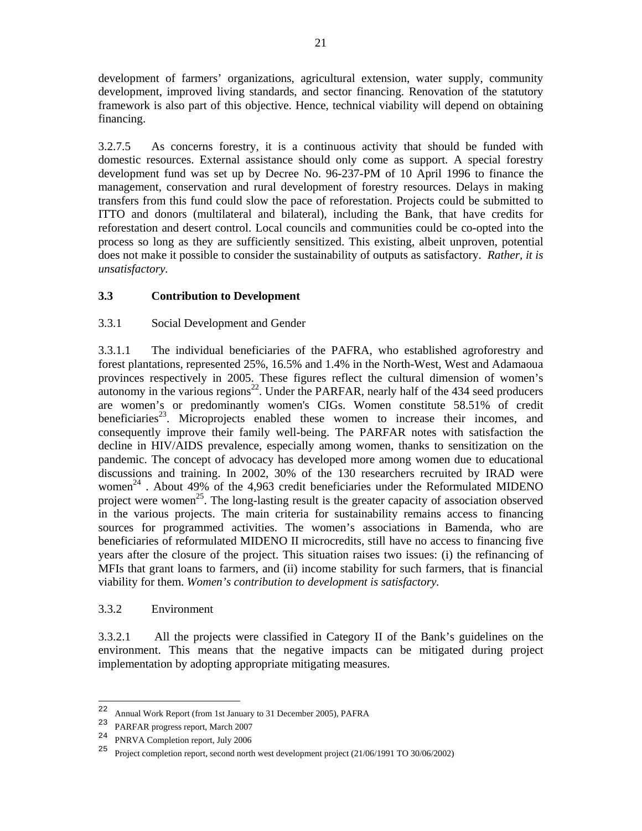development of farmers' organizations, agricultural extension, water supply, community development, improved living standards, and sector financing. Renovation of the statutory framework is also part of this objective. Hence, technical viability will depend on obtaining financing.

3.2.7.5 As concerns forestry, it is a continuous activity that should be funded with domestic resources. External assistance should only come as support. A special forestry development fund was set up by Decree No. 96-237-PM of 10 April 1996 to finance the management, conservation and rural development of forestry resources. Delays in making transfers from this fund could slow the pace of reforestation. Projects could be submitted to ITTO and donors (multilateral and bilateral), including the Bank, that have credits for reforestation and desert control. Local councils and communities could be co-opted into the process so long as they are sufficiently sensitized. This existing, albeit unproven, potential does not make it possible to consider the sustainability of outputs as satisfactory. *Rather, it is unsatisfactory.*

# **3.3 Contribution to Development**

## 3.3.1 Social Development and Gender

3.3.1.1 The individual beneficiaries of the PAFRA, who established agroforestry and forest plantations, represented 25%, 16.5% and 1.4% in the North-West, West and Adamaoua provinces respectively in 2005. These figures reflect the cultural dimension of women's autonomy in the various regions<sup>22</sup>. Under the PARFAR, nearly half of the 434 seed producers are women's or predominantly women's CIGs. Women constitute 58.51% of credit beneficiaries<sup>23</sup>. Microprojects enabled these women to increase their incomes, and consequently improve their family well-being. The PARFAR notes with satisfaction the decline in HIV/AIDS prevalence, especially among women, thanks to sensitization on the pandemic. The concept of advocacy has developed more among women due to educational discussions and training. In 2002, 30% of the 130 researchers recruited by IRAD were women 24 . About 49% of the 4,963 credit beneficiaries under the Reformulated MIDENO project were women<sup>25</sup>. The long-lasting result is the greater capacity of association observed in the various projects. The main criteria for sustainability remains access to financing sources for programmed activities. The women's associations in Bamenda, who are beneficiaries of reformulated MIDENO II microcredits, still have no access to financing five years after the closure of the project. This situation raises two issues: (i) the refinancing of MFIs that grant loans to farmers, and (ii) income stability for such farmers, that is financial viability for them. *Women's contribution to development is satisfactory.* 

## 3.3.2 Environment

3.3.2.1 All the projects were classified in Category II of the Bank's guidelines on the environment. This means that the negative impacts can be mitigated during project implementation by adopting appropriate mitigating measures.

 $2\sqrt{2}$ Annual Work Report (from 1st January to 31 December 2005), PAFRA

<sup>&</sup>lt;sup>23</sup> PARFAR progress report, March 2007<br><sup>24</sup> PND*MA* Completion report, July 2006

<sup>&</sup>lt;sup>24</sup> PNRVA Completion report, July 2006<br> $\frac{25}{\pi}$  Project completion report, second port

<sup>25</sup> Project completion report, second north west development project (21/06/1991 TO 30/06/2002)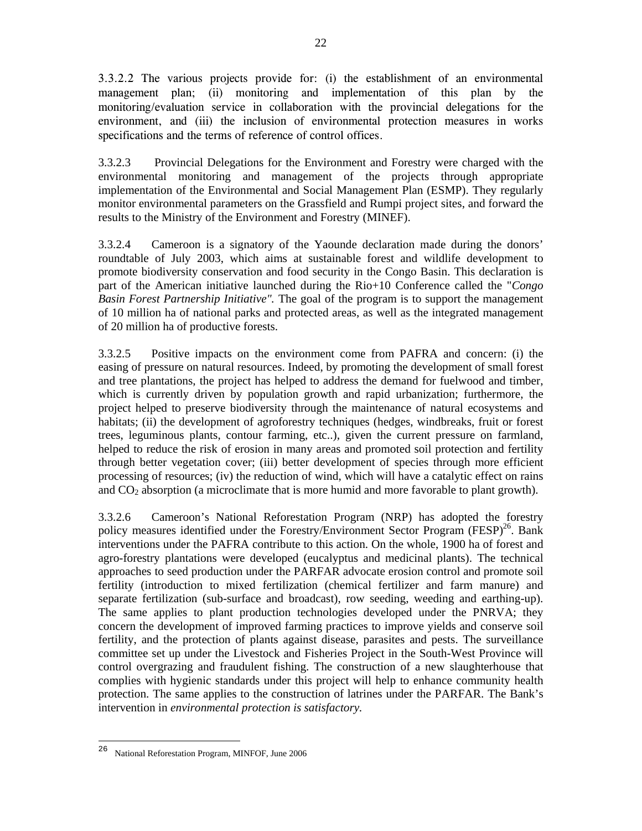3.3.2.2 The various projects provide for: (i) the establishment of an environmental management plan; (ii) monitoring and implementation of this plan by the monitoring/evaluation service in collaboration with the provincial delegations for the environment, and (iii) the inclusion of environmental protection measures in works specifications and the terms of reference of control offices.

3.3.2.3 Provincial Delegations for the Environment and Forestry were charged with the environmental monitoring and management of the projects through appropriate implementation of the Environmental and Social Management Plan (ESMP). They regularly monitor environmental parameters on the Grassfield and Rumpi project sites, and forward the results to the Ministry of the Environment and Forestry (MINEF).

3.3.2.4 Cameroon is a signatory of the Yaounde declaration made during the donors' roundtable of July 2003, which aims at sustainable forest and wildlife development to promote biodiversity conservation and food security in the Congo Basin. This declaration is part of the American initiative launched during the Rio+10 Conference called the "*Congo Basin Forest Partnership Initiative".* The goal of the program is to support the management of 10 million ha of national parks and protected areas, as well as the integrated management of 20 million ha of productive forests.

3.3.2.5 Positive impacts on the environment come from PAFRA and concern: (i) the easing of pressure on natural resources. Indeed, by promoting the development of small forest and tree plantations, the project has helped to address the demand for fuelwood and timber, which is currently driven by population growth and rapid urbanization; furthermore, the project helped to preserve biodiversity through the maintenance of natural ecosystems and habitats; (ii) the development of agroforestry techniques (hedges, windbreaks, fruit or forest trees, leguminous plants, contour farming, etc..), given the current pressure on farmland, helped to reduce the risk of erosion in many areas and promoted soil protection and fertility through better vegetation cover; (iii) better development of species through more efficient processing of resources; (iv) the reduction of wind, which will have a catalytic effect on rains and CO2 absorption (a microclimate that is more humid and more favorable to plant growth).

3.3.2.6 Cameroon's National Reforestation Program (NRP) has adopted the forestry policy measures identified under the Forestry/Environment Sector Program (FESP)<sup>26</sup>. Bank interventions under the PAFRA contribute to this action. On the whole, 1900 ha of forest and agro-forestry plantations were developed (eucalyptus and medicinal plants). The technical approaches to seed production under the PARFAR advocate erosion control and promote soil fertility (introduction to mixed fertilization (chemical fertilizer and farm manure) and separate fertilization (sub-surface and broadcast), row seeding, weeding and earthing-up). The same applies to plant production technologies developed under the PNRVA; they concern the development of improved farming practices to improve yields and conserve soil fertility, and the protection of plants against disease, parasites and pests. The surveillance committee set up under the Livestock and Fisheries Project in the South-West Province will control overgrazing and fraudulent fishing. The construction of a new slaughterhouse that complies with hygienic standards under this project will help to enhance community health protection. The same applies to the construction of latrines under the PARFAR. The Bank's intervention in *environmental protection is satisfactory.*

<sup>26</sup> <sup>26</sup> National Reforestation Program, MINFOF, June 2006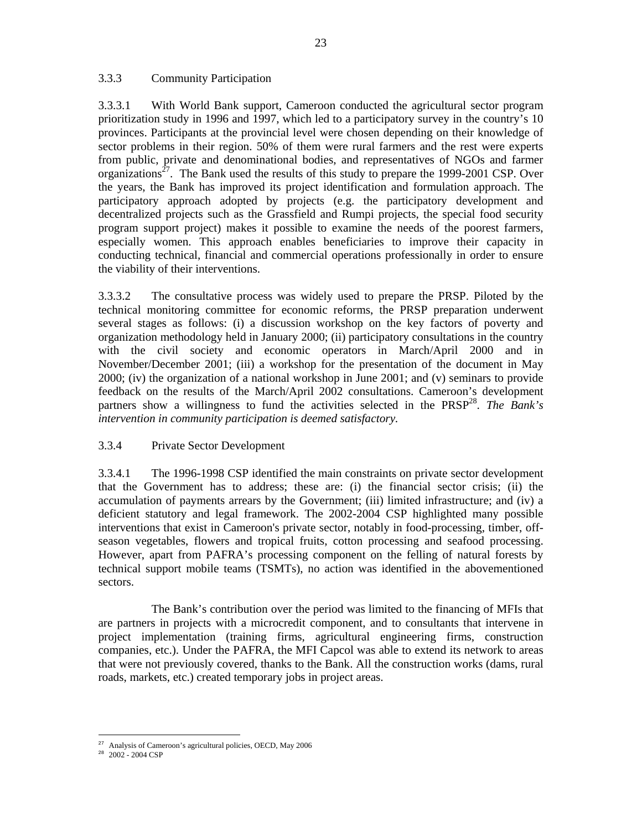#### 3.3.3 Community Participation

3.3.3.1 With World Bank support, Cameroon conducted the agricultural sector program prioritization study in 1996 and 1997, which led to a participatory survey in the country's 10 provinces. Participants at the provincial level were chosen depending on their knowledge of sector problems in their region. 50% of them were rural farmers and the rest were experts from public, private and denominational bodies, and representatives of NGOs and farmer organizations<sup>27</sup>. The Bank used the results of this study to prepare the 1999-2001 CSP. Over the years, the Bank has improved its project identification and formulation approach. The participatory approach adopted by projects (e.g. the participatory development and decentralized projects such as the Grassfield and Rumpi projects, the special food security program support project) makes it possible to examine the needs of the poorest farmers, especially women. This approach enables beneficiaries to improve their capacity in conducting technical, financial and commercial operations professionally in order to ensure the viability of their interventions.

3.3.3.2 The consultative process was widely used to prepare the PRSP. Piloted by the technical monitoring committee for economic reforms, the PRSP preparation underwent several stages as follows: (i) a discussion workshop on the key factors of poverty and organization methodology held in January 2000; (ii) participatory consultations in the country with the civil society and economic operators in March/April 2000 and in November/December 2001; (iii) a workshop for the presentation of the document in May 2000; (iv) the organization of a national workshop in June 2001; and (v) seminars to provide feedback on the results of the March/April 2002 consultations. Cameroon's development partners show a willingness to fund the activities selected in the PRSP<sup>28</sup>. The Bank's *intervention in community participation is deemed satisfactory.*

## 3.3.4 Private Sector Development

3.3.4.1 The 1996-1998 CSP identified the main constraints on private sector development that the Government has to address; these are: (i) the financial sector crisis; (ii) the accumulation of payments arrears by the Government; (iii) limited infrastructure; and (iv) a deficient statutory and legal framework. The 2002-2004 CSP highlighted many possible interventions that exist in Cameroon's private sector, notably in food-processing, timber, offseason vegetables, flowers and tropical fruits, cotton processing and seafood processing. However, apart from PAFRA's processing component on the felling of natural forests by technical support mobile teams (TSMTs), no action was identified in the abovementioned sectors.

 The Bank's contribution over the period was limited to the financing of MFIs that are partners in projects with a microcredit component, and to consultants that intervene in project implementation (training firms, agricultural engineering firms, construction companies, etc.). Under the PAFRA, the MFI Capcol was able to extend its network to areas that were not previously covered, thanks to the Bank. All the construction works (dams, rural roads, markets, etc.) created temporary jobs in project areas.

<sup>-</sup><sup>27</sup> Analysis of Cameroon's agricultural policies, OECD, May 2006

 $28$  2002 - 2004 CSP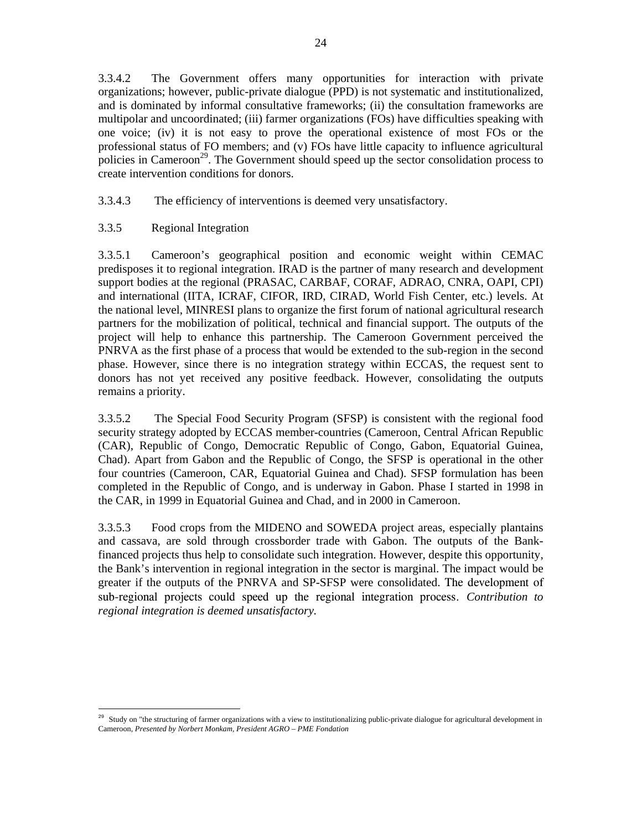3.3.4.2 The Government offers many opportunities for interaction with private organizations; however, public-private dialogue (PPD) is not systematic and institutionalized, and is dominated by informal consultative frameworks; (ii) the consultation frameworks are multipolar and uncoordinated; (iii) farmer organizations (FOs) have difficulties speaking with one voice; (iv) it is not easy to prove the operational existence of most FOs or the professional status of FO members; and (v) FOs have little capacity to influence agricultural policies in Cameroon<sup>29</sup>. The Government should speed up the sector consolidation process to create intervention conditions for donors.

3.3.4.3 The efficiency of interventions is deemed very unsatisfactory.

# 3.3.5 Regional Integration

-

3.3.5.1 Cameroon's geographical position and economic weight within CEMAC predisposes it to regional integration. IRAD is the partner of many research and development support bodies at the regional (PRASAC, CARBAF, CORAF, ADRAO, CNRA, OAPI, CPI) and international (IITA, ICRAF, CIFOR, IRD, CIRAD, World Fish Center, etc.) levels. At the national level, MINRESI plans to organize the first forum of national agricultural research partners for the mobilization of political, technical and financial support. The outputs of the project will help to enhance this partnership. The Cameroon Government perceived the PNRVA as the first phase of a process that would be extended to the sub-region in the second phase. However, since there is no integration strategy within ECCAS, the request sent to donors has not yet received any positive feedback. However, consolidating the outputs remains a priority.

3.3.5.2 The Special Food Security Program (SFSP) is consistent with the regional food security strategy adopted by ECCAS member-countries (Cameroon, Central African Republic (CAR), Republic of Congo, Democratic Republic of Congo, Gabon, Equatorial Guinea, Chad). Apart from Gabon and the Republic of Congo, the SFSP is operational in the other four countries (Cameroon, CAR, Equatorial Guinea and Chad). SFSP formulation has been completed in the Republic of Congo, and is underway in Gabon. Phase I started in 1998 in the CAR, in 1999 in Equatorial Guinea and Chad, and in 2000 in Cameroon.

3.3.5.3 Food crops from the MIDENO and SOWEDA project areas, especially plantains and cassava, are sold through crossborder trade with Gabon. The outputs of the Bankfinanced projects thus help to consolidate such integration. However, despite this opportunity, the Bank's intervention in regional integration in the sector is marginal. The impact would be greater if the outputs of the PNRVA and SP-SFSP were consolidated. The development of sub-regional projects could speed up the regional integration process. *Contribution to regional integration is deemed unsatisfactory.* 

<sup>&</sup>lt;sup>29</sup> Study on "the structuring of farmer organizations with a view to institutionalizing public-private dialogue for agricultural development in Cameroon, *Presented by Norbert Monkam, President AGRO – PME Fondation*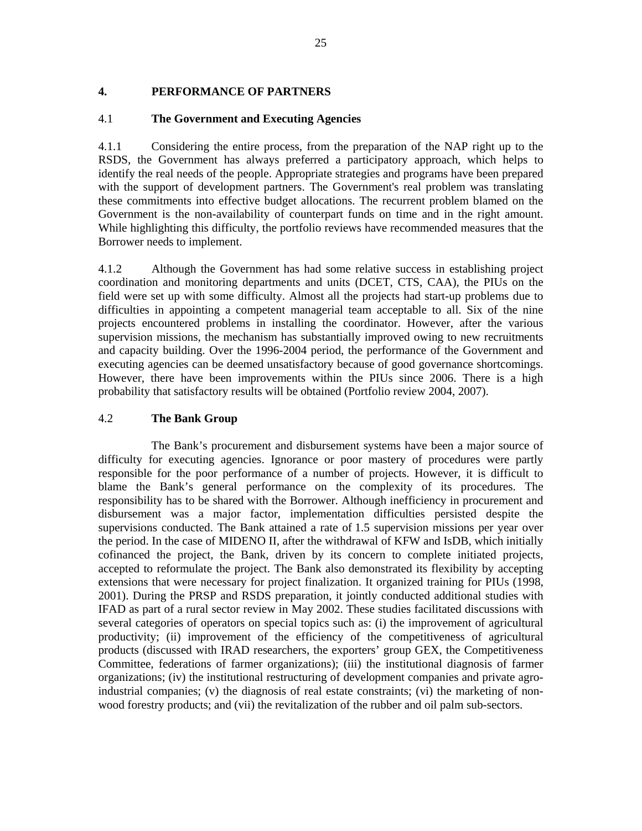# **4. PERFORMANCE OF PARTNERS**

# 4.1 **The Government and Executing Agencies**

4.1.1 Considering the entire process, from the preparation of the NAP right up to the RSDS, the Government has always preferred a participatory approach, which helps to identify the real needs of the people. Appropriate strategies and programs have been prepared with the support of development partners. The Government's real problem was translating these commitments into effective budget allocations. The recurrent problem blamed on the Government is the non-availability of counterpart funds on time and in the right amount. While highlighting this difficulty, the portfolio reviews have recommended measures that the Borrower needs to implement.

4.1.2 Although the Government has had some relative success in establishing project coordination and monitoring departments and units (DCET, CTS, CAA), the PIUs on the field were set up with some difficulty. Almost all the projects had start-up problems due to difficulties in appointing a competent managerial team acceptable to all. Six of the nine projects encountered problems in installing the coordinator. However, after the various supervision missions, the mechanism has substantially improved owing to new recruitments and capacity building. Over the 1996-2004 period, the performance of the Government and executing agencies can be deemed unsatisfactory because of good governance shortcomings. However, there have been improvements within the PIUs since 2006. There is a high probability that satisfactory results will be obtained (Portfolio review 2004, 2007).

# 4.2 **The Bank Group**

 The Bank's procurement and disbursement systems have been a major source of difficulty for executing agencies. Ignorance or poor mastery of procedures were partly responsible for the poor performance of a number of projects. However, it is difficult to blame the Bank's general performance on the complexity of its procedures. The responsibility has to be shared with the Borrower. Although inefficiency in procurement and disbursement was a major factor, implementation difficulties persisted despite the supervisions conducted. The Bank attained a rate of 1.5 supervision missions per year over the period. In the case of MIDENO II, after the withdrawal of KFW and IsDB, which initially cofinanced the project, the Bank, driven by its concern to complete initiated projects, accepted to reformulate the project. The Bank also demonstrated its flexibility by accepting extensions that were necessary for project finalization. It organized training for PIUs (1998, 2001). During the PRSP and RSDS preparation, it jointly conducted additional studies with IFAD as part of a rural sector review in May 2002. These studies facilitated discussions with several categories of operators on special topics such as: (i) the improvement of agricultural productivity; (ii) improvement of the efficiency of the competitiveness of agricultural products (discussed with IRAD researchers, the exporters' group GEX, the Competitiveness Committee, federations of farmer organizations); (iii) the institutional diagnosis of farmer organizations; (iv) the institutional restructuring of development companies and private agroindustrial companies; (v) the diagnosis of real estate constraints; (vi) the marketing of nonwood forestry products; and (vii) the revitalization of the rubber and oil palm sub-sectors.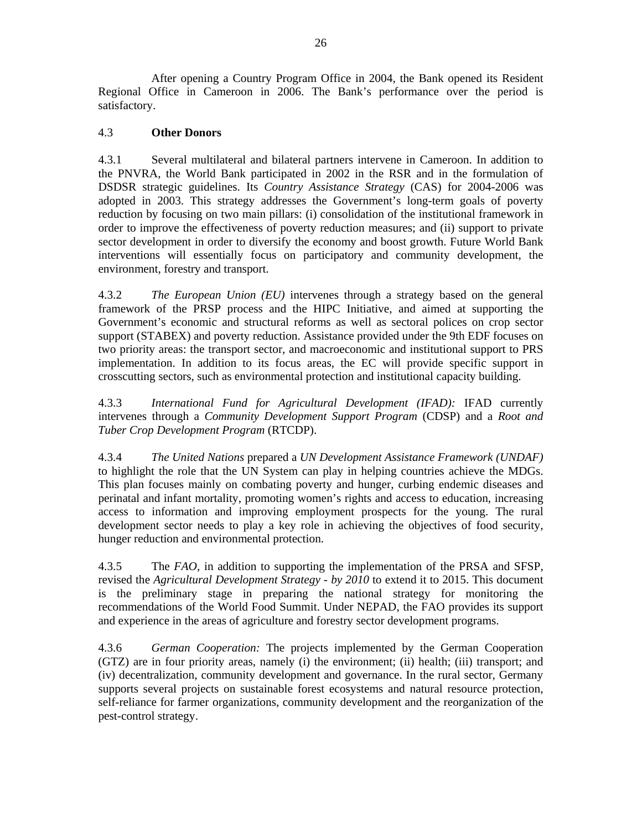After opening a Country Program Office in 2004, the Bank opened its Resident Regional Office in Cameroon in 2006. The Bank's performance over the period is satisfactory.

# 4.3 **Other Donors**

4.3.1 Several multilateral and bilateral partners intervene in Cameroon. In addition to the PNVRA, the World Bank participated in 2002 in the RSR and in the formulation of DSDSR strategic guidelines. Its *Country Assistance Strategy* (CAS) for 2004-2006 was adopted in 2003. This strategy addresses the Government's long-term goals of poverty reduction by focusing on two main pillars: (i) consolidation of the institutional framework in order to improve the effectiveness of poverty reduction measures; and (ii) support to private sector development in order to diversify the economy and boost growth. Future World Bank interventions will essentially focus on participatory and community development, the environment, forestry and transport.

4.3.2 *The European Union (EU)* intervenes through a strategy based on the general framework of the PRSP process and the HIPC Initiative, and aimed at supporting the Government's economic and structural reforms as well as sectoral polices on crop sector support (STABEX) and poverty reduction. Assistance provided under the 9th EDF focuses on two priority areas: the transport sector, and macroeconomic and institutional support to PRS implementation. In addition to its focus areas, the EC will provide specific support in crosscutting sectors, such as environmental protection and institutional capacity building.

4.3.3 *International Fund for Agricultural Development (IFAD):* IFAD currently intervenes through a *Community Development Support Program* (CDSP) and a *Root and Tuber Crop Development Program* (RTCDP).

4.3.4 *The United Nations* prepared a *UN Development Assistance Framework (UNDAF)*  to highlight the role that the UN System can play in helping countries achieve the MDGs. This plan focuses mainly on combating poverty and hunger, curbing endemic diseases and perinatal and infant mortality, promoting women's rights and access to education, increasing access to information and improving employment prospects for the young. The rural development sector needs to play a key role in achieving the objectives of food security, hunger reduction and environmental protection.

4.3.5 The *FAO*, in addition to supporting the implementation of the PRSA and SFSP, revised the *Agricultural Development Strategy - by 2010* to extend it to 2015. This document is the preliminary stage in preparing the national strategy for monitoring the recommendations of the World Food Summit. Under NEPAD, the FAO provides its support and experience in the areas of agriculture and forestry sector development programs.

4.3.6 *German Cooperation:* The projects implemented by the German Cooperation (GTZ) are in four priority areas, namely (i) the environment; (ii) health; (iii) transport; and (iv) decentralization, community development and governance. In the rural sector, Germany supports several projects on sustainable forest ecosystems and natural resource protection, self-reliance for farmer organizations, community development and the reorganization of the pest-control strategy.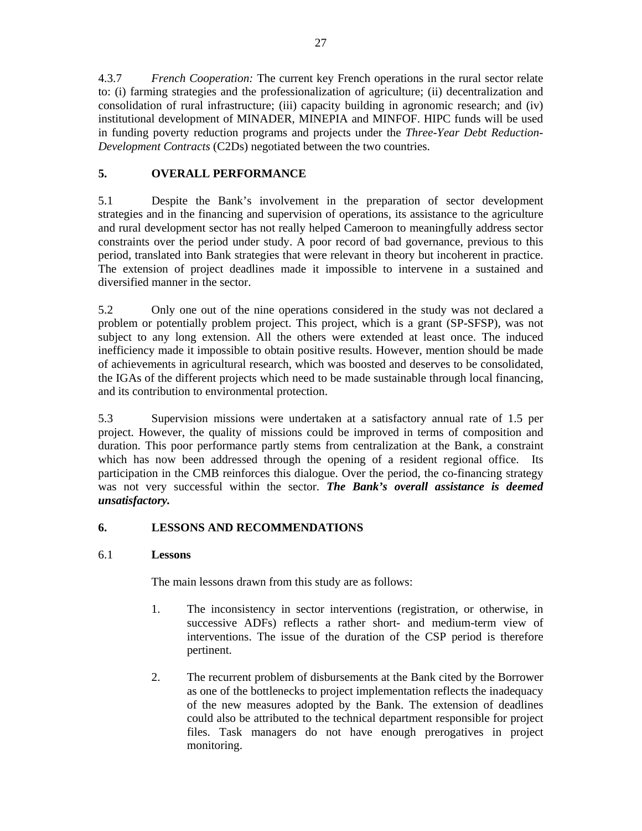4.3.7 *French Cooperation:* The current key French operations in the rural sector relate to: (i) farming strategies and the professionalization of agriculture; (ii) decentralization and consolidation of rural infrastructure; (iii) capacity building in agronomic research; and (iv) institutional development of MINADER, MINEPIA and MINFOF. HIPC funds will be used in funding poverty reduction programs and projects under the *Three-Year Debt Reduction-Development Contracts* (C2Ds) negotiated between the two countries.

### **5. OVERALL PERFORMANCE**

5.1 Despite the Bank's involvement in the preparation of sector development strategies and in the financing and supervision of operations, its assistance to the agriculture and rural development sector has not really helped Cameroon to meaningfully address sector constraints over the period under study. A poor record of bad governance, previous to this period, translated into Bank strategies that were relevant in theory but incoherent in practice. The extension of project deadlines made it impossible to intervene in a sustained and diversified manner in the sector.

5.2 Only one out of the nine operations considered in the study was not declared a problem or potentially problem project. This project, which is a grant (SP-SFSP), was not subject to any long extension. All the others were extended at least once. The induced inefficiency made it impossible to obtain positive results. However, mention should be made of achievements in agricultural research, which was boosted and deserves to be consolidated, the IGAs of the different projects which need to be made sustainable through local financing, and its contribution to environmental protection.

5.3 Supervision missions were undertaken at a satisfactory annual rate of 1.5 per project. However, the quality of missions could be improved in terms of composition and duration. This poor performance partly stems from centralization at the Bank, a constraint which has now been addressed through the opening of a resident regional office. Its participation in the CMB reinforces this dialogue. Over the period, the co-financing strategy was not very successful within the sector. *The Bank's overall assistance is deemed unsatisfactory.*

### **6. LESSONS AND RECOMMENDATIONS**

#### 6.1 **Lessons**

The main lessons drawn from this study are as follows:

- 1. The inconsistency in sector interventions (registration, or otherwise, in successive ADFs) reflects a rather short- and medium-term view of interventions. The issue of the duration of the CSP period is therefore pertinent.
- 2. The recurrent problem of disbursements at the Bank cited by the Borrower as one of the bottlenecks to project implementation reflects the inadequacy of the new measures adopted by the Bank. The extension of deadlines could also be attributed to the technical department responsible for project files. Task managers do not have enough prerogatives in project monitoring.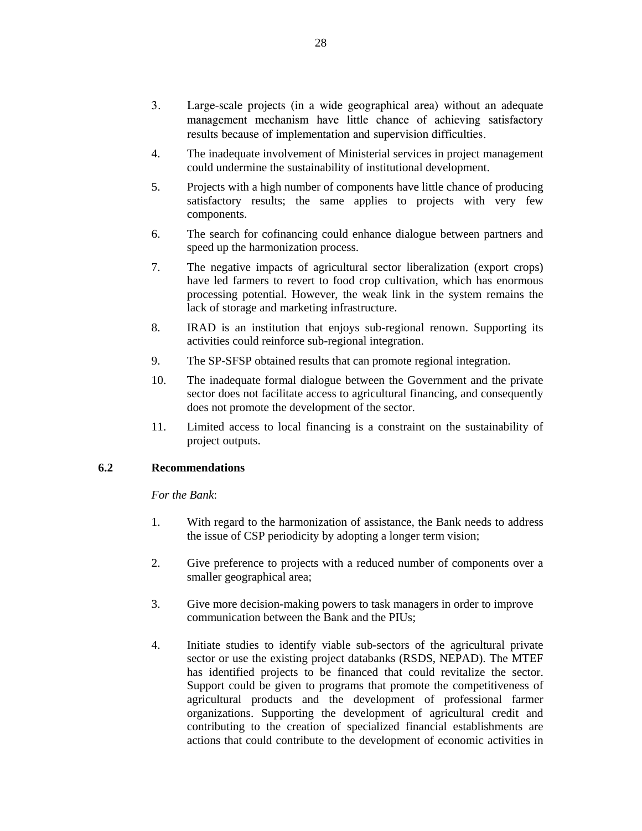- 3. Large-scale projects (in a wide geographical area) without an adequate management mechanism have little chance of achieving satisfactory results because of implementation and supervision difficulties.
- 4. The inadequate involvement of Ministerial services in project management could undermine the sustainability of institutional development.
- 5. Projects with a high number of components have little chance of producing satisfactory results; the same applies to projects with very few components.
- 6. The search for cofinancing could enhance dialogue between partners and speed up the harmonization process.
- 7. The negative impacts of agricultural sector liberalization (export crops) have led farmers to revert to food crop cultivation, which has enormous processing potential. However, the weak link in the system remains the lack of storage and marketing infrastructure.
- 8. IRAD is an institution that enjoys sub-regional renown. Supporting its activities could reinforce sub-regional integration.
- 9. The SP-SFSP obtained results that can promote regional integration.
- 10. The inadequate formal dialogue between the Government and the private sector does not facilitate access to agricultural financing, and consequently does not promote the development of the sector.
- 11. Limited access to local financing is a constraint on the sustainability of project outputs.

#### **6.2 Recommendations**

 *For the Bank*:

- 1. With regard to the harmonization of assistance, the Bank needs to address the issue of CSP periodicity by adopting a longer term vision;
- 2. Give preference to projects with a reduced number of components over a smaller geographical area;
- 3. Give more decision-making powers to task managers in order to improve communication between the Bank and the PIUs;
- 4. Initiate studies to identify viable sub-sectors of the agricultural private sector or use the existing project databanks (RSDS, NEPAD). The MTEF has identified projects to be financed that could revitalize the sector. Support could be given to programs that promote the competitiveness of agricultural products and the development of professional farmer organizations. Supporting the development of agricultural credit and contributing to the creation of specialized financial establishments are actions that could contribute to the development of economic activities in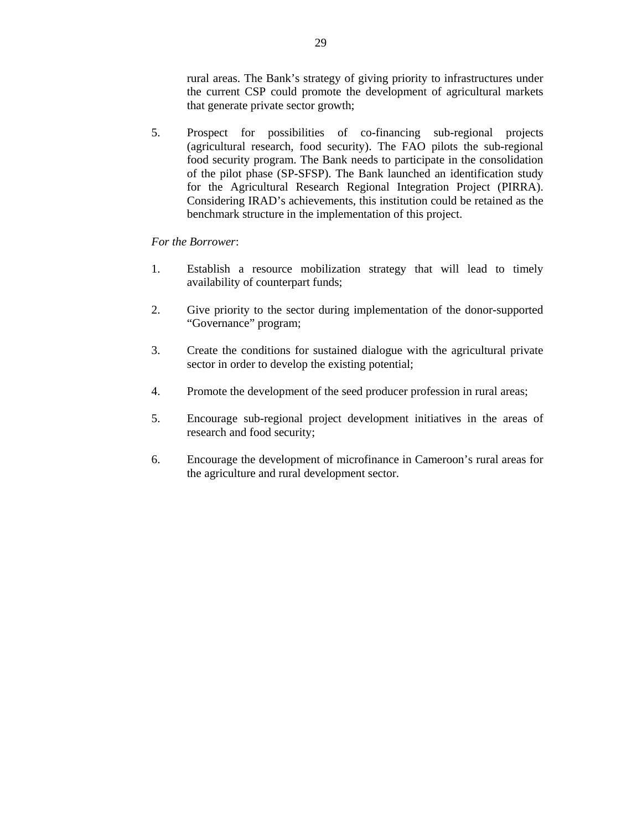rural areas. The Bank's strategy of giving priority to infrastructures under the current CSP could promote the development of agricultural markets that generate private sector growth;

5. Prospect for possibilities of co-financing sub-regional projects (agricultural research, food security). The FAO pilots the sub-regional food security program. The Bank needs to participate in the consolidation of the pilot phase (SP-SFSP). The Bank launched an identification study for the Agricultural Research Regional Integration Project (PIRRA). Considering IRAD's achievements, this institution could be retained as the benchmark structure in the implementation of this project.

#### *For the Borrower*:

- 1. Establish a resource mobilization strategy that will lead to timely availability of counterpart funds;
- 2. Give priority to the sector during implementation of the donor-supported "Governance" program;
- 3. Create the conditions for sustained dialogue with the agricultural private sector in order to develop the existing potential;
- 4. Promote the development of the seed producer profession in rural areas;
- 5. Encourage sub-regional project development initiatives in the areas of research and food security;
- 6. Encourage the development of microfinance in Cameroon's rural areas for the agriculture and rural development sector.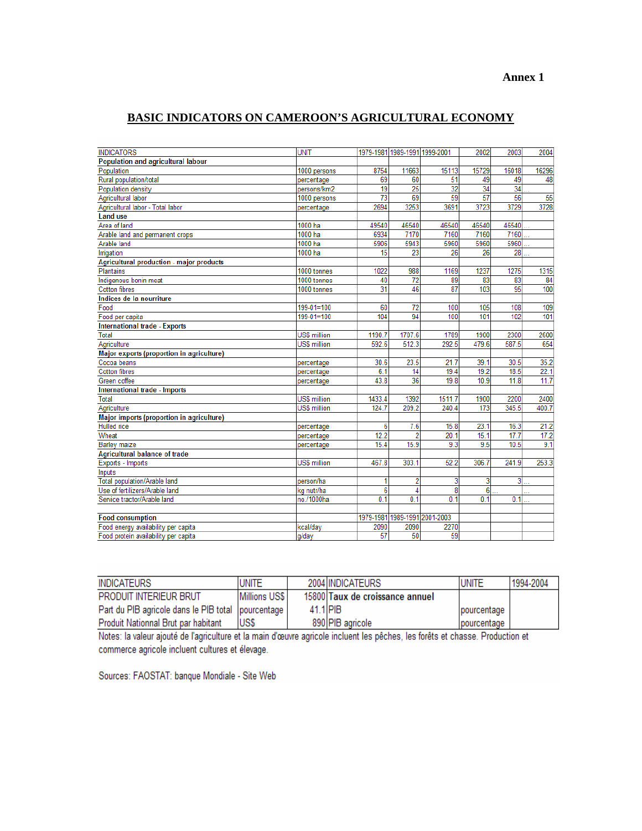# **BASIC INDICATORS ON CAMEROON'S AGRICULTURAL ECONOMY**

| 1979-1981 1989-1991 1999-2001<br>Population and agricultural labour<br>11663<br>15729<br>16296<br>Population<br>1000 persons<br>8754<br>15113<br>16018<br>Rural population/total<br>69<br>51<br>48<br>60<br>49<br>49<br>percentage<br>$\overline{25}$<br>$\overline{32}$<br>$\overline{34}$<br>34<br>19<br>Population density<br>persons/km2<br>57<br>$\overline{73}$<br>69<br>59<br>56<br>55<br>Agricultural labor<br>1000 persons<br>3253<br>3728<br>2694<br>3691<br>3723<br>3729<br>Agricultural labor - Total labor<br>percentage<br><b>Land use</b><br>Area of land<br>1000 ha<br>46540<br>46540<br>49540<br>46540<br>46540<br>1000 ha<br>6934<br>7170<br>7160<br>7160<br>7160<br>Arable land and permanent crops<br>5943<br>5960<br>1000 ha<br>5906<br>5960<br>5960<br>Arable land<br>26<br>28<br>1000 ha<br>15<br>23<br>26<br>Irrigation<br><b>Agricultural production - major products</b><br>Plantains<br>1315<br>1000 tonnes<br>1022<br>988<br>1169<br>1237<br>1275<br>$\overline{72}$<br>89<br>83<br>83<br>84<br>Indigenous bonin meat<br>1000 tonnes<br>40<br>$\overline{31}$<br>87<br>103<br>95<br>100<br><b>Cotton fibres</b><br>46<br>1000 tonnes<br>Indices de la nourriture<br>60<br>72<br>100<br>109<br>Food<br>199-01=100<br>105<br>108<br>104<br>94<br>101<br>$199-01=100$<br>100<br>101<br>102<br>Food per capita<br><b>International trade - Exports</b><br>Total<br><b>US\$ million</b><br>1190.7<br>1707.6<br>1789<br>1900<br>2300<br>2600<br>512.3<br>292.5<br>479.6<br>587.5<br>654<br><b>US\$ million</b><br>592.6<br>Agriculture<br>Major exports (proportion in agriculture)<br>23.5<br>35.2<br>Cocoa beans<br>30.6<br>21.7<br>39.1<br>30.5<br>percentage<br>19.2<br>18.5<br>22.1<br><b>Cotton fibres</b><br>6.1<br>19.4<br>percentage<br>14<br>36<br>19.8<br>11.7<br>Green coffee<br>43.8<br>10.9<br>11.8<br>percentage<br>International trade - Imports<br><b>US\$ million</b><br>1392<br>1511.7<br>1900<br>2200<br>Total<br>1433.4<br>2400<br>209.2<br>173<br>Agriculture<br><b>US\$ million</b><br>124.7<br>240.4<br>345.5<br>400.7<br>Major imports (proportion in agriculture)<br><b>Hulled</b> rice<br>6<br>7.6<br>15.8<br>23.1<br>16.3<br>21.2<br>percentage<br>Wheat<br>12.2<br>$\overline{2}$<br>20.1<br>15.1<br>17.7<br>17.2<br>percentage<br>15.9<br>9.3<br>9.1<br>15.4<br>9.5<br>10.5<br><b>Barley maize</b><br>percentage<br><b>Agricultural balance of trade</b><br>303.1<br>52.2<br>253.3<br><b>US\$ million</b><br>467.8<br>306.7<br>241.9<br>Exports - Imports<br>Inputs<br>$\overline{2}$<br>3<br>$\overline{3}$<br>Total population/Arable land<br>1<br>3<br>person/ha<br>222<br>$\overline{6}$<br>$\overline{4}$<br>Use of fertilizers/Arable land<br>8<br>6<br>kg nutr/ha<br>0.1<br>0 <sub>1</sub><br>Service tractor/Arable land<br>no./1000ha<br>0 <sub>1</sub><br>0 <sub>1</sub><br>0.1<br>1979-1981 1989-1991 2001-2003<br><b>Food consumption</b><br>Food energy availability per capita<br>2090<br>2090<br>2270<br>kcal/day<br>57<br>59<br>Food protein availability per capita<br>50<br>g/day |                   |             |  |      |      |      |
|---------------------------------------------------------------------------------------------------------------------------------------------------------------------------------------------------------------------------------------------------------------------------------------------------------------------------------------------------------------------------------------------------------------------------------------------------------------------------------------------------------------------------------------------------------------------------------------------------------------------------------------------------------------------------------------------------------------------------------------------------------------------------------------------------------------------------------------------------------------------------------------------------------------------------------------------------------------------------------------------------------------------------------------------------------------------------------------------------------------------------------------------------------------------------------------------------------------------------------------------------------------------------------------------------------------------------------------------------------------------------------------------------------------------------------------------------------------------------------------------------------------------------------------------------------------------------------------------------------------------------------------------------------------------------------------------------------------------------------------------------------------------------------------------------------------------------------------------------------------------------------------------------------------------------------------------------------------------------------------------------------------------------------------------------------------------------------------------------------------------------------------------------------------------------------------------------------------------------------------------------------------------------------------------------------------------------------------------------------------------------------------------------------------------------------------------------------------------------------------------------------------------------------------------------------------------------------------------------------------------------------------------------------------------------------------------------------------------------------------------------------------------------------------------------------------------------------------------------------------------------------------------------------------------------------------------------------------------------------------------------------------------------------------------------------|-------------------|-------------|--|------|------|------|
|                                                                                                                                                                                                                                                                                                                                                                                                                                                                                                                                                                                                                                                                                                                                                                                                                                                                                                                                                                                                                                                                                                                                                                                                                                                                                                                                                                                                                                                                                                                                                                                                                                                                                                                                                                                                                                                                                                                                                                                                                                                                                                                                                                                                                                                                                                                                                                                                                                                                                                                                                                                                                                                                                                                                                                                                                                                                                                                                                                                                                                                         | <b>INDICATORS</b> | <b>UNIT</b> |  | 2002 | 2003 | 2004 |
|                                                                                                                                                                                                                                                                                                                                                                                                                                                                                                                                                                                                                                                                                                                                                                                                                                                                                                                                                                                                                                                                                                                                                                                                                                                                                                                                                                                                                                                                                                                                                                                                                                                                                                                                                                                                                                                                                                                                                                                                                                                                                                                                                                                                                                                                                                                                                                                                                                                                                                                                                                                                                                                                                                                                                                                                                                                                                                                                                                                                                                                         |                   |             |  |      |      |      |
|                                                                                                                                                                                                                                                                                                                                                                                                                                                                                                                                                                                                                                                                                                                                                                                                                                                                                                                                                                                                                                                                                                                                                                                                                                                                                                                                                                                                                                                                                                                                                                                                                                                                                                                                                                                                                                                                                                                                                                                                                                                                                                                                                                                                                                                                                                                                                                                                                                                                                                                                                                                                                                                                                                                                                                                                                                                                                                                                                                                                                                                         |                   |             |  |      |      |      |
|                                                                                                                                                                                                                                                                                                                                                                                                                                                                                                                                                                                                                                                                                                                                                                                                                                                                                                                                                                                                                                                                                                                                                                                                                                                                                                                                                                                                                                                                                                                                                                                                                                                                                                                                                                                                                                                                                                                                                                                                                                                                                                                                                                                                                                                                                                                                                                                                                                                                                                                                                                                                                                                                                                                                                                                                                                                                                                                                                                                                                                                         |                   |             |  |      |      |      |
|                                                                                                                                                                                                                                                                                                                                                                                                                                                                                                                                                                                                                                                                                                                                                                                                                                                                                                                                                                                                                                                                                                                                                                                                                                                                                                                                                                                                                                                                                                                                                                                                                                                                                                                                                                                                                                                                                                                                                                                                                                                                                                                                                                                                                                                                                                                                                                                                                                                                                                                                                                                                                                                                                                                                                                                                                                                                                                                                                                                                                                                         |                   |             |  |      |      |      |
|                                                                                                                                                                                                                                                                                                                                                                                                                                                                                                                                                                                                                                                                                                                                                                                                                                                                                                                                                                                                                                                                                                                                                                                                                                                                                                                                                                                                                                                                                                                                                                                                                                                                                                                                                                                                                                                                                                                                                                                                                                                                                                                                                                                                                                                                                                                                                                                                                                                                                                                                                                                                                                                                                                                                                                                                                                                                                                                                                                                                                                                         |                   |             |  |      |      |      |
|                                                                                                                                                                                                                                                                                                                                                                                                                                                                                                                                                                                                                                                                                                                                                                                                                                                                                                                                                                                                                                                                                                                                                                                                                                                                                                                                                                                                                                                                                                                                                                                                                                                                                                                                                                                                                                                                                                                                                                                                                                                                                                                                                                                                                                                                                                                                                                                                                                                                                                                                                                                                                                                                                                                                                                                                                                                                                                                                                                                                                                                         |                   |             |  |      |      |      |
|                                                                                                                                                                                                                                                                                                                                                                                                                                                                                                                                                                                                                                                                                                                                                                                                                                                                                                                                                                                                                                                                                                                                                                                                                                                                                                                                                                                                                                                                                                                                                                                                                                                                                                                                                                                                                                                                                                                                                                                                                                                                                                                                                                                                                                                                                                                                                                                                                                                                                                                                                                                                                                                                                                                                                                                                                                                                                                                                                                                                                                                         |                   |             |  |      |      |      |
|                                                                                                                                                                                                                                                                                                                                                                                                                                                                                                                                                                                                                                                                                                                                                                                                                                                                                                                                                                                                                                                                                                                                                                                                                                                                                                                                                                                                                                                                                                                                                                                                                                                                                                                                                                                                                                                                                                                                                                                                                                                                                                                                                                                                                                                                                                                                                                                                                                                                                                                                                                                                                                                                                                                                                                                                                                                                                                                                                                                                                                                         |                   |             |  |      |      |      |
|                                                                                                                                                                                                                                                                                                                                                                                                                                                                                                                                                                                                                                                                                                                                                                                                                                                                                                                                                                                                                                                                                                                                                                                                                                                                                                                                                                                                                                                                                                                                                                                                                                                                                                                                                                                                                                                                                                                                                                                                                                                                                                                                                                                                                                                                                                                                                                                                                                                                                                                                                                                                                                                                                                                                                                                                                                                                                                                                                                                                                                                         |                   |             |  |      |      |      |
|                                                                                                                                                                                                                                                                                                                                                                                                                                                                                                                                                                                                                                                                                                                                                                                                                                                                                                                                                                                                                                                                                                                                                                                                                                                                                                                                                                                                                                                                                                                                                                                                                                                                                                                                                                                                                                                                                                                                                                                                                                                                                                                                                                                                                                                                                                                                                                                                                                                                                                                                                                                                                                                                                                                                                                                                                                                                                                                                                                                                                                                         |                   |             |  |      |      |      |
|                                                                                                                                                                                                                                                                                                                                                                                                                                                                                                                                                                                                                                                                                                                                                                                                                                                                                                                                                                                                                                                                                                                                                                                                                                                                                                                                                                                                                                                                                                                                                                                                                                                                                                                                                                                                                                                                                                                                                                                                                                                                                                                                                                                                                                                                                                                                                                                                                                                                                                                                                                                                                                                                                                                                                                                                                                                                                                                                                                                                                                                         |                   |             |  |      |      |      |
|                                                                                                                                                                                                                                                                                                                                                                                                                                                                                                                                                                                                                                                                                                                                                                                                                                                                                                                                                                                                                                                                                                                                                                                                                                                                                                                                                                                                                                                                                                                                                                                                                                                                                                                                                                                                                                                                                                                                                                                                                                                                                                                                                                                                                                                                                                                                                                                                                                                                                                                                                                                                                                                                                                                                                                                                                                                                                                                                                                                                                                                         |                   |             |  |      |      |      |
|                                                                                                                                                                                                                                                                                                                                                                                                                                                                                                                                                                                                                                                                                                                                                                                                                                                                                                                                                                                                                                                                                                                                                                                                                                                                                                                                                                                                                                                                                                                                                                                                                                                                                                                                                                                                                                                                                                                                                                                                                                                                                                                                                                                                                                                                                                                                                                                                                                                                                                                                                                                                                                                                                                                                                                                                                                                                                                                                                                                                                                                         |                   |             |  |      |      |      |
|                                                                                                                                                                                                                                                                                                                                                                                                                                                                                                                                                                                                                                                                                                                                                                                                                                                                                                                                                                                                                                                                                                                                                                                                                                                                                                                                                                                                                                                                                                                                                                                                                                                                                                                                                                                                                                                                                                                                                                                                                                                                                                                                                                                                                                                                                                                                                                                                                                                                                                                                                                                                                                                                                                                                                                                                                                                                                                                                                                                                                                                         |                   |             |  |      |      |      |
|                                                                                                                                                                                                                                                                                                                                                                                                                                                                                                                                                                                                                                                                                                                                                                                                                                                                                                                                                                                                                                                                                                                                                                                                                                                                                                                                                                                                                                                                                                                                                                                                                                                                                                                                                                                                                                                                                                                                                                                                                                                                                                                                                                                                                                                                                                                                                                                                                                                                                                                                                                                                                                                                                                                                                                                                                                                                                                                                                                                                                                                         |                   |             |  |      |      |      |
|                                                                                                                                                                                                                                                                                                                                                                                                                                                                                                                                                                                                                                                                                                                                                                                                                                                                                                                                                                                                                                                                                                                                                                                                                                                                                                                                                                                                                                                                                                                                                                                                                                                                                                                                                                                                                                                                                                                                                                                                                                                                                                                                                                                                                                                                                                                                                                                                                                                                                                                                                                                                                                                                                                                                                                                                                                                                                                                                                                                                                                                         |                   |             |  |      |      |      |
|                                                                                                                                                                                                                                                                                                                                                                                                                                                                                                                                                                                                                                                                                                                                                                                                                                                                                                                                                                                                                                                                                                                                                                                                                                                                                                                                                                                                                                                                                                                                                                                                                                                                                                                                                                                                                                                                                                                                                                                                                                                                                                                                                                                                                                                                                                                                                                                                                                                                                                                                                                                                                                                                                                                                                                                                                                                                                                                                                                                                                                                         |                   |             |  |      |      |      |
|                                                                                                                                                                                                                                                                                                                                                                                                                                                                                                                                                                                                                                                                                                                                                                                                                                                                                                                                                                                                                                                                                                                                                                                                                                                                                                                                                                                                                                                                                                                                                                                                                                                                                                                                                                                                                                                                                                                                                                                                                                                                                                                                                                                                                                                                                                                                                                                                                                                                                                                                                                                                                                                                                                                                                                                                                                                                                                                                                                                                                                                         |                   |             |  |      |      |      |
|                                                                                                                                                                                                                                                                                                                                                                                                                                                                                                                                                                                                                                                                                                                                                                                                                                                                                                                                                                                                                                                                                                                                                                                                                                                                                                                                                                                                                                                                                                                                                                                                                                                                                                                                                                                                                                                                                                                                                                                                                                                                                                                                                                                                                                                                                                                                                                                                                                                                                                                                                                                                                                                                                                                                                                                                                                                                                                                                                                                                                                                         |                   |             |  |      |      |      |
|                                                                                                                                                                                                                                                                                                                                                                                                                                                                                                                                                                                                                                                                                                                                                                                                                                                                                                                                                                                                                                                                                                                                                                                                                                                                                                                                                                                                                                                                                                                                                                                                                                                                                                                                                                                                                                                                                                                                                                                                                                                                                                                                                                                                                                                                                                                                                                                                                                                                                                                                                                                                                                                                                                                                                                                                                                                                                                                                                                                                                                                         |                   |             |  |      |      |      |
|                                                                                                                                                                                                                                                                                                                                                                                                                                                                                                                                                                                                                                                                                                                                                                                                                                                                                                                                                                                                                                                                                                                                                                                                                                                                                                                                                                                                                                                                                                                                                                                                                                                                                                                                                                                                                                                                                                                                                                                                                                                                                                                                                                                                                                                                                                                                                                                                                                                                                                                                                                                                                                                                                                                                                                                                                                                                                                                                                                                                                                                         |                   |             |  |      |      |      |
|                                                                                                                                                                                                                                                                                                                                                                                                                                                                                                                                                                                                                                                                                                                                                                                                                                                                                                                                                                                                                                                                                                                                                                                                                                                                                                                                                                                                                                                                                                                                                                                                                                                                                                                                                                                                                                                                                                                                                                                                                                                                                                                                                                                                                                                                                                                                                                                                                                                                                                                                                                                                                                                                                                                                                                                                                                                                                                                                                                                                                                                         |                   |             |  |      |      |      |
|                                                                                                                                                                                                                                                                                                                                                                                                                                                                                                                                                                                                                                                                                                                                                                                                                                                                                                                                                                                                                                                                                                                                                                                                                                                                                                                                                                                                                                                                                                                                                                                                                                                                                                                                                                                                                                                                                                                                                                                                                                                                                                                                                                                                                                                                                                                                                                                                                                                                                                                                                                                                                                                                                                                                                                                                                                                                                                                                                                                                                                                         |                   |             |  |      |      |      |
|                                                                                                                                                                                                                                                                                                                                                                                                                                                                                                                                                                                                                                                                                                                                                                                                                                                                                                                                                                                                                                                                                                                                                                                                                                                                                                                                                                                                                                                                                                                                                                                                                                                                                                                                                                                                                                                                                                                                                                                                                                                                                                                                                                                                                                                                                                                                                                                                                                                                                                                                                                                                                                                                                                                                                                                                                                                                                                                                                                                                                                                         |                   |             |  |      |      |      |
|                                                                                                                                                                                                                                                                                                                                                                                                                                                                                                                                                                                                                                                                                                                                                                                                                                                                                                                                                                                                                                                                                                                                                                                                                                                                                                                                                                                                                                                                                                                                                                                                                                                                                                                                                                                                                                                                                                                                                                                                                                                                                                                                                                                                                                                                                                                                                                                                                                                                                                                                                                                                                                                                                                                                                                                                                                                                                                                                                                                                                                                         |                   |             |  |      |      |      |
|                                                                                                                                                                                                                                                                                                                                                                                                                                                                                                                                                                                                                                                                                                                                                                                                                                                                                                                                                                                                                                                                                                                                                                                                                                                                                                                                                                                                                                                                                                                                                                                                                                                                                                                                                                                                                                                                                                                                                                                                                                                                                                                                                                                                                                                                                                                                                                                                                                                                                                                                                                                                                                                                                                                                                                                                                                                                                                                                                                                                                                                         |                   |             |  |      |      |      |
|                                                                                                                                                                                                                                                                                                                                                                                                                                                                                                                                                                                                                                                                                                                                                                                                                                                                                                                                                                                                                                                                                                                                                                                                                                                                                                                                                                                                                                                                                                                                                                                                                                                                                                                                                                                                                                                                                                                                                                                                                                                                                                                                                                                                                                                                                                                                                                                                                                                                                                                                                                                                                                                                                                                                                                                                                                                                                                                                                                                                                                                         |                   |             |  |      |      |      |
|                                                                                                                                                                                                                                                                                                                                                                                                                                                                                                                                                                                                                                                                                                                                                                                                                                                                                                                                                                                                                                                                                                                                                                                                                                                                                                                                                                                                                                                                                                                                                                                                                                                                                                                                                                                                                                                                                                                                                                                                                                                                                                                                                                                                                                                                                                                                                                                                                                                                                                                                                                                                                                                                                                                                                                                                                                                                                                                                                                                                                                                         |                   |             |  |      |      |      |
|                                                                                                                                                                                                                                                                                                                                                                                                                                                                                                                                                                                                                                                                                                                                                                                                                                                                                                                                                                                                                                                                                                                                                                                                                                                                                                                                                                                                                                                                                                                                                                                                                                                                                                                                                                                                                                                                                                                                                                                                                                                                                                                                                                                                                                                                                                                                                                                                                                                                                                                                                                                                                                                                                                                                                                                                                                                                                                                                                                                                                                                         |                   |             |  |      |      |      |
|                                                                                                                                                                                                                                                                                                                                                                                                                                                                                                                                                                                                                                                                                                                                                                                                                                                                                                                                                                                                                                                                                                                                                                                                                                                                                                                                                                                                                                                                                                                                                                                                                                                                                                                                                                                                                                                                                                                                                                                                                                                                                                                                                                                                                                                                                                                                                                                                                                                                                                                                                                                                                                                                                                                                                                                                                                                                                                                                                                                                                                                         |                   |             |  |      |      |      |
|                                                                                                                                                                                                                                                                                                                                                                                                                                                                                                                                                                                                                                                                                                                                                                                                                                                                                                                                                                                                                                                                                                                                                                                                                                                                                                                                                                                                                                                                                                                                                                                                                                                                                                                                                                                                                                                                                                                                                                                                                                                                                                                                                                                                                                                                                                                                                                                                                                                                                                                                                                                                                                                                                                                                                                                                                                                                                                                                                                                                                                                         |                   |             |  |      |      |      |
|                                                                                                                                                                                                                                                                                                                                                                                                                                                                                                                                                                                                                                                                                                                                                                                                                                                                                                                                                                                                                                                                                                                                                                                                                                                                                                                                                                                                                                                                                                                                                                                                                                                                                                                                                                                                                                                                                                                                                                                                                                                                                                                                                                                                                                                                                                                                                                                                                                                                                                                                                                                                                                                                                                                                                                                                                                                                                                                                                                                                                                                         |                   |             |  |      |      |      |
|                                                                                                                                                                                                                                                                                                                                                                                                                                                                                                                                                                                                                                                                                                                                                                                                                                                                                                                                                                                                                                                                                                                                                                                                                                                                                                                                                                                                                                                                                                                                                                                                                                                                                                                                                                                                                                                                                                                                                                                                                                                                                                                                                                                                                                                                                                                                                                                                                                                                                                                                                                                                                                                                                                                                                                                                                                                                                                                                                                                                                                                         |                   |             |  |      |      |      |
|                                                                                                                                                                                                                                                                                                                                                                                                                                                                                                                                                                                                                                                                                                                                                                                                                                                                                                                                                                                                                                                                                                                                                                                                                                                                                                                                                                                                                                                                                                                                                                                                                                                                                                                                                                                                                                                                                                                                                                                                                                                                                                                                                                                                                                                                                                                                                                                                                                                                                                                                                                                                                                                                                                                                                                                                                                                                                                                                                                                                                                                         |                   |             |  |      |      |      |
|                                                                                                                                                                                                                                                                                                                                                                                                                                                                                                                                                                                                                                                                                                                                                                                                                                                                                                                                                                                                                                                                                                                                                                                                                                                                                                                                                                                                                                                                                                                                                                                                                                                                                                                                                                                                                                                                                                                                                                                                                                                                                                                                                                                                                                                                                                                                                                                                                                                                                                                                                                                                                                                                                                                                                                                                                                                                                                                                                                                                                                                         |                   |             |  |      |      |      |
|                                                                                                                                                                                                                                                                                                                                                                                                                                                                                                                                                                                                                                                                                                                                                                                                                                                                                                                                                                                                                                                                                                                                                                                                                                                                                                                                                                                                                                                                                                                                                                                                                                                                                                                                                                                                                                                                                                                                                                                                                                                                                                                                                                                                                                                                                                                                                                                                                                                                                                                                                                                                                                                                                                                                                                                                                                                                                                                                                                                                                                                         |                   |             |  |      |      |      |
|                                                                                                                                                                                                                                                                                                                                                                                                                                                                                                                                                                                                                                                                                                                                                                                                                                                                                                                                                                                                                                                                                                                                                                                                                                                                                                                                                                                                                                                                                                                                                                                                                                                                                                                                                                                                                                                                                                                                                                                                                                                                                                                                                                                                                                                                                                                                                                                                                                                                                                                                                                                                                                                                                                                                                                                                                                                                                                                                                                                                                                                         |                   |             |  |      |      |      |
|                                                                                                                                                                                                                                                                                                                                                                                                                                                                                                                                                                                                                                                                                                                                                                                                                                                                                                                                                                                                                                                                                                                                                                                                                                                                                                                                                                                                                                                                                                                                                                                                                                                                                                                                                                                                                                                                                                                                                                                                                                                                                                                                                                                                                                                                                                                                                                                                                                                                                                                                                                                                                                                                                                                                                                                                                                                                                                                                                                                                                                                         |                   |             |  |      |      |      |
|                                                                                                                                                                                                                                                                                                                                                                                                                                                                                                                                                                                                                                                                                                                                                                                                                                                                                                                                                                                                                                                                                                                                                                                                                                                                                                                                                                                                                                                                                                                                                                                                                                                                                                                                                                                                                                                                                                                                                                                                                                                                                                                                                                                                                                                                                                                                                                                                                                                                                                                                                                                                                                                                                                                                                                                                                                                                                                                                                                                                                                                         |                   |             |  |      |      |      |
|                                                                                                                                                                                                                                                                                                                                                                                                                                                                                                                                                                                                                                                                                                                                                                                                                                                                                                                                                                                                                                                                                                                                                                                                                                                                                                                                                                                                                                                                                                                                                                                                                                                                                                                                                                                                                                                                                                                                                                                                                                                                                                                                                                                                                                                                                                                                                                                                                                                                                                                                                                                                                                                                                                                                                                                                                                                                                                                                                                                                                                                         |                   |             |  |      |      |      |
|                                                                                                                                                                                                                                                                                                                                                                                                                                                                                                                                                                                                                                                                                                                                                                                                                                                                                                                                                                                                                                                                                                                                                                                                                                                                                                                                                                                                                                                                                                                                                                                                                                                                                                                                                                                                                                                                                                                                                                                                                                                                                                                                                                                                                                                                                                                                                                                                                                                                                                                                                                                                                                                                                                                                                                                                                                                                                                                                                                                                                                                         |                   |             |  |      |      |      |
|                                                                                                                                                                                                                                                                                                                                                                                                                                                                                                                                                                                                                                                                                                                                                                                                                                                                                                                                                                                                                                                                                                                                                                                                                                                                                                                                                                                                                                                                                                                                                                                                                                                                                                                                                                                                                                                                                                                                                                                                                                                                                                                                                                                                                                                                                                                                                                                                                                                                                                                                                                                                                                                                                                                                                                                                                                                                                                                                                                                                                                                         |                   |             |  |      |      |      |

| INDICATEURS                                          | UNITE         |          | 2004 IINDICATEURS               | <b>UNITE</b> | 1994-2004 |
|------------------------------------------------------|---------------|----------|---------------------------------|--------------|-----------|
| <b>PRODUIT INTERIEUR BRUT</b>                        | Millions US\$ |          | 15800 Taux de croissance annuel |              |           |
| Part du PIB agricole dans le PIB total   pourcentage |               | 41.1 PIB |                                 | pourcentage  |           |
| Produit Nationnal Brut par habitant                  | IUSS          |          | 890 PIB agricole                | pourcentage  |           |

Notes: la valeur ajouté de l'agriculture et la main d'œuvre agricole incluent les pêches, les forêts et chasse. Production et<br>commerce agricole incluent cultures et élevage.

Sources: FAOSTAT: banque Mondiale - Site Web

#### **Annex 1**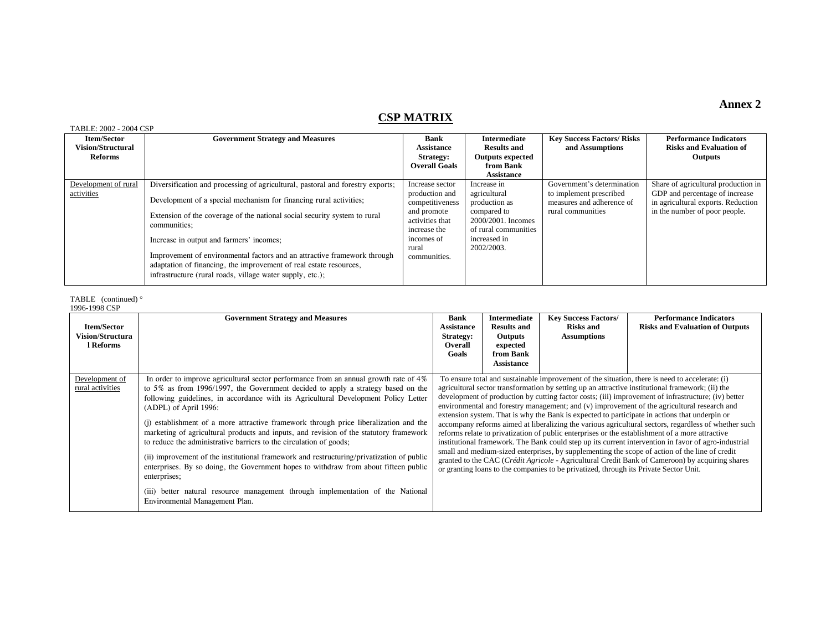#### **CSP MATRIX**

#### TABLE: 2002 - 2004 CSP

| $11111111111212002 - 2007011$ |                                                                                |                      |                         |                                   |                                     |
|-------------------------------|--------------------------------------------------------------------------------|----------------------|-------------------------|-----------------------------------|-------------------------------------|
| <b>Item/Sector</b>            | <b>Government Strategy and Measures</b>                                        | Bank                 | <b>Intermediate</b>     | <b>Key Success Factors/ Risks</b> | <b>Performance Indicators</b>       |
| <b>Vision/Structural</b>      |                                                                                | <b>Assistance</b>    | <b>Results and</b>      | and Assumptions                   | <b>Risks and Evaluation of</b>      |
| Reforms                       |                                                                                | <b>Strategy:</b>     | <b>Outputs expected</b> |                                   | <b>Outputs</b>                      |
|                               |                                                                                | <b>Overall Goals</b> | from Bank               |                                   |                                     |
|                               |                                                                                |                      | <b>Assistance</b>       |                                   |                                     |
| Development of rural          | Diversification and processing of agricultural, pastoral and forestry exports; | Increase sector      | Increase in             | Government's determination        | Share of agricultural production in |
| activities                    |                                                                                | production and       | agricultural            | to implement prescribed           | GDP and percentage of increase      |
|                               | Development of a special mechanism for financing rural activities;             | competitiveness      | production as           | measures and adherence of         | in agricultural exports. Reduction  |
|                               | Extension of the coverage of the national social security system to rural      | and promote          | compared to             | rural communities                 | in the number of poor people.       |
|                               | communities:                                                                   | activities that      | 2000/2001. Incomes      |                                   |                                     |
|                               |                                                                                | increase the         | of rural communities    |                                   |                                     |
|                               | Increase in output and farmers' incomes;                                       | incomes of           | increased in            |                                   |                                     |
|                               |                                                                                | rural                | 2002/2003.              |                                   |                                     |
|                               | Improvement of environmental factors and an attractive framework through       | communities.         |                         |                                   |                                     |
|                               | adaptation of financing, the improvement of real estate resources,             |                      |                         |                                   |                                     |
|                               | infrastructure (rural roads, village water supply, etc.);                      |                      |                         |                                   |                                     |
|                               |                                                                                |                      |                         |                                   |                                     |

TABLE (continued) ° 1996-1998 CSP

| <b>Item/Sector</b><br>Vision/Structura<br>l Reforms | <b>Government Strategy and Measures</b>                                                                                                                                                                                                                                                                                                                                                                                                                                                                                                                                                                                                                                                                                                                                                                                                                                     | Bank<br><b>Assistance</b><br>Strategy:<br>Overall<br>Goals | <b>Intermediate</b><br><b>Results and</b><br><b>Outputs</b><br>expected<br>from Bank<br><b>Assistance</b> | <b>Key Success Factors/</b><br><b>Risks and</b><br><b>Assumptions</b>                 | <b>Performance Indicators</b><br><b>Risks and Evaluation of Outputs</b>                                                                                                                                                                                                                                                                                                                                                                                                                                                                                                                                                                                                                                                                                                                                                                                                                                                                                                                                                           |
|-----------------------------------------------------|-----------------------------------------------------------------------------------------------------------------------------------------------------------------------------------------------------------------------------------------------------------------------------------------------------------------------------------------------------------------------------------------------------------------------------------------------------------------------------------------------------------------------------------------------------------------------------------------------------------------------------------------------------------------------------------------------------------------------------------------------------------------------------------------------------------------------------------------------------------------------------|------------------------------------------------------------|-----------------------------------------------------------------------------------------------------------|---------------------------------------------------------------------------------------|-----------------------------------------------------------------------------------------------------------------------------------------------------------------------------------------------------------------------------------------------------------------------------------------------------------------------------------------------------------------------------------------------------------------------------------------------------------------------------------------------------------------------------------------------------------------------------------------------------------------------------------------------------------------------------------------------------------------------------------------------------------------------------------------------------------------------------------------------------------------------------------------------------------------------------------------------------------------------------------------------------------------------------------|
| Development of<br>rural activities                  | In order to improve agricultural sector performance from an annual growth rate of 4%<br>to 5% as from 1996/1997, the Government decided to apply a strategy based on the<br>following guidelines, in accordance with its Agricultural Development Policy Letter<br>(ADPL) of April 1996:<br>(i) establishment of a more attractive framework through price liberalization and the<br>marketing of agricultural products and inputs, and revision of the statutory framework<br>to reduce the administrative barriers to the circulation of goods;<br>(ii) improvement of the institutional framework and restructuring/privatization of public<br>enterprises. By so doing, the Government hopes to withdraw from about fifteen public<br>enterprises;<br>(iii) better natural resource management through implementation of the National<br>Environmental Management Plan. |                                                            |                                                                                                           | or granting loans to the companies to be privatized, through its Private Sector Unit. | To ensure total and sustainable improvement of the situation, there is need to accelerate: (i)<br>agricultural sector transformation by setting up an attractive institutional framework; (ii) the<br>development of production by cutting factor costs; (iii) improvement of infrastructure; (iv) better<br>environmental and forestry management; and (v) improvement of the agricultural research and<br>extension system. That is why the Bank is expected to participate in actions that underpin or<br>accompany reforms aimed at liberalizing the various agricultural sectors, regardless of whether such<br>reforms relate to privatization of public enterprises or the establishment of a more attractive<br>institutional framework. The Bank could step up its current intervention in favor of agro-industrial<br>small and medium-sized enterprises, by supplementing the scope of action of the line of credit<br>granted to the CAC (Crédit Agricole - Agricultural Credit Bank of Cameroon) by acquiring shares |

#### **Annex 2**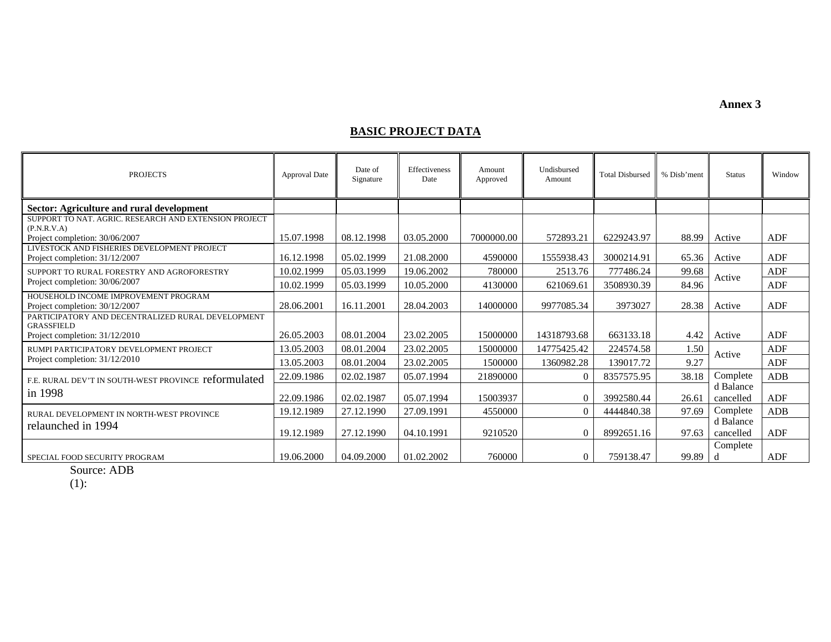**Annex 3** 

#### **BASIC PROJECT DATA**

| <b>PROJECTS</b>                                                               | <b>Approval Date</b> | Date of<br>Signature | Effectiveness<br>Date | Amount<br>Approved | Undisbursed<br>Amount | <b>Total Disbursed</b> | % Disb'ment | <b>Status</b>          | Window     |
|-------------------------------------------------------------------------------|----------------------|----------------------|-----------------------|--------------------|-----------------------|------------------------|-------------|------------------------|------------|
| Sector: Agriculture and rural development                                     |                      |                      |                       |                    |                       |                        |             |                        |            |
| SUPPORT TO NAT. AGRIC. RESEARCH AND EXTENSION PROJECT                         |                      |                      |                       |                    |                       |                        |             |                        |            |
| (P.N.R.V.A)<br>Project completion: 30/06/2007                                 | 15.07.1998           | 08.12.1998           | 03.05.2000            | 7000000.00         | 572893.21             | 6229243.97             | 88.99       | Active                 | <b>ADF</b> |
| LIVESTOCK AND FISHERIES DEVELOPMENT PROJECT<br>Project completion: 31/12/2007 | 16.12.1998           | 05.02.1999           | 21.08.2000            | 4590000            | 1555938.43            | 3000214.91             | 65.36       | Active                 | ADF        |
| SUPPORT TO RURAL FORESTRY AND AGROFORESTRY                                    | 10.02.1999           | 05.03.1999           | 19.06.2002            | 780000             | 2513.76               | 777486.24              | 99.68       | Active                 | ADF        |
| Project completion: 30/06/2007                                                | 10.02.1999           | 05.03.1999           | 10.05.2000            | 4130000            | 621069.61             | 3508930.39             | 84.96       |                        | ADF        |
| HOUSEHOLD INCOME IMPROVEMENT PROGRAM<br>Project completion: 30/12/2007        | 28.06.2001           | 16.11.2001           | 28.04.2003            | 14000000           | 9977085.34            | 3973027                | 28.38       | Active                 | ADF        |
| PARTICIPATORY AND DECENTRALIZED RURAL DEVELOPMENT<br><b>GRASSFIELD</b>        |                      |                      |                       |                    |                       |                        |             |                        |            |
| Project completion: 31/12/2010                                                | 26.05.2003           | 08.01.2004           | 23.02.2005            | 15000000           | 14318793.68           | 663133.18              | 4.42        | Active                 | ADF        |
| RUMPI PARTICIPATORY DEVELOPMENT PROJECT                                       | 13.05.2003           | 08.01.2004           | 23.02.2005            | 15000000           | 14775425.42           | 224574.58              | 1.50        | Active                 | ADF        |
| Project completion: 31/12/2010                                                | 13.05.2003           | 08.01.2004           | 23.02.2005            | 1500000            | 1360982.28            | 139017.72              | 9.27        |                        | ADF        |
| F.E. RURAL DEV'T IN SOUTH-WEST PROVINCE reformulated                          | 22.09.1986           | 02.02.1987           | 05.07.1994            | 21890000           | $\Omega$              | 8357575.95             | 38.18       | Complete               | ADB        |
| in 1998                                                                       | 22.09.1986           | 02.02.1987           | 05.07.1994            | 15003937           | $\Omega$              | 3992580.44             | 26.61       | d Balance<br>cancelled | ADF        |
| RURAL DEVELOPMENT IN NORTH-WEST PROVINCE                                      | 19.12.1989           | 27.12.1990           | 27.09.1991            | 4550000            | $\Omega$              | 4444840.38             | 97.69       | Complete               | ADB        |
| relaunched in 1994                                                            | 19.12.1989           | 27.12.1990           | 04.10.1991            | 9210520            | $\Omega$              | 8992651.16             | 97.63       | d Balance<br>cancelled | ADF        |
| SPECIAL FOOD SECURITY PROGRAM                                                 | 19.06.2000           | 04.09.2000           | 01.02.2002            | 760000             | $\Omega$              | 759138.47              | 99.89       | Complete               | ADF        |

Source: ADB

(1):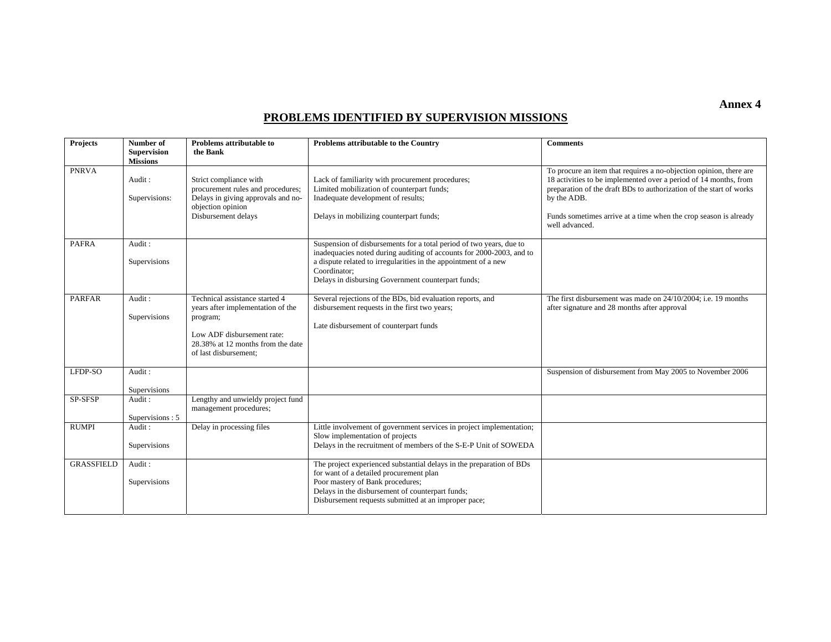#### **PROBLEMS IDENTIFIED BY SUPERVISION MISSIONS**

| <b>Projects</b>   | Number of<br><b>Supervision</b> | Problems attributable to<br>the Bank                                                                                                                                        | Problems attributable to the Country                                                                                                                                                                                                                                                 | <b>Comments</b>                                                                                                                                                                                                                                                                                                    |
|-------------------|---------------------------------|-----------------------------------------------------------------------------------------------------------------------------------------------------------------------------|--------------------------------------------------------------------------------------------------------------------------------------------------------------------------------------------------------------------------------------------------------------------------------------|--------------------------------------------------------------------------------------------------------------------------------------------------------------------------------------------------------------------------------------------------------------------------------------------------------------------|
|                   | <b>Missions</b>                 |                                                                                                                                                                             |                                                                                                                                                                                                                                                                                      |                                                                                                                                                                                                                                                                                                                    |
| <b>PNRVA</b>      | Audit:<br>Supervisions:         | Strict compliance with<br>procurement rules and procedures;<br>Delays in giving approvals and no-<br>objection opinion<br>Disbursement delays                               | Lack of familiarity with procurement procedures;<br>Limited mobilization of counterpart funds;<br>Inadequate development of results;<br>Delays in mobilizing counterpart funds;                                                                                                      | To procure an item that requires a no-objection opinion, there are<br>18 activities to be implemented over a period of 14 months, from<br>preparation of the draft BDs to authorization of the start of works<br>by the ADB.<br>Funds sometimes arrive at a time when the crop season is already<br>well advanced. |
| <b>PAFRA</b>      | Audit:<br>Supervisions          |                                                                                                                                                                             | Suspension of disbursements for a total period of two years, due to<br>inadequacies noted during auditing of accounts for 2000-2003, and to<br>a dispute related to irregularities in the appointment of a new<br>Coordinator;<br>Delays in disbursing Government counterpart funds; |                                                                                                                                                                                                                                                                                                                    |
| <b>PARFAR</b>     | Audit:<br>Supervisions          | Technical assistance started 4<br>years after implementation of the<br>program;<br>Low ADF disbursement rate:<br>28.38% at 12 months from the date<br>of last disbursement; | Several rejections of the BDs, bid evaluation reports, and<br>disbursement requests in the first two years;<br>Late disbursement of counterpart funds                                                                                                                                | The first disbursement was made on 24/10/2004; i.e. 19 months<br>after signature and 28 months after approval                                                                                                                                                                                                      |
| LFDP-SO           | Audit:<br>Supervisions          |                                                                                                                                                                             |                                                                                                                                                                                                                                                                                      | Suspension of disbursement from May 2005 to November 2006                                                                                                                                                                                                                                                          |
| SP-SFSP           | Audit:<br>Supervisions: 5       | Lengthy and unwieldy project fund<br>management procedures;                                                                                                                 |                                                                                                                                                                                                                                                                                      |                                                                                                                                                                                                                                                                                                                    |
| <b>RUMPI</b>      | Audit:<br>Supervisions          | Delay in processing files                                                                                                                                                   | Little involvement of government services in project implementation;<br>Slow implementation of projects<br>Delays in the recruitment of members of the S-E-P Unit of SOWEDA                                                                                                          |                                                                                                                                                                                                                                                                                                                    |
| <b>GRASSFIELD</b> | Audit:<br>Supervisions          |                                                                                                                                                                             | The project experienced substantial delays in the preparation of BDs<br>for want of a detailed procurement plan<br>Poor mastery of Bank procedures;<br>Delays in the disbursement of counterpart funds;<br>Disbursement requests submitted at an improper pace;                      |                                                                                                                                                                                                                                                                                                                    |

**Annex 4**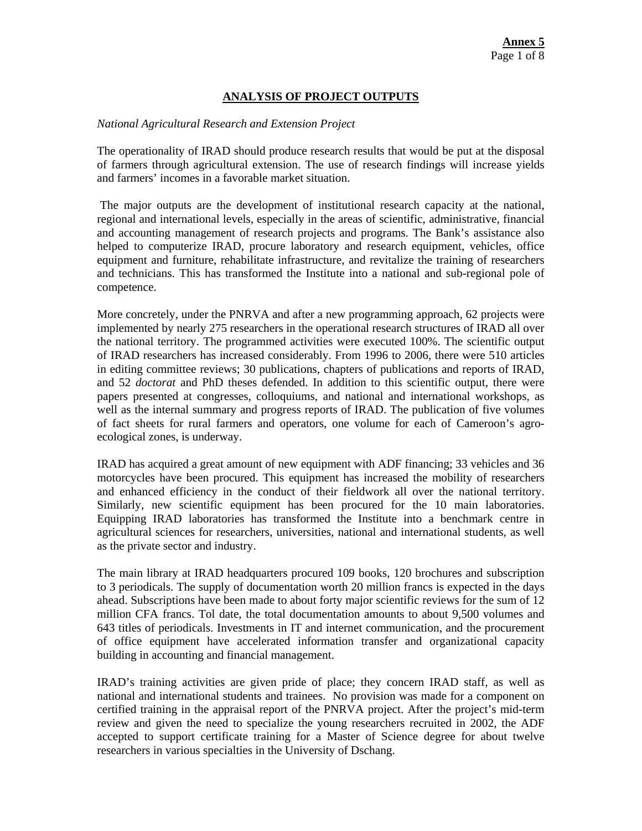#### **ANALYSIS OF PROJECT OUTPUTS**

#### *National Agricultural Research and Extension Project*

The operationality of IRAD should produce research results that would be put at the disposal of farmers through agricultural extension. The use of research findings will increase yields and farmers' incomes in a favorable market situation.

The major outputs are the development of institutional research capacity at the national, regional and international levels, especially in the areas of scientific, administrative, financial and accounting management of research projects and programs. The Bank's assistance also helped to computerize IRAD, procure laboratory and research equipment, vehicles, office equipment and furniture, rehabilitate infrastructure, and revitalize the training of researchers and technicians. This has transformed the Institute into a national and sub-regional pole of competence.

More concretely, under the PNRVA and after a new programming approach, 62 projects were implemented by nearly 275 researchers in the operational research structures of IRAD all over the national territory. The programmed activities were executed 100%. The scientific output of IRAD researchers has increased considerably. From 1996 to 2006, there were 510 articles in editing committee reviews; 30 publications, chapters of publications and reports of IRAD, and 52 *doctorat* and PhD theses defended. In addition to this scientific output, there were papers presented at congresses, colloquiums, and national and international workshops, as well as the internal summary and progress reports of IRAD. The publication of five volumes of fact sheets for rural farmers and operators, one volume for each of Cameroon's agroecological zones, is underway.

IRAD has acquired a great amount of new equipment with ADF financing; 33 vehicles and 36 motorcycles have been procured. This equipment has increased the mobility of researchers and enhanced efficiency in the conduct of their fieldwork all over the national territory. Similarly, new scientific equipment has been procured for the 10 main laboratories. Equipping IRAD laboratories has transformed the Institute into a benchmark centre in agricultural sciences for researchers, universities, national and international students, as well as the private sector and industry.

The main library at IRAD headquarters procured 109 books, 120 brochures and subscription to 3 periodicals. The supply of documentation worth 20 million francs is expected in the days ahead. Subscriptions have been made to about forty major scientific reviews for the sum of 12 million CFA francs. Tol date, the total documentation amounts to about 9,500 volumes and 643 titles of periodicals. Investments in IT and internet communication, and the procurement of office equipment have accelerated information transfer and organizational capacity building in accounting and financial management.

IRAD's training activities are given pride of place; they concern IRAD staff, as well as national and international students and trainees. No provision was made for a component on certified training in the appraisal report of the PNRVA project. After the project's mid-term review and given the need to specialize the young researchers recruited in 2002, the ADF accepted to support certificate training for a Master of Science degree for about twelve researchers in various specialties in the University of Dschang.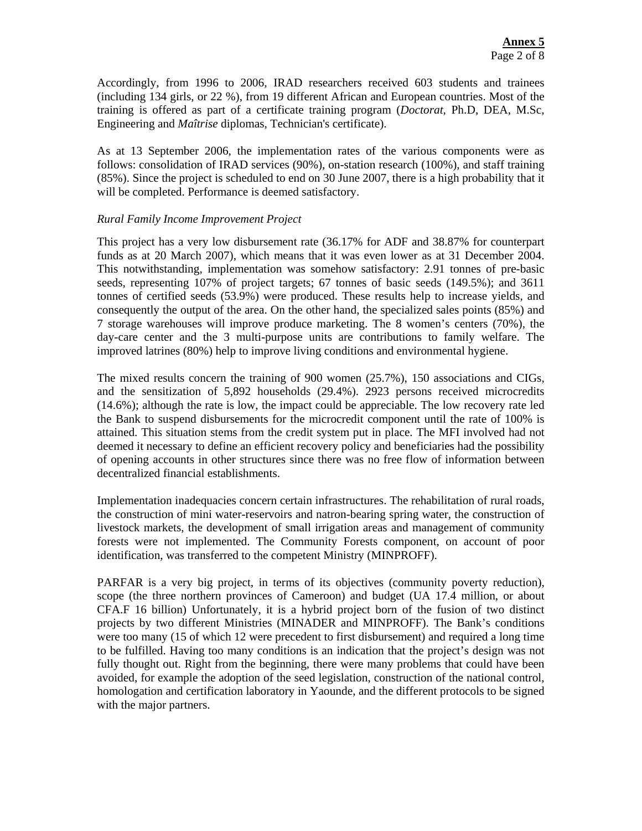Accordingly, from 1996 to 2006, IRAD researchers received 603 students and trainees (including 134 girls, or 22 %), from 19 different African and European countries. Most of the training is offered as part of a certificate training program (*Doctorat,* Ph.D, DEA, M.Sc, Engineering and *Maîtrise* diplomas, Technician's certificate).

As at 13 September 2006, the implementation rates of the various components were as follows: consolidation of IRAD services (90%), on-station research (100%), and staff training (85%). Since the project is scheduled to end on 30 June 2007, there is a high probability that it will be completed. Performance is deemed satisfactory.

#### *Rural Family Income Improvement Project*

This project has a very low disbursement rate (36.17% for ADF and 38.87% for counterpart funds as at 20 March 2007), which means that it was even lower as at 31 December 2004. This notwithstanding, implementation was somehow satisfactory: 2.91 tonnes of pre-basic seeds, representing 107% of project targets; 67 tonnes of basic seeds (149.5%); and 3611 tonnes of certified seeds (53.9%) were produced. These results help to increase yields, and consequently the output of the area. On the other hand, the specialized sales points (85%) and 7 storage warehouses will improve produce marketing. The 8 women's centers (70%), the day-care center and the 3 multi-purpose units are contributions to family welfare. The improved latrines (80%) help to improve living conditions and environmental hygiene.

The mixed results concern the training of 900 women (25.7%), 150 associations and CIGs, and the sensitization of 5,892 households (29.4%). 2923 persons received microcredits (14.6%); although the rate is low, the impact could be appreciable. The low recovery rate led the Bank to suspend disbursements for the microcredit component until the rate of 100% is attained. This situation stems from the credit system put in place. The MFI involved had not deemed it necessary to define an efficient recovery policy and beneficiaries had the possibility of opening accounts in other structures since there was no free flow of information between decentralized financial establishments.

Implementation inadequacies concern certain infrastructures. The rehabilitation of rural roads, the construction of mini water-reservoirs and natron-bearing spring water, the construction of livestock markets, the development of small irrigation areas and management of community forests were not implemented. The Community Forests component, on account of poor identification, was transferred to the competent Ministry (MINPROFF).

PARFAR is a very big project, in terms of its objectives (community poverty reduction), scope (the three northern provinces of Cameroon) and budget (UA 17.4 million, or about CFA.F 16 billion) Unfortunately, it is a hybrid project born of the fusion of two distinct projects by two different Ministries (MINADER and MINPROFF). The Bank's conditions were too many (15 of which 12 were precedent to first disbursement) and required a long time to be fulfilled. Having too many conditions is an indication that the project's design was not fully thought out. Right from the beginning, there were many problems that could have been avoided, for example the adoption of the seed legislation, construction of the national control, homologation and certification laboratory in Yaounde, and the different protocols to be signed with the major partners.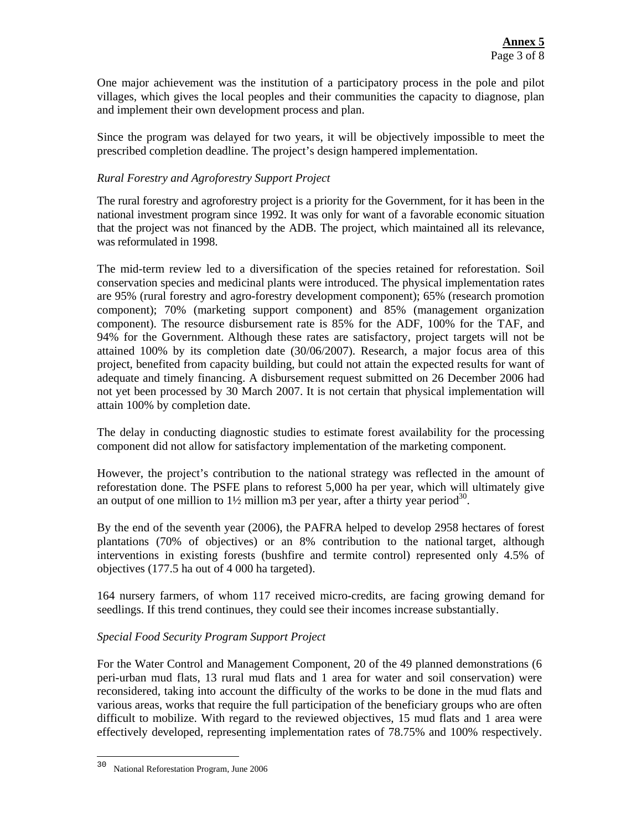One major achievement was the institution of a participatory process in the pole and pilot villages, which gives the local peoples and their communities the capacity to diagnose, plan and implement their own development process and plan.

Since the program was delayed for two years, it will be objectively impossible to meet the prescribed completion deadline. The project's design hampered implementation.

#### *Rural Forestry and Agroforestry Support Project*

The rural forestry and agroforestry project is a priority for the Government, for it has been in the national investment program since 1992. It was only for want of a favorable economic situation that the project was not financed by the ADB. The project, which maintained all its relevance, was reformulated in 1998.

The mid-term review led to a diversification of the species retained for reforestation. Soil conservation species and medicinal plants were introduced. The physical implementation rates are 95% (rural forestry and agro-forestry development component); 65% (research promotion component); 70% (marketing support component) and 85% (management organization component). The resource disbursement rate is 85% for the ADF, 100% for the TAF, and 94% for the Government. Although these rates are satisfactory, project targets will not be attained 100% by its completion date (30/06/2007). Research, a major focus area of this project, benefited from capacity building, but could not attain the expected results for want of adequate and timely financing. A disbursement request submitted on 26 December 2006 had not yet been processed by 30 March 2007. It is not certain that physical implementation will attain 100% by completion date.

The delay in conducting diagnostic studies to estimate forest availability for the processing component did not allow for satisfactory implementation of the marketing component.

However, the project's contribution to the national strategy was reflected in the amount of reforestation done. The PSFE plans to reforest 5,000 ha per year, which will ultimately give an output of one million to  $1\frac{1}{2}$  million m3 per year, after a thirty year period<sup>30</sup>.

By the end of the seventh year (2006), the PAFRA helped to develop 2958 hectares of forest plantations (70% of objectives) or an 8% contribution to the national target, although interventions in existing forests (bushfire and termite control) represented only 4.5% of objectives (177.5 ha out of 4 000 ha targeted).

164 nursery farmers, of whom 117 received micro-credits, are facing growing demand for seedlings. If this trend continues, they could see their incomes increase substantially.

#### *Special Food Security Program Support Project*

For the Water Control and Management Component, 20 of the 49 planned demonstrations (6 peri-urban mud flats, 13 rural mud flats and 1 area for water and soil conservation) were reconsidered, taking into account the difficulty of the works to be done in the mud flats and various areas, works that require the full participation of the beneficiary groups who are often difficult to mobilize. With regard to the reviewed objectives, 15 mud flats and 1 area were effectively developed, representing implementation rates of 78.75% and 100% respectively.

 $\overline{\phantom{a}}$ 

<sup>30</sup> National Reforestation Program, June 2006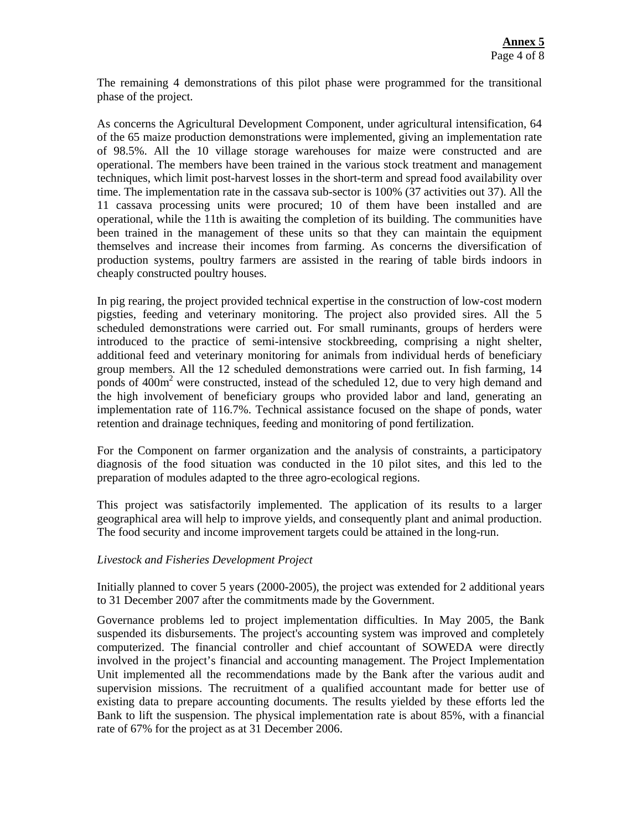The remaining 4 demonstrations of this pilot phase were programmed for the transitional phase of the project.

As concerns the Agricultural Development Component, under agricultural intensification, 64 of the 65 maize production demonstrations were implemented, giving an implementation rate of 98.5%. All the 10 village storage warehouses for maize were constructed and are operational. The members have been trained in the various stock treatment and management techniques, which limit post-harvest losses in the short-term and spread food availability over time. The implementation rate in the cassava sub-sector is 100% (37 activities out 37). All the 11 cassava processing units were procured; 10 of them have been installed and are operational, while the 11th is awaiting the completion of its building. The communities have been trained in the management of these units so that they can maintain the equipment themselves and increase their incomes from farming. As concerns the diversification of production systems, poultry farmers are assisted in the rearing of table birds indoors in cheaply constructed poultry houses.

In pig rearing, the project provided technical expertise in the construction of low-cost modern pigsties, feeding and veterinary monitoring. The project also provided sires. All the 5 scheduled demonstrations were carried out. For small ruminants, groups of herders were introduced to the practice of semi-intensive stockbreeding, comprising a night shelter, additional feed and veterinary monitoring for animals from individual herds of beneficiary group members. All the 12 scheduled demonstrations were carried out. In fish farming, 14 ponds of 400m<sup>2</sup> were constructed, instead of the scheduled 12, due to very high demand and the high involvement of beneficiary groups who provided labor and land, generating an implementation rate of 116.7%. Technical assistance focused on the shape of ponds, water retention and drainage techniques, feeding and monitoring of pond fertilization.

For the Component on farmer organization and the analysis of constraints, a participatory diagnosis of the food situation was conducted in the 10 pilot sites, and this led to the preparation of modules adapted to the three agro-ecological regions.

This project was satisfactorily implemented. The application of its results to a larger geographical area will help to improve yields, and consequently plant and animal production. The food security and income improvement targets could be attained in the long-run.

#### *Livestock and Fisheries Development Project*

Initially planned to cover 5 years (2000-2005), the project was extended for 2 additional years to 31 December 2007 after the commitments made by the Government.

Governance problems led to project implementation difficulties. In May 2005, the Bank suspended its disbursements. The project's accounting system was improved and completely computerized. The financial controller and chief accountant of SOWEDA were directly involved in the project's financial and accounting management. The Project Implementation Unit implemented all the recommendations made by the Bank after the various audit and supervision missions. The recruitment of a qualified accountant made for better use of existing data to prepare accounting documents. The results yielded by these efforts led the Bank to lift the suspension. The physical implementation rate is about 85%, with a financial rate of 67% for the project as at 31 December 2006.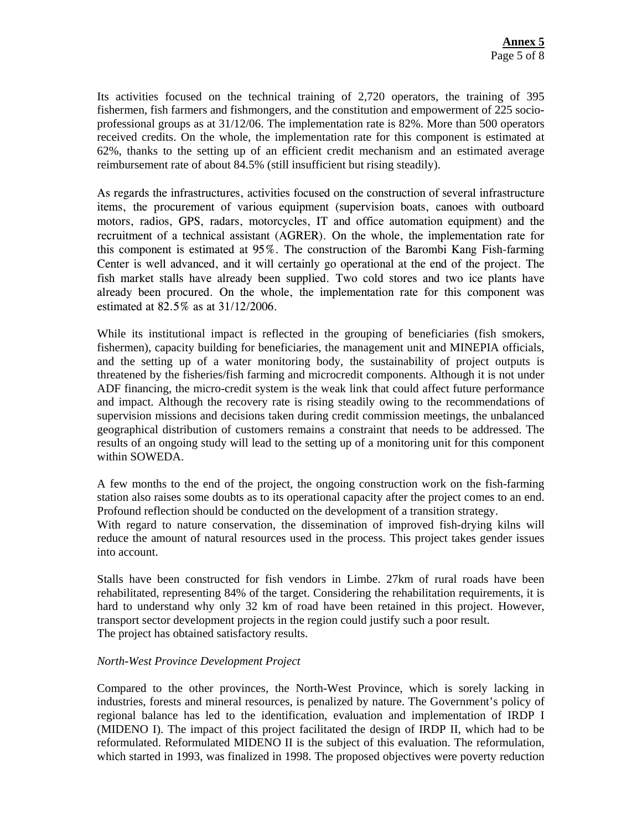Its activities focused on the technical training of 2,720 operators, the training of 395 fishermen, fish farmers and fishmongers, and the constitution and empowerment of 225 socioprofessional groups as at 31/12/06. The implementation rate is 82%. More than 500 operators received credits. On the whole, the implementation rate for this component is estimated at 62%, thanks to the setting up of an efficient credit mechanism and an estimated average reimbursement rate of about 84.5% (still insufficient but rising steadily).

As regards the infrastructures, activities focused on the construction of several infrastructure items, the procurement of various equipment (supervision boats, canoes with outboard motors, radios, GPS, radars, motorcycles, IT and office automation equipment) and the recruitment of a technical assistant (AGRER). On the whole, the implementation rate for this component is estimated at 95%. The construction of the Barombi Kang Fish-farming Center is well advanced, and it will certainly go operational at the end of the project. The fish market stalls have already been supplied. Two cold stores and two ice plants have already been procured. On the whole, the implementation rate for this component was estimated at 82.5% as at 31/12/2006.

While its institutional impact is reflected in the grouping of beneficiaries (fish smokers, fishermen), capacity building for beneficiaries, the management unit and MINEPIA officials, and the setting up of a water monitoring body, the sustainability of project outputs is threatened by the fisheries/fish farming and microcredit components. Although it is not under ADF financing, the micro-credit system is the weak link that could affect future performance and impact. Although the recovery rate is rising steadily owing to the recommendations of supervision missions and decisions taken during credit commission meetings, the unbalanced geographical distribution of customers remains a constraint that needs to be addressed. The results of an ongoing study will lead to the setting up of a monitoring unit for this component within SOWEDA.

A few months to the end of the project, the ongoing construction work on the fish-farming station also raises some doubts as to its operational capacity after the project comes to an end. Profound reflection should be conducted on the development of a transition strategy.

With regard to nature conservation, the dissemination of improved fish-drying kilns will reduce the amount of natural resources used in the process. This project takes gender issues into account.

Stalls have been constructed for fish vendors in Limbe. 27km of rural roads have been rehabilitated, representing 84% of the target. Considering the rehabilitation requirements, it is hard to understand why only 32 km of road have been retained in this project. However, transport sector development projects in the region could justify such a poor result. The project has obtained satisfactory results.

#### *North-West Province Development Project*

Compared to the other provinces, the North-West Province, which is sorely lacking in industries, forests and mineral resources, is penalized by nature. The Government's policy of regional balance has led to the identification, evaluation and implementation of IRDP I (MIDENO I). The impact of this project facilitated the design of IRDP II, which had to be reformulated. Reformulated MIDENO II is the subject of this evaluation. The reformulation, which started in 1993, was finalized in 1998. The proposed objectives were poverty reduction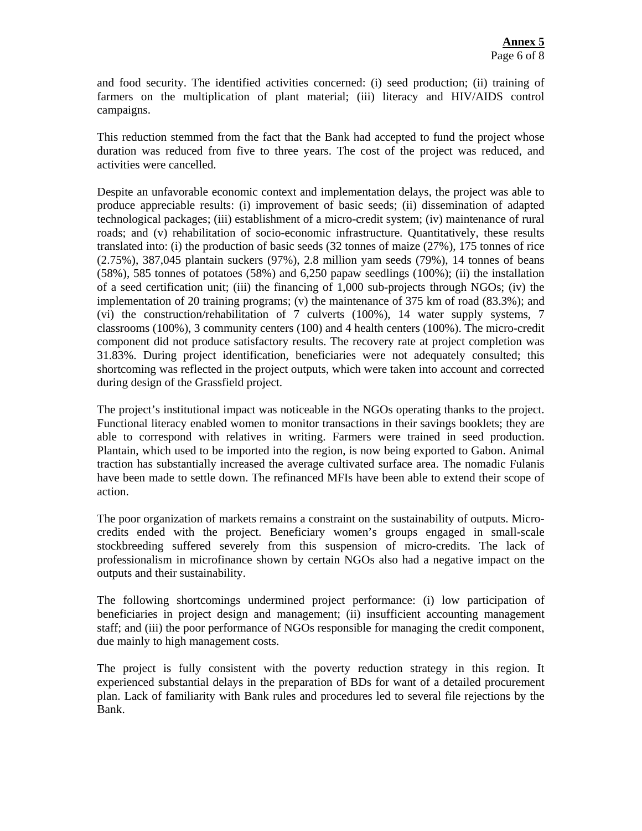and food security. The identified activities concerned: (i) seed production; (ii) training of farmers on the multiplication of plant material; (iii) literacy and HIV/AIDS control campaigns.

This reduction stemmed from the fact that the Bank had accepted to fund the project whose duration was reduced from five to three years. The cost of the project was reduced, and activities were cancelled.

Despite an unfavorable economic context and implementation delays, the project was able to produce appreciable results: (i) improvement of basic seeds; (ii) dissemination of adapted technological packages; (iii) establishment of a micro-credit system; (iv) maintenance of rural roads; and (v) rehabilitation of socio-economic infrastructure. Quantitatively, these results translated into: (i) the production of basic seeds (32 tonnes of maize (27%), 175 tonnes of rice (2.75%), 387,045 plantain suckers (97%), 2.8 million yam seeds (79%), 14 tonnes of beans (58%), 585 tonnes of potatoes (58%) and 6,250 papaw seedlings (100%); (ii) the installation of a seed certification unit; (iii) the financing of 1,000 sub-projects through NGOs; (iv) the implementation of 20 training programs; (v) the maintenance of 375 km of road  $(83.3\%)$ ; and (vi) the construction/rehabilitation of 7 culverts (100%), 14 water supply systems, 7 classrooms (100%), 3 community centers (100) and 4 health centers (100%). The micro-credit component did not produce satisfactory results. The recovery rate at project completion was 31.83%. During project identification, beneficiaries were not adequately consulted; this shortcoming was reflected in the project outputs, which were taken into account and corrected during design of the Grassfield project.

The project's institutional impact was noticeable in the NGOs operating thanks to the project. Functional literacy enabled women to monitor transactions in their savings booklets; they are able to correspond with relatives in writing. Farmers were trained in seed production. Plantain, which used to be imported into the region, is now being exported to Gabon. Animal traction has substantially increased the average cultivated surface area. The nomadic Fulanis have been made to settle down. The refinanced MFIs have been able to extend their scope of action.

The poor organization of markets remains a constraint on the sustainability of outputs. Microcredits ended with the project. Beneficiary women's groups engaged in small-scale stockbreeding suffered severely from this suspension of micro-credits. The lack of professionalism in microfinance shown by certain NGOs also had a negative impact on the outputs and their sustainability.

The following shortcomings undermined project performance: (i) low participation of beneficiaries in project design and management; (ii) insufficient accounting management staff; and (iii) the poor performance of NGOs responsible for managing the credit component, due mainly to high management costs.

The project is fully consistent with the poverty reduction strategy in this region. It experienced substantial delays in the preparation of BDs for want of a detailed procurement plan. Lack of familiarity with Bank rules and procedures led to several file rejections by the Bank.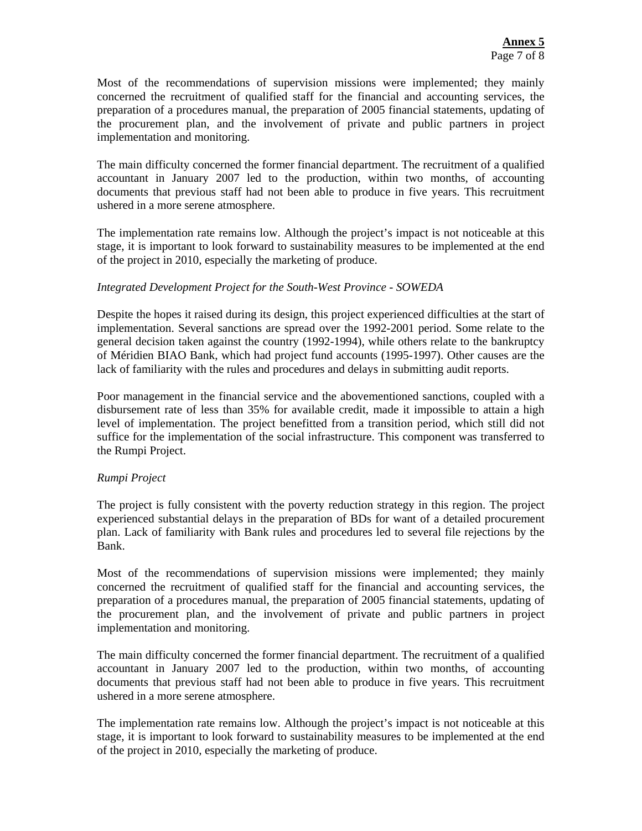Most of the recommendations of supervision missions were implemented; they mainly concerned the recruitment of qualified staff for the financial and accounting services, the preparation of a procedures manual, the preparation of 2005 financial statements, updating of the procurement plan, and the involvement of private and public partners in project implementation and monitoring.

The main difficulty concerned the former financial department. The recruitment of a qualified accountant in January 2007 led to the production, within two months, of accounting documents that previous staff had not been able to produce in five years. This recruitment ushered in a more serene atmosphere.

The implementation rate remains low. Although the project's impact is not noticeable at this stage, it is important to look forward to sustainability measures to be implemented at the end of the project in 2010, especially the marketing of produce.

#### *Integrated Development Project for the South-West Province - SOWEDA*

Despite the hopes it raised during its design, this project experienced difficulties at the start of implementation. Several sanctions are spread over the 1992-2001 period. Some relate to the general decision taken against the country (1992-1994), while others relate to the bankruptcy of Méridien BIAO Bank, which had project fund accounts (1995-1997). Other causes are the lack of familiarity with the rules and procedures and delays in submitting audit reports.

Poor management in the financial service and the abovementioned sanctions, coupled with a disbursement rate of less than 35% for available credit, made it impossible to attain a high level of implementation. The project benefitted from a transition period, which still did not suffice for the implementation of the social infrastructure. This component was transferred to the Rumpi Project.

#### *Rumpi Project*

The project is fully consistent with the poverty reduction strategy in this region. The project experienced substantial delays in the preparation of BDs for want of a detailed procurement plan. Lack of familiarity with Bank rules and procedures led to several file rejections by the Bank.

Most of the recommendations of supervision missions were implemented; they mainly concerned the recruitment of qualified staff for the financial and accounting services, the preparation of a procedures manual, the preparation of 2005 financial statements, updating of the procurement plan, and the involvement of private and public partners in project implementation and monitoring.

The main difficulty concerned the former financial department. The recruitment of a qualified accountant in January 2007 led to the production, within two months, of accounting documents that previous staff had not been able to produce in five years. This recruitment ushered in a more serene atmosphere.

The implementation rate remains low. Although the project's impact is not noticeable at this stage, it is important to look forward to sustainability measures to be implemented at the end of the project in 2010, especially the marketing of produce.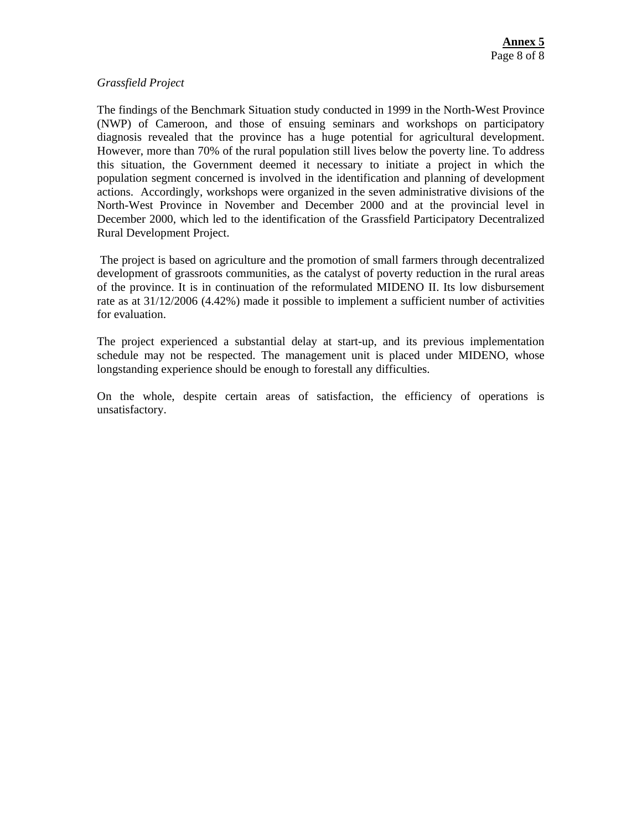#### *Grassfield Project*

The findings of the Benchmark Situation study conducted in 1999 in the North-West Province (NWP) of Cameroon, and those of ensuing seminars and workshops on participatory diagnosis revealed that the province has a huge potential for agricultural development. However, more than 70% of the rural population still lives below the poverty line. To address this situation, the Government deemed it necessary to initiate a project in which the population segment concerned is involved in the identification and planning of development actions. Accordingly, workshops were organized in the seven administrative divisions of the North-West Province in November and December 2000 and at the provincial level in December 2000, which led to the identification of the Grassfield Participatory Decentralized Rural Development Project.

 The project is based on agriculture and the promotion of small farmers through decentralized development of grassroots communities, as the catalyst of poverty reduction in the rural areas of the province. It is in continuation of the reformulated MIDENO II. Its low disbursement rate as at 31/12/2006 (4.42%) made it possible to implement a sufficient number of activities for evaluation.

The project experienced a substantial delay at start-up, and its previous implementation schedule may not be respected. The management unit is placed under MIDENO, whose longstanding experience should be enough to forestall any difficulties.

On the whole, despite certain areas of satisfaction, the efficiency of operations is unsatisfactory.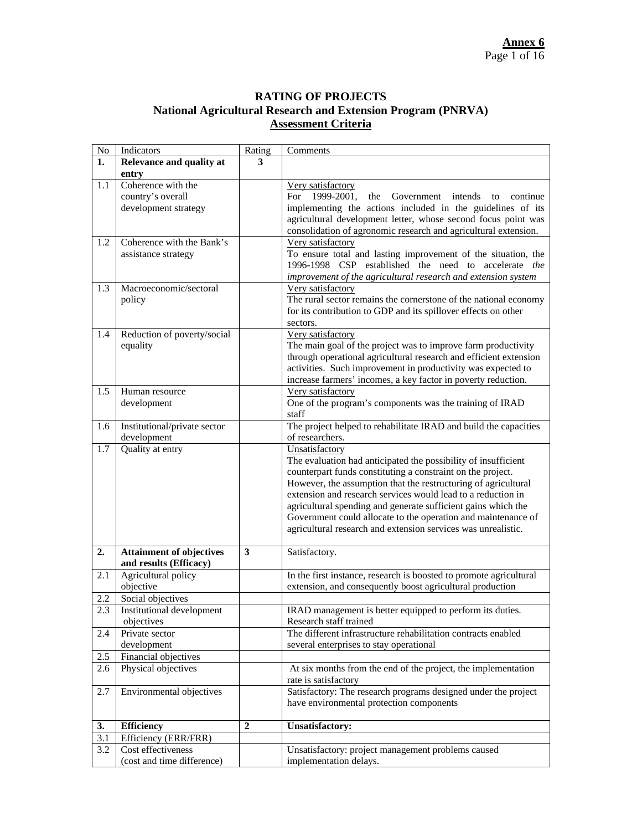#### **RATING OF PROJECTS National Agricultural Research and Extension Program (PNRVA) Assessment Criteria**

| $\rm No$ | Indicators                      | Rating         | Comments                                                            |
|----------|---------------------------------|----------------|---------------------------------------------------------------------|
| 1.       | Relevance and quality at        | 3              |                                                                     |
|          | entry                           |                |                                                                     |
| 1.1      | Coherence with the              |                | Very satisfactory                                                   |
|          | country's overall               |                | 1999-2001,<br>Government<br>the<br>intends<br>continue<br>For<br>to |
|          | development strategy            |                | implementing the actions included in the guidelines of its          |
|          |                                 |                | agricultural development letter, whose second focus point was       |
|          |                                 |                | consolidation of agronomic research and agricultural extension.     |
| 1.2      | Coherence with the Bank's       |                | Very satisfactory                                                   |
|          | assistance strategy             |                | To ensure total and lasting improvement of the situation, the       |
|          |                                 |                | 1996-1998 CSP established the need to accelerate the                |
|          |                                 |                | improvement of the agricultural research and extension system       |
| 1.3      | Macroeconomic/sectoral          |                | Very satisfactory                                                   |
|          | policy                          |                | The rural sector remains the cornerstone of the national economy    |
|          |                                 |                | for its contribution to GDP and its spillover effects on other      |
|          |                                 |                | sectors.                                                            |
| 1.4      | Reduction of poverty/social     |                | Very satisfactory                                                   |
|          | equality                        |                | The main goal of the project was to improve farm productivity       |
|          |                                 |                | through operational agricultural research and efficient extension   |
|          |                                 |                | activities. Such improvement in productivity was expected to        |
|          |                                 |                | increase farmers' incomes, a key factor in poverty reduction.       |
| 1.5      | Human resource                  |                | Very satisfactory                                                   |
|          | development                     |                | One of the program's components was the training of IRAD            |
|          |                                 |                | staff                                                               |
| 1.6      | Institutional/private sector    |                | The project helped to rehabilitate IRAD and build the capacities    |
|          | development                     |                | of researchers.                                                     |
| 1.7      | Quality at entry                |                | Unsatisfactory                                                      |
|          |                                 |                | The evaluation had anticipated the possibility of insufficient      |
|          |                                 |                | counterpart funds constituting a constraint on the project.         |
|          |                                 |                | However, the assumption that the restructuring of agricultural      |
|          |                                 |                | extension and research services would lead to a reduction in        |
|          |                                 |                | agricultural spending and generate sufficient gains which the       |
|          |                                 |                | Government could allocate to the operation and maintenance of       |
|          |                                 |                | agricultural research and extension services was unrealistic.       |
| 2.       | <b>Attainment of objectives</b> | 3              | Satisfactory.                                                       |
|          | and results (Efficacy)          |                |                                                                     |
| 2.1      | Agricultural policy             |                | In the first instance, research is boosted to promote agricultural  |
|          | objective                       |                | extension, and consequently boost agricultural production           |
| 2.2      | Social objectives               |                |                                                                     |
| 2.3      | Institutional development       |                | IRAD management is better equipped to perform its duties.           |
|          | objectives                      |                | Research staff trained                                              |
| 2.4      | Private sector                  |                | The different infrastructure rehabilitation contracts enabled       |
|          | development                     |                | several enterprises to stay operational                             |
| 2.5      | Financial objectives            |                |                                                                     |
| 2.6      | Physical objectives             |                | At six months from the end of the project, the implementation       |
|          |                                 |                | rate is satisfactory                                                |
| 2.7      | Environmental objectives        |                | Satisfactory: The research programs designed under the project      |
|          |                                 |                | have environmental protection components                            |
|          |                                 |                |                                                                     |
| 3.       | <b>Efficiency</b>               | $\overline{2}$ | <b>Unsatisfactory:</b>                                              |
| 3.1      | Efficiency (ERR/FRR)            |                |                                                                     |
| 3.2      | Cost effectiveness              |                | Unsatisfactory: project management problems caused                  |
|          | (cost and time difference)      |                | implementation delays.                                              |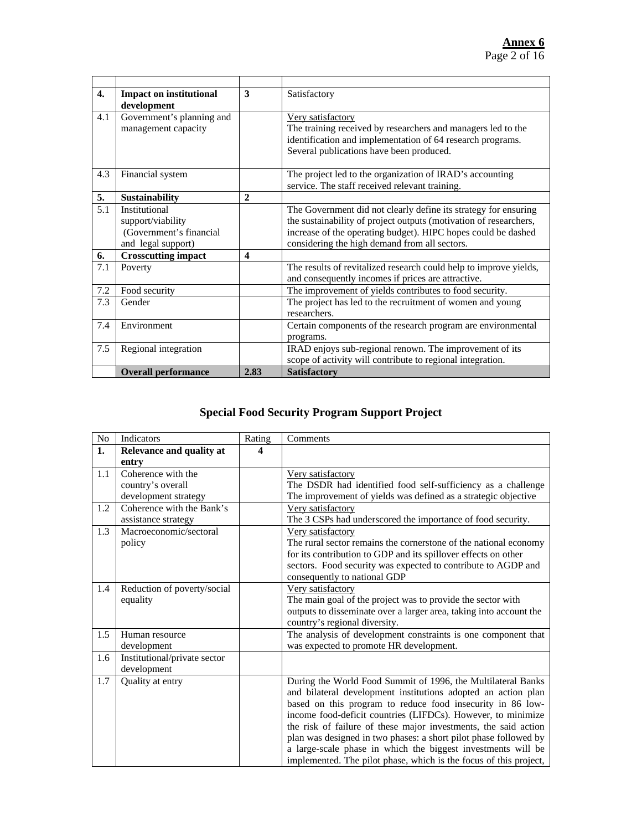| $\boldsymbol{4}$ . | <b>Impact on institutional</b><br>development                                       | 3    | Satisfactory                                                                                                                                                                                                                                           |
|--------------------|-------------------------------------------------------------------------------------|------|--------------------------------------------------------------------------------------------------------------------------------------------------------------------------------------------------------------------------------------------------------|
| 4.1                | Government's planning and<br>management capacity                                    |      | Very satisfactory<br>The training received by researchers and managers led to the<br>identification and implementation of 64 research programs.<br>Several publications have been produced.                                                            |
| 4.3                | Financial system                                                                    |      | The project led to the organization of IRAD's accounting<br>service. The staff received relevant training.                                                                                                                                             |
| 5.                 | <b>Sustainability</b>                                                               | 2    |                                                                                                                                                                                                                                                        |
| 5.1                | Institutional<br>support/viability<br>(Government's financial<br>and legal support) |      | The Government did not clearly define its strategy for ensuring<br>the sustainability of project outputs (motivation of researchers,<br>increase of the operating budget). HIPC hopes could be dashed<br>considering the high demand from all sectors. |
| 6.                 | <b>Crosscutting impact</b>                                                          | 4    |                                                                                                                                                                                                                                                        |
| 7.1                | Poverty                                                                             |      | The results of revitalized research could help to improve yields,<br>and consequently incomes if prices are attractive.                                                                                                                                |
| 7.2                | Food security                                                                       |      | The improvement of yields contributes to food security.                                                                                                                                                                                                |
| 7.3                | Gender                                                                              |      | The project has led to the recruitment of women and young<br>researchers.                                                                                                                                                                              |
| 7.4                | Environment                                                                         |      | Certain components of the research program are environmental<br>programs.                                                                                                                                                                              |
| 7.5                | Regional integration                                                                |      | IRAD enjoys sub-regional renown. The improvement of its<br>scope of activity will contribute to regional integration.                                                                                                                                  |
|                    | <b>Overall performance</b>                                                          | 2.83 | <b>Satisfactory</b>                                                                                                                                                                                                                                    |

# **Special Food Security Program Support Project**

| $\rm No$ | Indicators                   | Rating | Comments                                                           |
|----------|------------------------------|--------|--------------------------------------------------------------------|
| 1.       | Relevance and quality at     | 4      |                                                                    |
|          | entry                        |        |                                                                    |
| 1.1      | Coherence with the           |        | Very satisfactory                                                  |
|          | country's overall            |        | The DSDR had identified food self-sufficiency as a challenge       |
|          | development strategy         |        | The improvement of yields was defined as a strategic objective     |
| 1.2      | Coherence with the Bank's    |        | Very satisfactory                                                  |
|          | assistance strategy          |        | The 3 CSPs had underscored the importance of food security.        |
| 1.3      | Macroeconomic/sectoral       |        | Very satisfactory                                                  |
|          | policy                       |        | The rural sector remains the cornerstone of the national economy   |
|          |                              |        | for its contribution to GDP and its spillover effects on other     |
|          |                              |        | sectors. Food security was expected to contribute to AGDP and      |
|          |                              |        | consequently to national GDP                                       |
| 1.4      | Reduction of poverty/social  |        | Very satisfactory                                                  |
|          | equality                     |        | The main goal of the project was to provide the sector with        |
|          |                              |        | outputs to disseminate over a larger area, taking into account the |
|          |                              |        | country's regional diversity.                                      |
| 1.5      | Human resource               |        | The analysis of development constraints is one component that      |
|          | development                  |        | was expected to promote HR development.                            |
| 1.6      | Institutional/private sector |        |                                                                    |
|          | development                  |        |                                                                    |
| 1.7      | Quality at entry             |        | During the World Food Summit of 1996, the Multilateral Banks       |
|          |                              |        | and bilateral development institutions adopted an action plan      |
|          |                              |        | based on this program to reduce food insecurity in 86 low-         |
|          |                              |        | income food-deficit countries (LIFDCs). However, to minimize       |
|          |                              |        | the risk of failure of these major investments, the said action    |
|          |                              |        | plan was designed in two phases: a short pilot phase followed by   |
|          |                              |        | a large-scale phase in which the biggest investments will be       |
|          |                              |        | implemented. The pilot phase, which is the focus of this project,  |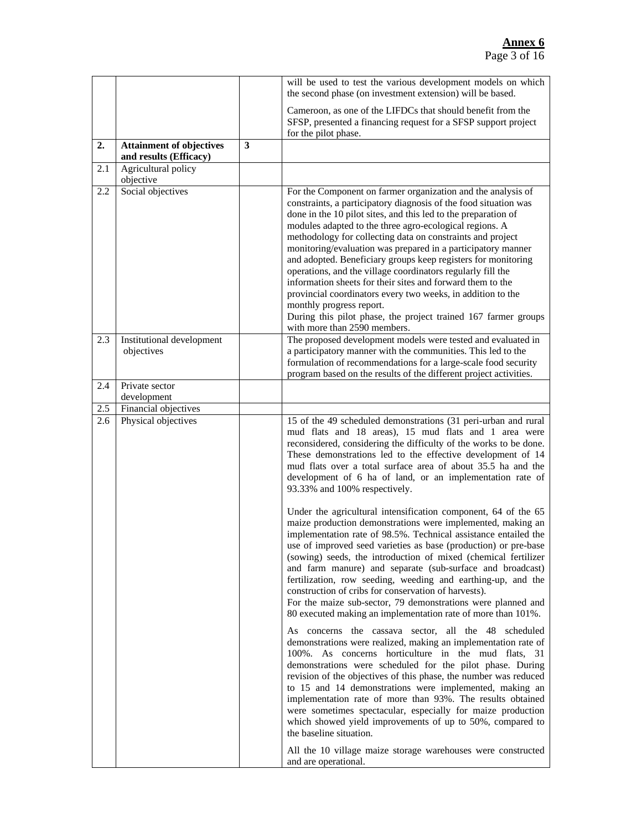#### **Annex 6** Page 3 of 16

|     |                                                           |   | will be used to test the various development models on which<br>the second phase (on investment extension) will be based.                                                                                                                                                                                                                                                                                                                                                                                                                                                                                                                                                                                                                                                              |
|-----|-----------------------------------------------------------|---|----------------------------------------------------------------------------------------------------------------------------------------------------------------------------------------------------------------------------------------------------------------------------------------------------------------------------------------------------------------------------------------------------------------------------------------------------------------------------------------------------------------------------------------------------------------------------------------------------------------------------------------------------------------------------------------------------------------------------------------------------------------------------------------|
|     |                                                           |   | Cameroon, as one of the LIFDCs that should benefit from the<br>SFSP, presented a financing request for a SFSP support project<br>for the pilot phase.                                                                                                                                                                                                                                                                                                                                                                                                                                                                                                                                                                                                                                  |
| 2.  | <b>Attainment of objectives</b><br>and results (Efficacy) | 3 |                                                                                                                                                                                                                                                                                                                                                                                                                                                                                                                                                                                                                                                                                                                                                                                        |
| 2.1 | Agricultural policy<br>objective                          |   |                                                                                                                                                                                                                                                                                                                                                                                                                                                                                                                                                                                                                                                                                                                                                                                        |
| 2.2 | Social objectives                                         |   | For the Component on farmer organization and the analysis of<br>constraints, a participatory diagnosis of the food situation was<br>done in the 10 pilot sites, and this led to the preparation of<br>modules adapted to the three agro-ecological regions. A<br>methodology for collecting data on constraints and project<br>monitoring/evaluation was prepared in a participatory manner<br>and adopted. Beneficiary groups keep registers for monitoring<br>operations, and the village coordinators regularly fill the<br>information sheets for their sites and forward them to the<br>provincial coordinators every two weeks, in addition to the<br>monthly progress report.<br>During this pilot phase, the project trained 167 farmer groups<br>with more than 2590 members. |
| 2.3 | Institutional development<br>objectives                   |   | The proposed development models were tested and evaluated in<br>a participatory manner with the communities. This led to the<br>formulation of recommendations for a large-scale food security<br>program based on the results of the different project activities.                                                                                                                                                                                                                                                                                                                                                                                                                                                                                                                    |
| 2.4 | Private sector<br>development                             |   |                                                                                                                                                                                                                                                                                                                                                                                                                                                                                                                                                                                                                                                                                                                                                                                        |
| 2.5 | Financial objectives                                      |   |                                                                                                                                                                                                                                                                                                                                                                                                                                                                                                                                                                                                                                                                                                                                                                                        |
| 2.6 | Physical objectives                                       |   | 15 of the 49 scheduled demonstrations (31 peri-urban and rural<br>mud flats and 18 areas), 15 mud flats and 1 area were<br>reconsidered, considering the difficulty of the works to be done.<br>These demonstrations led to the effective development of 14<br>mud flats over a total surface area of about 35.5 ha and the<br>development of 6 ha of land, or an implementation rate of<br>93.33% and 100% respectively.                                                                                                                                                                                                                                                                                                                                                              |
|     |                                                           |   | Under the agricultural intensification component, 64 of the 65<br>maize production demonstrations were implemented, making an<br>implementation rate of 98.5%. Technical assistance entailed the<br>use of improved seed varieties as base (production) or pre-base<br>(sowing) seeds, the introduction of mixed (chemical fertilizer<br>and farm manure) and separate (sub-surface and broadcast)<br>fertilization, row seeding, weeding and earthing-up, and the<br>construction of cribs for conservation of harvests).<br>For the maize sub-sector, 79 demonstrations were planned and<br>80 executed making an implementation rate of more than 101%.                                                                                                                             |
|     |                                                           |   | As concerns the cassava sector, all the 48 scheduled<br>demonstrations were realized, making an implementation rate of<br>100%. As concerns horticulture in the mud flats, 31<br>demonstrations were scheduled for the pilot phase. During<br>revision of the objectives of this phase, the number was reduced<br>to 15 and 14 demonstrations were implemented, making an<br>implementation rate of more than 93%. The results obtained<br>were sometimes spectacular, especially for maize production<br>which showed yield improvements of up to 50%, compared to<br>the baseline situation.<br>All the 10 village maize storage warehouses were constructed                                                                                                                         |
|     |                                                           |   | and are operational.                                                                                                                                                                                                                                                                                                                                                                                                                                                                                                                                                                                                                                                                                                                                                                   |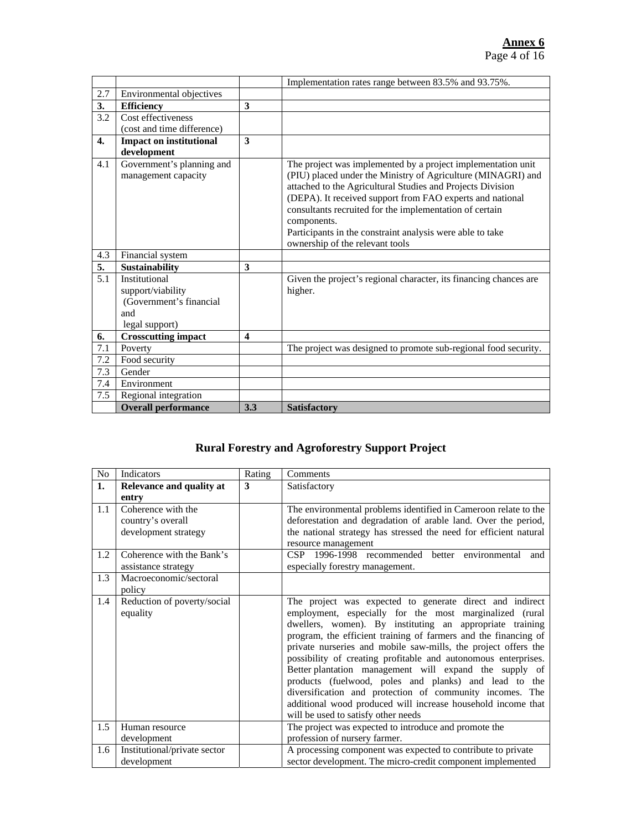|     |                                |                         | Implementation rates range between 83.5% and 93.75%.              |
|-----|--------------------------------|-------------------------|-------------------------------------------------------------------|
| 2.7 | Environmental objectives       |                         |                                                                   |
| 3.  | <b>Efficiency</b>              | $\overline{\mathbf{3}}$ |                                                                   |
| 3.2 | Cost effectiveness             |                         |                                                                   |
|     | (cost and time difference)     |                         |                                                                   |
| 4.  | <b>Impact on institutional</b> | 3                       |                                                                   |
|     | development                    |                         |                                                                   |
| 4.1 | Government's planning and      |                         | The project was implemented by a project implementation unit      |
|     | management capacity            |                         | (PIU) placed under the Ministry of Agriculture (MINAGRI) and      |
|     |                                |                         | attached to the Agricultural Studies and Projects Division        |
|     |                                |                         | (DEPA). It received support from FAO experts and national         |
|     |                                |                         | consultants recruited for the implementation of certain           |
|     |                                |                         | components.                                                       |
|     |                                |                         | Participants in the constraint analysis were able to take         |
|     |                                |                         | ownership of the relevant tools                                   |
| 4.3 | Financial system               |                         |                                                                   |
| 5.  | <b>Sustainability</b>          | 3                       |                                                                   |
| 5.1 | Institutional                  |                         | Given the project's regional character, its financing chances are |
|     | support/viability              |                         | higher.                                                           |
|     | (Government's financial        |                         |                                                                   |
|     | and                            |                         |                                                                   |
|     | legal support)                 |                         |                                                                   |
| 6.  | <b>Crosscutting impact</b>     | 4                       |                                                                   |
| 7.1 | Poverty                        |                         | The project was designed to promote sub-regional food security.   |
| 7.2 | Food security                  |                         |                                                                   |
| 7.3 | Gender                         |                         |                                                                   |
| 7.4 | Environment                    |                         |                                                                   |
| 7.5 | Regional integration           |                         |                                                                   |
|     | <b>Overall performance</b>     | 3.3                     | <b>Satisfactory</b>                                               |

# **Rural Forestry and Agroforestry Support Project**

| N <sub>o</sub> | Indicators                   | Rating | Comments                                                          |
|----------------|------------------------------|--------|-------------------------------------------------------------------|
| 1.             | Relevance and quality at     | 3      | Satisfactory                                                      |
|                | entry                        |        |                                                                   |
| 1.1            | Coherence with the           |        | The environmental problems identified in Cameroon relate to the   |
|                | country's overall            |        | deforestation and degradation of arable land. Over the period,    |
|                | development strategy         |        | the national strategy has stressed the need for efficient natural |
|                |                              |        | resource management                                               |
| 1.2            | Coherence with the Bank's    |        | CSP 1996-1998 recommended better environmental and                |
|                | assistance strategy          |        | especially forestry management.                                   |
| 1.3            | Macroeconomic/sectoral       |        |                                                                   |
|                | policy                       |        |                                                                   |
| 1.4            | Reduction of poverty/social  |        | The project was expected to generate direct and indirect          |
|                | equality                     |        | employment, especially for the most marginalized (rural           |
|                |                              |        | dwellers, women). By instituting an appropriate training          |
|                |                              |        | program, the efficient training of farmers and the financing of   |
|                |                              |        | private nurseries and mobile saw-mills, the project offers the    |
|                |                              |        | possibility of creating profitable and autonomous enterprises.    |
|                |                              |        | Better plantation management will expand the supply of            |
|                |                              |        | products (fuelwood, poles and planks) and lead to the             |
|                |                              |        | diversification and protection of community incomes. The          |
|                |                              |        | additional wood produced will increase household income that      |
|                |                              |        | will be used to satisfy other needs                               |
| 1.5            | Human resource               |        | The project was expected to introduce and promote the             |
|                | development                  |        | profession of nursery farmer.                                     |
| 1.6            | Institutional/private sector |        | A processing component was expected to contribute to private      |
|                | development                  |        | sector development. The micro-credit component implemented        |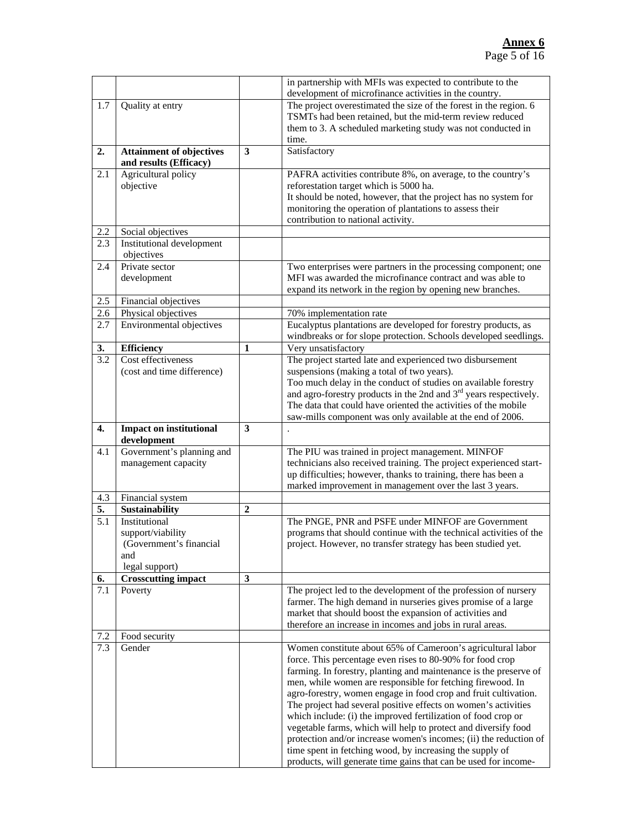|                  |                                                           |   | in partnership with MFIs was expected to contribute to the<br>development of microfinance activities in the country.        |
|------------------|-----------------------------------------------------------|---|-----------------------------------------------------------------------------------------------------------------------------|
|                  |                                                           |   | The project overestimated the size of the forest in the region. 6                                                           |
| 1.7              | Quality at entry                                          |   |                                                                                                                             |
|                  |                                                           |   | TSMTs had been retained, but the mid-term review reduced                                                                    |
|                  |                                                           |   | them to 3. A scheduled marketing study was not conducted in                                                                 |
|                  |                                                           |   | time.                                                                                                                       |
| 2.               | <b>Attainment of objectives</b><br>and results (Efficacy) | 3 | Satisfactory                                                                                                                |
| 2.1              | Agricultural policy                                       |   | PAFRA activities contribute 8%, on average, to the country's                                                                |
|                  | objective                                                 |   | reforestation target which is 5000 ha.                                                                                      |
|                  |                                                           |   | It should be noted, however, that the project has no system for                                                             |
|                  |                                                           |   | monitoring the operation of plantations to assess their                                                                     |
|                  |                                                           |   | contribution to national activity.                                                                                          |
| 2.2              | Social objectives                                         |   |                                                                                                                             |
| 2.3              | Institutional development                                 |   |                                                                                                                             |
|                  | objectives                                                |   |                                                                                                                             |
| 2.4              | Private sector                                            |   | Two enterprises were partners in the processing component; one                                                              |
|                  | development                                               |   | MFI was awarded the microfinance contract and was able to                                                                   |
|                  |                                                           |   | expand its network in the region by opening new branches.                                                                   |
| 2.5              | Financial objectives                                      |   |                                                                                                                             |
| 2.6              | Physical objectives                                       |   | 70% implementation rate                                                                                                     |
| 2.7              | Environmental objectives                                  |   | Eucalyptus plantations are developed for forestry products, as                                                              |
|                  |                                                           |   | windbreaks or for slope protection. Schools developed seedlings.                                                            |
| 3.               | <b>Efficiency</b>                                         | 1 | Very unsatisfactory                                                                                                         |
| 3.2              | Cost effectiveness                                        |   | The project started late and experienced two disbursement                                                                   |
|                  | (cost and time difference)                                |   | suspensions (making a total of two years).                                                                                  |
|                  |                                                           |   | Too much delay in the conduct of studies on available forestry                                                              |
|                  |                                                           |   | and agro-forestry products in the 2nd and 3 <sup>rd</sup> years respectively.                                               |
|                  |                                                           |   | The data that could have oriented the activities of the mobile                                                              |
|                  |                                                           |   | saw-mills component was only available at the end of 2006.                                                                  |
|                  |                                                           |   |                                                                                                                             |
| 4.               | <b>Impact on institutional</b>                            | 3 |                                                                                                                             |
| 4.1              | development                                               |   |                                                                                                                             |
|                  | Government's planning and                                 |   | The PIU was trained in project management. MINFOF                                                                           |
|                  | management capacity                                       |   | technicians also received training. The project experienced start-                                                          |
|                  |                                                           |   | up difficulties; however, thanks to training, there has been a<br>marked improvement in management over the last 3 years.   |
| $4.3$            | Financial system                                          |   |                                                                                                                             |
| 5.               | <b>Sustainability</b>                                     | 2 |                                                                                                                             |
| $\overline{5.1}$ | Institutional                                             |   | The PNGE, PNR and PSFE under MINFOF are Government                                                                          |
|                  | support/viability                                         |   | programs that should continue with the technical activities of the                                                          |
|                  | (Government's financial                                   |   | project. However, no transfer strategy has been studied yet.                                                                |
|                  | and                                                       |   |                                                                                                                             |
|                  | legal support)                                            |   |                                                                                                                             |
| 6.               | <b>Crosscutting impact</b>                                | 3 |                                                                                                                             |
| 7.1              | Poverty                                                   |   | The project led to the development of the profession of nursery                                                             |
|                  |                                                           |   | farmer. The high demand in nurseries gives promise of a large                                                               |
|                  |                                                           |   | market that should boost the expansion of activities and                                                                    |
|                  |                                                           |   | therefore an increase in incomes and jobs in rural areas.                                                                   |
| $7.2\,$          | Food security                                             |   |                                                                                                                             |
| 7.3              | Gender                                                    |   | Women constitute about 65% of Cameroon's agricultural labor                                                                 |
|                  |                                                           |   | force. This percentage even rises to 80-90% for food crop                                                                   |
|                  |                                                           |   | farming. In forestry, planting and maintenance is the preserve of                                                           |
|                  |                                                           |   | men, while women are responsible for fetching firewood. In                                                                  |
|                  |                                                           |   | agro-forestry, women engage in food crop and fruit cultivation.                                                             |
|                  |                                                           |   | The project had several positive effects on women's activities                                                              |
|                  |                                                           |   | which include: (i) the improved fertilization of food crop or                                                               |
|                  |                                                           |   | vegetable farms, which will help to protect and diversify food                                                              |
|                  |                                                           |   | protection and/or increase women's incomes; (ii) the reduction of                                                           |
|                  |                                                           |   | time spent in fetching wood, by increasing the supply of<br>products, will generate time gains that can be used for income- |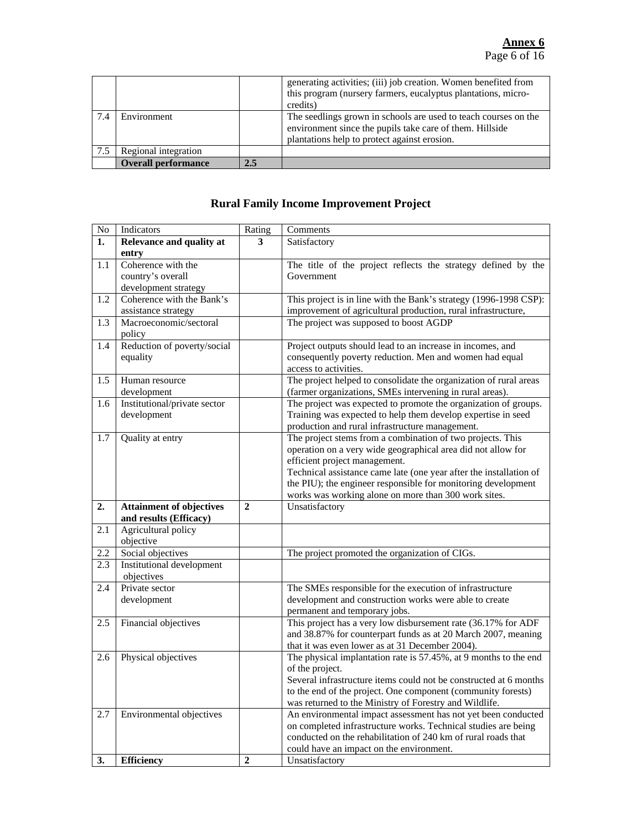|     |                            |     | generating activities; (iii) job creation. Women benefited from<br>this program (nursery farmers, eucalyptus plantations, micro-<br>credits)                                |
|-----|----------------------------|-----|-----------------------------------------------------------------------------------------------------------------------------------------------------------------------------|
| 7.4 | Environment                |     | The seedlings grown in schools are used to teach courses on the<br>environment since the pupils take care of them. Hillside<br>plantations help to protect against erosion. |
| 7.5 | Regional integration       |     |                                                                                                                                                                             |
|     | <b>Overall performance</b> | 2.5 |                                                                                                                                                                             |

### **Rural Family Income Improvement Project**

| No               | Indicators                       | Rating         | Comments                                                                                                              |
|------------------|----------------------------------|----------------|-----------------------------------------------------------------------------------------------------------------------|
| 1.               | Relevance and quality at         | 3              | Satisfactory                                                                                                          |
|                  | entry                            |                |                                                                                                                       |
| 1.1              | Coherence with the               |                | The title of the project reflects the strategy defined by the                                                         |
|                  | country's overall                |                | Government                                                                                                            |
|                  | development strategy             |                |                                                                                                                       |
| 1.2              | Coherence with the Bank's        |                | This project is in line with the Bank's strategy (1996-1998 CSP):                                                     |
|                  | assistance strategy              |                | improvement of agricultural production, rural infrastructure,                                                         |
| 1.3              | Macroeconomic/sectoral<br>policy |                | The project was supposed to boost AGDP                                                                                |
| 1.4              | Reduction of poverty/social      |                | Project outputs should lead to an increase in incomes, and                                                            |
|                  | equality                         |                | consequently poverty reduction. Men and women had equal                                                               |
|                  |                                  |                | access to activities.                                                                                                 |
| 1.5              | Human resource                   |                | The project helped to consolidate the organization of rural areas                                                     |
|                  | development                      |                | (farmer organizations, SMEs intervening in rural areas).                                                              |
| 1.6              | Institutional/private sector     |                | The project was expected to promote the organization of groups.                                                       |
|                  | development                      |                | Training was expected to help them develop expertise in seed                                                          |
|                  |                                  |                | production and rural infrastructure management.                                                                       |
| 1.7              | Quality at entry                 |                | The project stems from a combination of two projects. This                                                            |
|                  |                                  |                | operation on a very wide geographical area did not allow for                                                          |
|                  |                                  |                | efficient project management.                                                                                         |
|                  |                                  |                | Technical assistance came late (one year after the installation of                                                    |
|                  |                                  |                | the PIU); the engineer responsible for monitoring development<br>works was working alone on more than 300 work sites. |
| 2.               | <b>Attainment of objectives</b>  | $\mathbf{2}$   | Unsatisfactory                                                                                                        |
|                  | and results (Efficacy)           |                |                                                                                                                       |
| 2.1              | Agricultural policy              |                |                                                                                                                       |
|                  | objective                        |                |                                                                                                                       |
| 2.2              | Social objectives                |                | The project promoted the organization of CIGs.                                                                        |
| $\overline{2.3}$ | <b>Institutional development</b> |                |                                                                                                                       |
|                  | objectives                       |                |                                                                                                                       |
| 2.4              | Private sector                   |                | The SMEs responsible for the execution of infrastructure                                                              |
|                  | development                      |                | development and construction works were able to create                                                                |
|                  |                                  |                | permanent and temporary jobs.                                                                                         |
| 2.5              | Financial objectives             |                | This project has a very low disbursement rate (36.17% for ADF                                                         |
|                  |                                  |                | and 38.87% for counterpart funds as at 20 March 2007, meaning                                                         |
| 2.6              | Physical objectives              |                | that it was even lower as at 31 December 2004).<br>The physical implantation rate is 57.45%, at 9 months to the end   |
|                  |                                  |                | of the project.                                                                                                       |
|                  |                                  |                | Several infrastructure items could not be constructed at 6 months                                                     |
|                  |                                  |                | to the end of the project. One component (community forests)                                                          |
|                  |                                  |                | was returned to the Ministry of Forestry and Wildlife.                                                                |
| 2.7              | Environmental objectives         |                | An environmental impact assessment has not yet been conducted                                                         |
|                  |                                  |                | on completed infrastructure works. Technical studies are being                                                        |
|                  |                                  |                | conducted on the rehabilitation of 240 km of rural roads that                                                         |
|                  |                                  |                | could have an impact on the environment.                                                                              |
| 3.               | <b>Efficiency</b>                | $\overline{2}$ | Unsatisfactory                                                                                                        |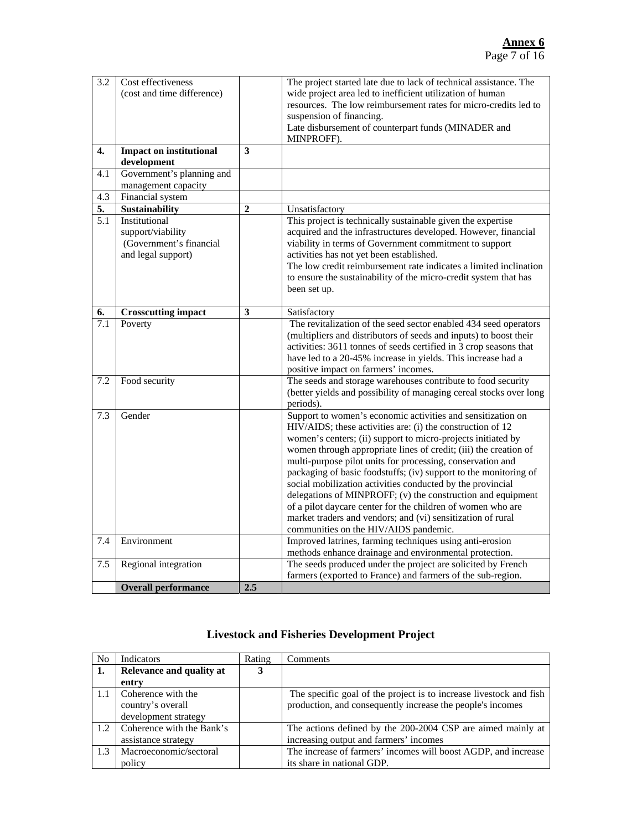### **Annex 6** Page 7 of 16

| 3.2              | Cost effectiveness                            |                | The project started late due to lack of technical assistance. The                                    |
|------------------|-----------------------------------------------|----------------|------------------------------------------------------------------------------------------------------|
|                  | (cost and time difference)                    |                | wide project area led to inefficient utilization of human                                            |
|                  |                                               |                | resources. The low reimbursement rates for micro-credits led to                                      |
|                  |                                               |                | suspension of financing.                                                                             |
|                  |                                               |                | Late disbursement of counterpart funds (MINADER and                                                  |
| $\overline{4}$ . |                                               | 3              | MINPROFF).                                                                                           |
|                  | <b>Impact on institutional</b><br>development |                |                                                                                                      |
| 4.1              | Government's planning and                     |                |                                                                                                      |
|                  | management capacity                           |                |                                                                                                      |
| 4.3              | Financial system                              |                |                                                                                                      |
| 5.               | <b>Sustainability</b>                         | $\overline{2}$ | Unsatisfactory                                                                                       |
| $\overline{5.1}$ | Institutional                                 |                | This project is technically sustainable given the expertise                                          |
|                  | support/viability                             |                | acquired and the infrastructures developed. However, financial                                       |
|                  | (Government's financial                       |                | viability in terms of Government commitment to support                                               |
|                  | and legal support)                            |                | activities has not yet been established.                                                             |
|                  |                                               |                | The low credit reimbursement rate indicates a limited inclination                                    |
|                  |                                               |                | to ensure the sustainability of the micro-credit system that has                                     |
|                  |                                               |                | been set up.                                                                                         |
|                  |                                               |                |                                                                                                      |
| 6.               | <b>Crosscutting impact</b>                    | 3              | Satisfactory                                                                                         |
| 7.1              | Poverty                                       |                | The revitalization of the seed sector enabled 434 seed operators                                     |
|                  |                                               |                | (multipliers and distributors of seeds and inputs) to boost their                                    |
|                  |                                               |                | activities: 3611 tonnes of seeds certified in 3 crop seasons that                                    |
|                  |                                               |                | have led to a 20-45% increase in yields. This increase had a                                         |
|                  |                                               |                | positive impact on farmers' incomes.<br>The seeds and storage warehouses contribute to food security |
| 7.2              | Food security                                 |                | (better yields and possibility of managing cereal stocks over long                                   |
|                  |                                               |                | periods).                                                                                            |
| 7.3              | Gender                                        |                | Support to women's economic activities and sensitization on                                          |
|                  |                                               |                | HIV/AIDS; these activities are: (i) the construction of 12                                           |
|                  |                                               |                | women's centers; (ii) support to micro-projects initiated by                                         |
|                  |                                               |                | women through appropriate lines of credit; (iii) the creation of                                     |
|                  |                                               |                | multi-purpose pilot units for processing, conservation and                                           |
|                  |                                               |                | packaging of basic foodstuffs; (iv) support to the monitoring of                                     |
|                  |                                               |                | social mobilization activities conducted by the provincial                                           |
|                  |                                               |                | delegations of MINPROFF; (v) the construction and equipment                                          |
|                  |                                               |                | of a pilot daycare center for the children of women who are                                          |
|                  |                                               |                | market traders and vendors; and (vi) sensitization of rural                                          |
|                  |                                               |                | communities on the HIV/AIDS pandemic.                                                                |
| 7.4              | Environment                                   |                | Improved latrines, farming techniques using anti-erosion                                             |
|                  |                                               |                | methods enhance drainage and environmental protection.                                               |
| 7.5              | Regional integration                          |                | The seeds produced under the project are solicited by French                                         |
|                  |                                               |                | farmers (exported to France) and farmers of the sub-region.                                          |
|                  | <b>Overall performance</b>                    | 2.5            |                                                                                                      |

| <b>No</b> | <b>Indicators</b>         | Rating | Comments                                                           |
|-----------|---------------------------|--------|--------------------------------------------------------------------|
| 1.        | Relevance and quality at  | 3      |                                                                    |
|           | entry                     |        |                                                                    |
| 1.1       | Coherence with the        |        | The specific goal of the project is to increase livestock and fish |
|           | country's overall         |        | production, and consequently increase the people's incomes         |
|           | development strategy      |        |                                                                    |
| 1.2       | Coherence with the Bank's |        | The actions defined by the 200-2004 CSP are aimed mainly at        |
|           | assistance strategy       |        | increasing output and farmers' incomes                             |
| 1.3       | Macroeconomic/sectoral    |        | The increase of farmers' incomes will boost AGDP, and increase     |
|           | policy                    |        | its share in national GDP.                                         |
|           |                           |        |                                                                    |

### **Livestock and Fisheries Development Project**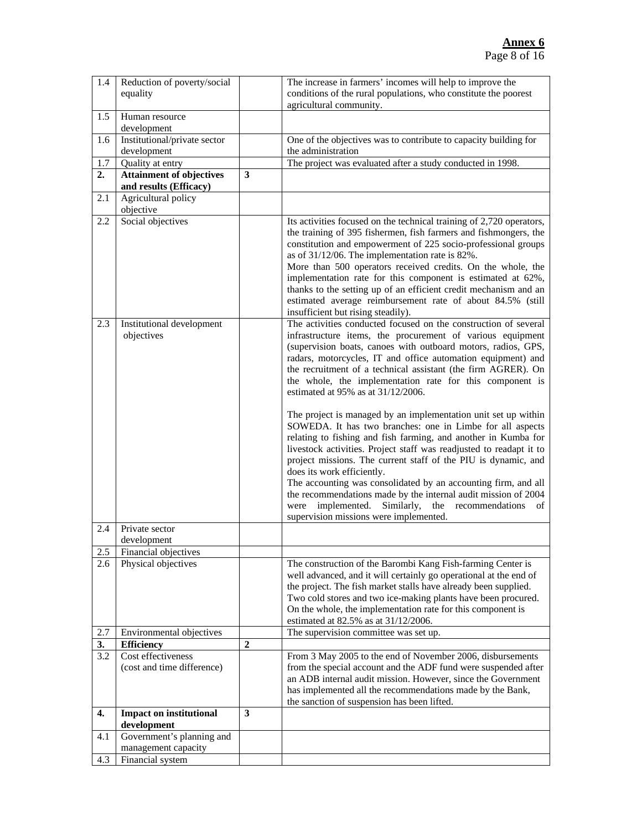| 1.4              | Reduction of poverty/social<br>equality                   |                         | The increase in farmers' incomes will help to improve the<br>conditions of the rural populations, who constitute the poorest<br>agricultural community.                                                                                                                                                                                                                                                                                                                                                                                                                                                                                                                                                                                                                                                                                                                                                                                                                                                    |
|------------------|-----------------------------------------------------------|-------------------------|------------------------------------------------------------------------------------------------------------------------------------------------------------------------------------------------------------------------------------------------------------------------------------------------------------------------------------------------------------------------------------------------------------------------------------------------------------------------------------------------------------------------------------------------------------------------------------------------------------------------------------------------------------------------------------------------------------------------------------------------------------------------------------------------------------------------------------------------------------------------------------------------------------------------------------------------------------------------------------------------------------|
| 1.5              | Human resource<br>development                             |                         |                                                                                                                                                                                                                                                                                                                                                                                                                                                                                                                                                                                                                                                                                                                                                                                                                                                                                                                                                                                                            |
| 1.6              | Institutional/private sector<br>development               |                         | One of the objectives was to contribute to capacity building for<br>the administration                                                                                                                                                                                                                                                                                                                                                                                                                                                                                                                                                                                                                                                                                                                                                                                                                                                                                                                     |
| 1.7              | Quality at entry                                          |                         | The project was evaluated after a study conducted in 1998.                                                                                                                                                                                                                                                                                                                                                                                                                                                                                                                                                                                                                                                                                                                                                                                                                                                                                                                                                 |
| 2.               | <b>Attainment of objectives</b><br>and results (Efficacy) | $\overline{\mathbf{3}}$ |                                                                                                                                                                                                                                                                                                                                                                                                                                                                                                                                                                                                                                                                                                                                                                                                                                                                                                                                                                                                            |
| 2.1              | Agricultural policy<br>objective                          |                         |                                                                                                                                                                                                                                                                                                                                                                                                                                                                                                                                                                                                                                                                                                                                                                                                                                                                                                                                                                                                            |
| 2.2              | Social objectives                                         |                         | Its activities focused on the technical training of 2,720 operators,<br>the training of 395 fishermen, fish farmers and fishmongers, the<br>constitution and empowerment of 225 socio-professional groups<br>as of 31/12/06. The implementation rate is 82%.<br>More than 500 operators received credits. On the whole, the<br>implementation rate for this component is estimated at 62%,<br>thanks to the setting up of an efficient credit mechanism and an<br>estimated average reimbursement rate of about 84.5% (still<br>insufficient but rising steadily).                                                                                                                                                                                                                                                                                                                                                                                                                                         |
| 2.3              | Institutional development<br>objectives                   |                         | The activities conducted focused on the construction of several<br>infrastructure items, the procurement of various equipment<br>(supervision boats, canoes with outboard motors, radios, GPS,<br>radars, motorcycles, IT and office automation equipment) and<br>the recruitment of a technical assistant (the firm AGRER). On<br>the whole, the implementation rate for this component is<br>estimated at 95% as at 31/12/2006.<br>The project is managed by an implementation unit set up within<br>SOWEDA. It has two branches: one in Limbe for all aspects<br>relating to fishing and fish farming, and another in Kumba for<br>livestock activities. Project staff was readjusted to readapt it to<br>project missions. The current staff of the PIU is dynamic, and<br>does its work efficiently.<br>The accounting was consolidated by an accounting firm, and all<br>the recommendations made by the internal audit mission of 2004<br>implemented. Similarly, the recommendations<br>were<br>of |
| 2.4              | Private sector                                            |                         | supervision missions were implemented.                                                                                                                                                                                                                                                                                                                                                                                                                                                                                                                                                                                                                                                                                                                                                                                                                                                                                                                                                                     |
|                  | development                                               |                         |                                                                                                                                                                                                                                                                                                                                                                                                                                                                                                                                                                                                                                                                                                                                                                                                                                                                                                                                                                                                            |
| 2.5<br>2.6       | Financial objectives<br>Physical objectives               |                         | The construction of the Barombi Kang Fish-farming Center is<br>well advanced, and it will certainly go operational at the end of<br>the project. The fish market stalls have already been supplied.<br>Two cold stores and two ice-making plants have been procured.<br>On the whole, the implementation rate for this component is<br>estimated at 82.5% as at 31/12/2006.                                                                                                                                                                                                                                                                                                                                                                                                                                                                                                                                                                                                                                |
| 2.7              | Environmental objectives                                  |                         | The supervision committee was set up.                                                                                                                                                                                                                                                                                                                                                                                                                                                                                                                                                                                                                                                                                                                                                                                                                                                                                                                                                                      |
| 3.               | <b>Efficiency</b>                                         | $\mathbf 2$             |                                                                                                                                                                                                                                                                                                                                                                                                                                                                                                                                                                                                                                                                                                                                                                                                                                                                                                                                                                                                            |
| 3.2              | Cost effectiveness<br>(cost and time difference)          |                         | From 3 May 2005 to the end of November 2006, disbursements<br>from the special account and the ADF fund were suspended after<br>an ADB internal audit mission. However, since the Government<br>has implemented all the recommendations made by the Bank,<br>the sanction of suspension has been lifted.                                                                                                                                                                                                                                                                                                                                                                                                                                                                                                                                                                                                                                                                                                   |
| $\overline{4}$ . | <b>Impact on institutional</b><br>development             | 3                       |                                                                                                                                                                                                                                                                                                                                                                                                                                                                                                                                                                                                                                                                                                                                                                                                                                                                                                                                                                                                            |
| 4.1              | Government's planning and                                 |                         |                                                                                                                                                                                                                                                                                                                                                                                                                                                                                                                                                                                                                                                                                                                                                                                                                                                                                                                                                                                                            |
|                  | management capacity                                       |                         |                                                                                                                                                                                                                                                                                                                                                                                                                                                                                                                                                                                                                                                                                                                                                                                                                                                                                                                                                                                                            |
| 4.3              | Financial system                                          |                         |                                                                                                                                                                                                                                                                                                                                                                                                                                                                                                                                                                                                                                                                                                                                                                                                                                                                                                                                                                                                            |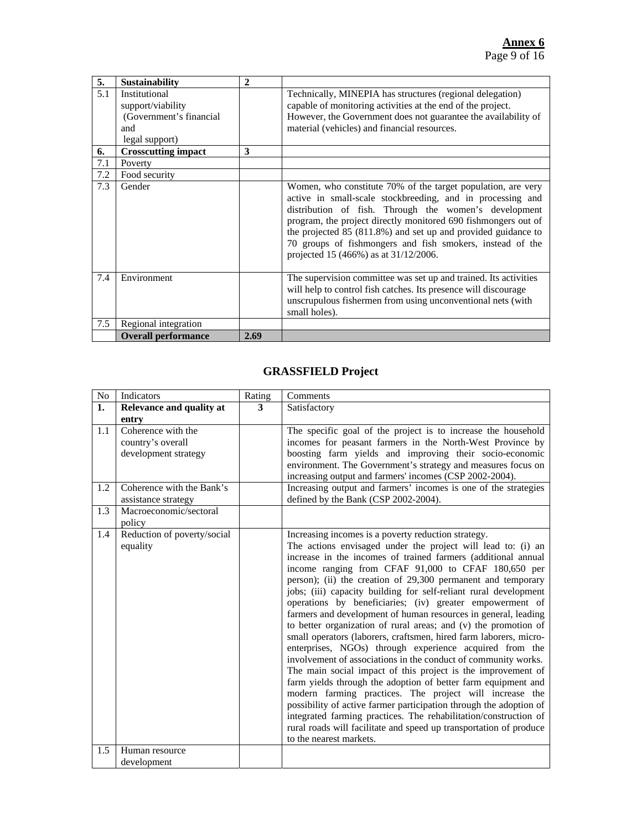| 5.  | <b>Sustainability</b>      | $\overline{2}$ |                                                                                                                                                                                                                                                                                                                                                                                                                                     |
|-----|----------------------------|----------------|-------------------------------------------------------------------------------------------------------------------------------------------------------------------------------------------------------------------------------------------------------------------------------------------------------------------------------------------------------------------------------------------------------------------------------------|
| 5.1 | Institutional              |                | Technically, MINEPIA has structures (regional delegation)                                                                                                                                                                                                                                                                                                                                                                           |
|     | support/viability          |                | capable of monitoring activities at the end of the project.                                                                                                                                                                                                                                                                                                                                                                         |
|     | (Government's financial    |                | However, the Government does not guarantee the availability of                                                                                                                                                                                                                                                                                                                                                                      |
|     | and                        |                | material (vehicles) and financial resources.                                                                                                                                                                                                                                                                                                                                                                                        |
|     | legal support)             |                |                                                                                                                                                                                                                                                                                                                                                                                                                                     |
| 6.  | <b>Crosscutting impact</b> | 3              |                                                                                                                                                                                                                                                                                                                                                                                                                                     |
| 7.1 | Poverty                    |                |                                                                                                                                                                                                                                                                                                                                                                                                                                     |
| 7.2 | Food security              |                |                                                                                                                                                                                                                                                                                                                                                                                                                                     |
| 7.3 | Gender                     |                | Women, who constitute 70% of the target population, are very<br>active in small-scale stockbreeding, and in processing and<br>distribution of fish. Through the women's development<br>program, the project directly monitored 690 fishmongers out of<br>the projected $85$ ( $811.8\%$ ) and set up and provided guidance to<br>70 groups of fishmongers and fish smokers, instead of the<br>projected 15 (466%) as at 31/12/2006. |
| 7.4 | Environment                |                | The supervision committee was set up and trained. Its activities<br>will help to control fish catches. Its presence will discourage<br>unscrupulous fishermen from using unconventional nets (with<br>small holes).                                                                                                                                                                                                                 |
| 7.5 | Regional integration       |                |                                                                                                                                                                                                                                                                                                                                                                                                                                     |
|     | <b>Overall performance</b> | 2.69           |                                                                                                                                                                                                                                                                                                                                                                                                                                     |

### **GRASSFIELD Project**

| No  | Indicators                  | Rating | Comments                                                           |
|-----|-----------------------------|--------|--------------------------------------------------------------------|
| 1.  | Relevance and quality at    | 3      | Satisfactory                                                       |
|     | entry                       |        |                                                                    |
| 1.1 | Coherence with the          |        | The specific goal of the project is to increase the household      |
|     | country's overall           |        | incomes for peasant farmers in the North-West Province by          |
|     | development strategy        |        | boosting farm yields and improving their socio-economic            |
|     |                             |        | environment. The Government's strategy and measures focus on       |
|     |                             |        | increasing output and farmers' incomes (CSP 2002-2004).            |
| 1.2 | Coherence with the Bank's   |        | Increasing output and farmers' incomes is one of the strategies    |
|     | assistance strategy         |        | defined by the Bank (CSP 2002-2004).                               |
| 1.3 | Macroeconomic/sectoral      |        |                                                                    |
|     | policy                      |        |                                                                    |
| 1.4 | Reduction of poverty/social |        | Increasing incomes is a poverty reduction strategy.                |
|     | equality                    |        | The actions envisaged under the project will lead to: (i) an       |
|     |                             |        | increase in the incomes of trained farmers (additional annual      |
|     |                             |        | income ranging from CFAF 91,000 to CFAF 180,650 per                |
|     |                             |        | person); (ii) the creation of 29,300 permanent and temporary       |
|     |                             |        | jobs; (iii) capacity building for self-reliant rural development   |
|     |                             |        | operations by beneficiaries; (iv) greater empowerment of           |
|     |                             |        | farmers and development of human resources in general, leading     |
|     |                             |        | to better organization of rural areas; and (v) the promotion of    |
|     |                             |        | small operators (laborers, craftsmen, hired farm laborers, micro-  |
|     |                             |        | enterprises, NGOs) through experience acquired from the            |
|     |                             |        | involvement of associations in the conduct of community works.     |
|     |                             |        | The main social impact of this project is the improvement of       |
|     |                             |        | farm yields through the adoption of better farm equipment and      |
|     |                             |        | modern farming practices. The project will increase the            |
|     |                             |        | possibility of active farmer participation through the adoption of |
|     |                             |        | integrated farming practices. The rehabilitation/construction of   |
|     |                             |        | rural roads will facilitate and speed up transportation of produce |
|     |                             |        | to the nearest markets.                                            |
| 1.5 | Human resource              |        |                                                                    |
|     | development                 |        |                                                                    |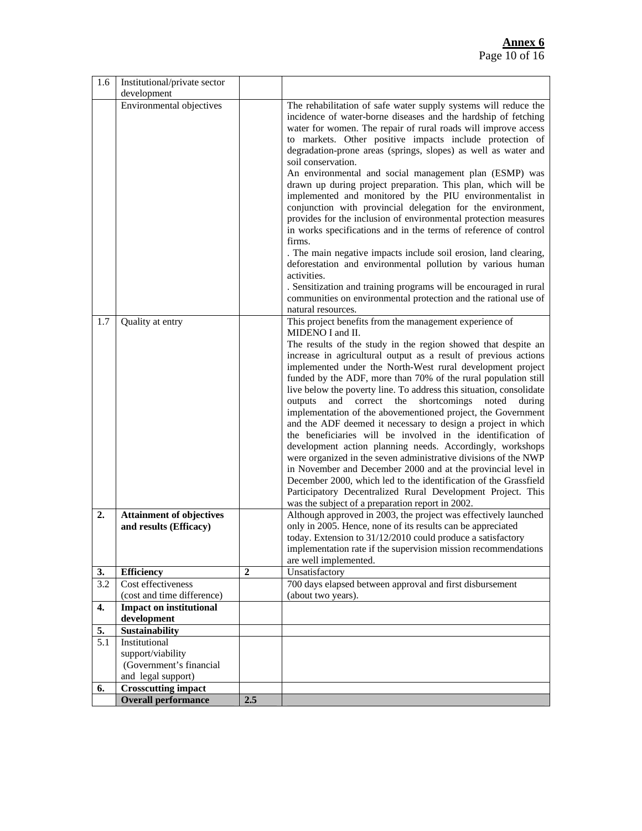| 1.6 | Institutional/private sector                                 |                  |                                                                                                                                                                                                                                                                                                                                                                                                                                                                                                                                                                                                                                                                                                                                                                                                                                                                                                                                                                                                                                                                                                                                                                                                                        |
|-----|--------------------------------------------------------------|------------------|------------------------------------------------------------------------------------------------------------------------------------------------------------------------------------------------------------------------------------------------------------------------------------------------------------------------------------------------------------------------------------------------------------------------------------------------------------------------------------------------------------------------------------------------------------------------------------------------------------------------------------------------------------------------------------------------------------------------------------------------------------------------------------------------------------------------------------------------------------------------------------------------------------------------------------------------------------------------------------------------------------------------------------------------------------------------------------------------------------------------------------------------------------------------------------------------------------------------|
|     | development                                                  |                  |                                                                                                                                                                                                                                                                                                                                                                                                                                                                                                                                                                                                                                                                                                                                                                                                                                                                                                                                                                                                                                                                                                                                                                                                                        |
|     | Environmental objectives                                     |                  | The rehabilitation of safe water supply systems will reduce the<br>incidence of water-borne diseases and the hardship of fetching<br>water for women. The repair of rural roads will improve access<br>to markets. Other positive impacts include protection of<br>degradation-prone areas (springs, slopes) as well as water and<br>soil conservation.<br>An environmental and social management plan (ESMP) was<br>drawn up during project preparation. This plan, which will be<br>implemented and monitored by the PIU environmentalist in<br>conjunction with provincial delegation for the environment,<br>provides for the inclusion of environmental protection measures<br>in works specifications and in the terms of reference of control<br>firms.<br>. The main negative impacts include soil erosion, land clearing,<br>deforestation and environmental pollution by various human<br>activities.<br>. Sensitization and training programs will be encouraged in rural<br>communities on environmental protection and the rational use of<br>natural resources.                                                                                                                                          |
| 1.7 | Quality at entry                                             |                  | This project benefits from the management experience of                                                                                                                                                                                                                                                                                                                                                                                                                                                                                                                                                                                                                                                                                                                                                                                                                                                                                                                                                                                                                                                                                                                                                                |
| 2.  | <b>Attainment of objectives</b><br>and results (Efficacy)    |                  | MIDENO I and II.<br>The results of the study in the region showed that despite an<br>increase in agricultural output as a result of previous actions<br>implemented under the North-West rural development project<br>funded by the ADF, more than 70% of the rural population still<br>live below the poverty line. To address this situation, consolidate<br>outputs<br>and correct<br>the<br>shortcomings<br>noted<br>during<br>implementation of the abovementioned project, the Government<br>and the ADF deemed it necessary to design a project in which<br>the beneficiaries will be involved in the identification of<br>development action planning needs. Accordingly, workshops<br>were organized in the seven administrative divisions of the NWP<br>in November and December 2000 and at the provincial level in<br>December 2000, which led to the identification of the Grassfield<br>Participatory Decentralized Rural Development Project. This<br>was the subject of a preparation report in 2002.<br>Although approved in 2003, the project was effectively launched<br>only in 2005. Hence, none of its results can be appreciated<br>today. Extension to 31/12/2010 could produce a satisfactory |
|     |                                                              |                  | implementation rate if the supervision mission recommendations<br>are well implemented.                                                                                                                                                                                                                                                                                                                                                                                                                                                                                                                                                                                                                                                                                                                                                                                                                                                                                                                                                                                                                                                                                                                                |
| 3.  | <b>Efficiency</b>                                            | $\boldsymbol{2}$ | Unsatisfactory                                                                                                                                                                                                                                                                                                                                                                                                                                                                                                                                                                                                                                                                                                                                                                                                                                                                                                                                                                                                                                                                                                                                                                                                         |
| 3.2 | Cost effectiveness                                           |                  | 700 days elapsed between approval and first disbursement                                                                                                                                                                                                                                                                                                                                                                                                                                                                                                                                                                                                                                                                                                                                                                                                                                                                                                                                                                                                                                                                                                                                                               |
|     | (cost and time difference)<br><b>Impact on institutional</b> |                  | (about two years).                                                                                                                                                                                                                                                                                                                                                                                                                                                                                                                                                                                                                                                                                                                                                                                                                                                                                                                                                                                                                                                                                                                                                                                                     |
| 4.  | development                                                  |                  |                                                                                                                                                                                                                                                                                                                                                                                                                                                                                                                                                                                                                                                                                                                                                                                                                                                                                                                                                                                                                                                                                                                                                                                                                        |
| 5.  | <b>Sustainability</b>                                        |                  |                                                                                                                                                                                                                                                                                                                                                                                                                                                                                                                                                                                                                                                                                                                                                                                                                                                                                                                                                                                                                                                                                                                                                                                                                        |
| 5.1 | Institutional                                                |                  |                                                                                                                                                                                                                                                                                                                                                                                                                                                                                                                                                                                                                                                                                                                                                                                                                                                                                                                                                                                                                                                                                                                                                                                                                        |
|     | support/viability                                            |                  |                                                                                                                                                                                                                                                                                                                                                                                                                                                                                                                                                                                                                                                                                                                                                                                                                                                                                                                                                                                                                                                                                                                                                                                                                        |
|     | (Government's financial                                      |                  |                                                                                                                                                                                                                                                                                                                                                                                                                                                                                                                                                                                                                                                                                                                                                                                                                                                                                                                                                                                                                                                                                                                                                                                                                        |
|     | and legal support)                                           |                  |                                                                                                                                                                                                                                                                                                                                                                                                                                                                                                                                                                                                                                                                                                                                                                                                                                                                                                                                                                                                                                                                                                                                                                                                                        |
| 6.  | <b>Crosscutting impact</b>                                   |                  |                                                                                                                                                                                                                                                                                                                                                                                                                                                                                                                                                                                                                                                                                                                                                                                                                                                                                                                                                                                                                                                                                                                                                                                                                        |
|     | <b>Overall performance</b>                                   | 2.5              |                                                                                                                                                                                                                                                                                                                                                                                                                                                                                                                                                                                                                                                                                                                                                                                                                                                                                                                                                                                                                                                                                                                                                                                                                        |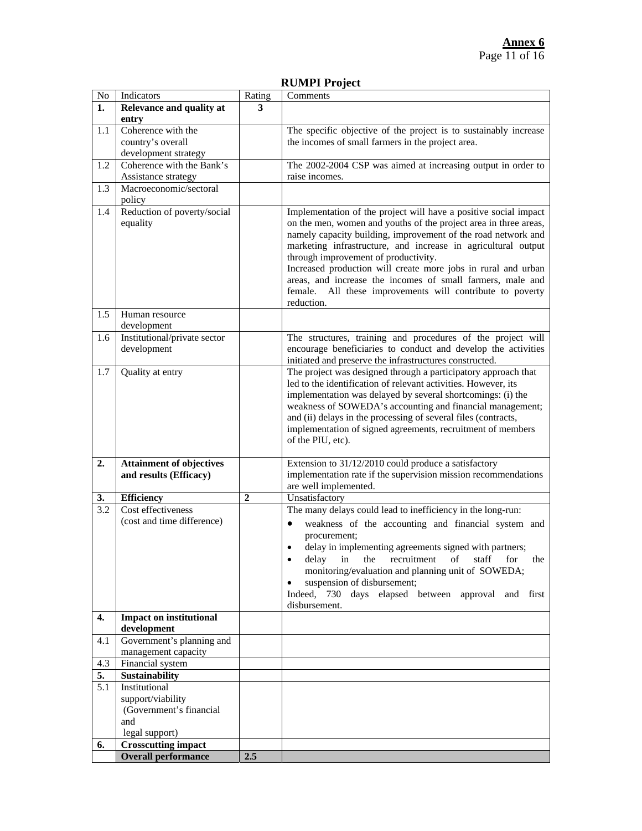### **RUMPI Project**

| $\rm No$ | <b>Indicators</b>               | Rating       | Comments                                                         |
|----------|---------------------------------|--------------|------------------------------------------------------------------|
| 1.       | Relevance and quality at        | 3            |                                                                  |
|          | entry                           |              |                                                                  |
| 1.1      | Coherence with the              |              | The specific objective of the project is to sustainably increase |
|          | country's overall               |              | the incomes of small farmers in the project area.                |
|          | development strategy            |              |                                                                  |
| 1.2      | Coherence with the Bank's       |              | The 2002-2004 CSP was aimed at increasing output in order to     |
|          | Assistance strategy             |              | raise incomes.                                                   |
| 1.3      | Macroeconomic/sectoral          |              |                                                                  |
|          | policy                          |              |                                                                  |
| 1.4      | Reduction of poverty/social     |              | Implementation of the project will have a positive social impact |
|          | equality                        |              | on the men, women and youths of the project area in three areas, |
|          |                                 |              | namely capacity building, improvement of the road network and    |
|          |                                 |              | marketing infrastructure, and increase in agricultural output    |
|          |                                 |              | through improvement of productivity.                             |
|          |                                 |              | Increased production will create more jobs in rural and urban    |
|          |                                 |              | areas, and increase the incomes of small farmers, male and       |
|          |                                 |              | female. All these improvements will contribute to poverty        |
|          |                                 |              | reduction.                                                       |
| 1.5      | Human resource                  |              |                                                                  |
|          | development                     |              | The structures, training and procedures of the project will      |
| 1.6      | Institutional/private sector    |              | encourage beneficiaries to conduct and develop the activities    |
|          | development                     |              | initiated and preserve the infrastructures constructed.          |
| 1.7      | Quality at entry                |              | The project was designed through a participatory approach that   |
|          |                                 |              | led to the identification of relevant activities. However, its   |
|          |                                 |              | implementation was delayed by several shortcomings: (i) the      |
|          |                                 |              | weakness of SOWEDA's accounting and financial management;        |
|          |                                 |              | and (ii) delays in the processing of several files (contracts,   |
|          |                                 |              | implementation of signed agreements, recruitment of members      |
|          |                                 |              | of the PIU, etc).                                                |
|          |                                 |              |                                                                  |
| 2.       | <b>Attainment of objectives</b> |              | Extension to 31/12/2010 could produce a satisfactory             |
|          | and results (Efficacy)          |              | implementation rate if the supervision mission recommendations   |
|          |                                 |              | are well implemented.                                            |
| 3.       | <b>Efficiency</b>               | $\mathbf{2}$ | Unsatisfactory                                                   |
| 3.2      | Cost effectiveness              |              | The many delays could lead to inefficiency in the long-run:      |
|          | (cost and time difference)      |              | weakness of the accounting and financial system and              |
|          |                                 |              | procurement;                                                     |
|          |                                 |              | delay in implementing agreements signed with partners;           |
|          |                                 |              | delay in the recruitment of staff for the                        |
|          |                                 |              | monitoring/evaluation and planning unit of SOWEDA;               |
|          |                                 |              | suspension of disbursement;<br>$\bullet$                         |
|          |                                 |              | Indeed, 730 days elapsed between approval and first              |
|          |                                 |              | disbursement.                                                    |
| 4.       | <b>Impact on institutional</b>  |              |                                                                  |
|          | development                     |              |                                                                  |
| 4.1      | Government's planning and       |              |                                                                  |
|          | management capacity             |              |                                                                  |
| 4.3      | Financial system                |              |                                                                  |
| 5.       | <b>Sustainability</b>           |              |                                                                  |
| 5.1      | Institutional                   |              |                                                                  |
|          | support/viability               |              |                                                                  |
|          | (Government's financial         |              |                                                                  |
|          | and                             |              |                                                                  |
|          | legal support)                  |              |                                                                  |
| 6.       | <b>Crosscutting impact</b>      |              |                                                                  |
|          | <b>Overall performance</b>      | 2.5          |                                                                  |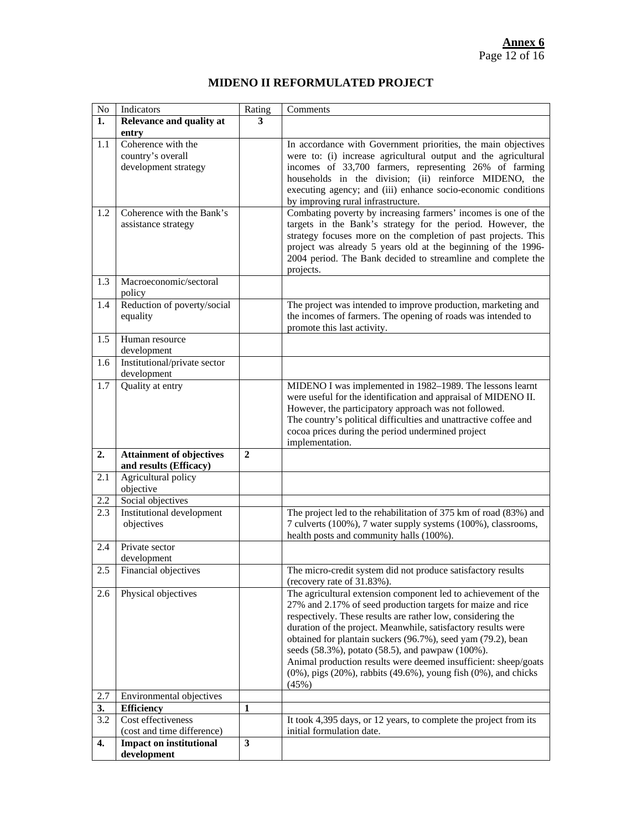### **MIDENO II REFORMULATED PROJECT**

| $\rm No$ | Indicators                                                      | Rating         | Comments                                                                                                                                                                                                                                                                                                                                                                                                                                                                                                                                        |
|----------|-----------------------------------------------------------------|----------------|-------------------------------------------------------------------------------------------------------------------------------------------------------------------------------------------------------------------------------------------------------------------------------------------------------------------------------------------------------------------------------------------------------------------------------------------------------------------------------------------------------------------------------------------------|
| 1.       | Relevance and quality at<br>entry                               | 3              |                                                                                                                                                                                                                                                                                                                                                                                                                                                                                                                                                 |
| 1.1      | Coherence with the<br>country's overall<br>development strategy |                | In accordance with Government priorities, the main objectives<br>were to: (i) increase agricultural output and the agricultural<br>incomes of 33,700 farmers, representing 26% of farming<br>households in the division; (ii) reinforce MIDENO, the<br>executing agency; and (iii) enhance socio-economic conditions<br>by improving rural infrastructure.                                                                                                                                                                                      |
| 1.2      | Coherence with the Bank's<br>assistance strategy                |                | Combating poverty by increasing farmers' incomes is one of the<br>targets in the Bank's strategy for the period. However, the<br>strategy focuses more on the completion of past projects. This<br>project was already 5 years old at the beginning of the 1996-<br>2004 period. The Bank decided to streamline and complete the<br>projects.                                                                                                                                                                                                   |
| 1.3      | Macroeconomic/sectoral<br>policy                                |                |                                                                                                                                                                                                                                                                                                                                                                                                                                                                                                                                                 |
| 1.4      | Reduction of poverty/social<br>equality                         |                | The project was intended to improve production, marketing and<br>the incomes of farmers. The opening of roads was intended to<br>promote this last activity.                                                                                                                                                                                                                                                                                                                                                                                    |
| 1.5      | Human resource<br>development                                   |                |                                                                                                                                                                                                                                                                                                                                                                                                                                                                                                                                                 |
| 1.6      | Institutional/private sector<br>development                     |                |                                                                                                                                                                                                                                                                                                                                                                                                                                                                                                                                                 |
| 1.7      | Quality at entry                                                |                | MIDENO I was implemented in 1982-1989. The lessons learnt<br>were useful for the identification and appraisal of MIDENO II.<br>However, the participatory approach was not followed.<br>The country's political difficulties and unattractive coffee and<br>cocoa prices during the period undermined project<br>implementation.                                                                                                                                                                                                                |
| 2.       | <b>Attainment of objectives</b><br>and results (Efficacy)       | $\overline{2}$ |                                                                                                                                                                                                                                                                                                                                                                                                                                                                                                                                                 |
| 2.1      | Agricultural policy<br>objective                                |                |                                                                                                                                                                                                                                                                                                                                                                                                                                                                                                                                                 |
| 2.2      | Social objectives                                               |                |                                                                                                                                                                                                                                                                                                                                                                                                                                                                                                                                                 |
| 2.3      | <b>Institutional development</b><br>objectives                  |                | The project led to the rehabilitation of 375 km of road (83%) and<br>7 culverts (100%), 7 water supply systems (100%), classrooms,<br>health posts and community halls (100%).                                                                                                                                                                                                                                                                                                                                                                  |
| 2.4      | Private sector<br>development                                   |                |                                                                                                                                                                                                                                                                                                                                                                                                                                                                                                                                                 |
| 2.5      | Financial objectives                                            |                | The micro-credit system did not produce satisfactory results<br>(recovery rate of 31.83%).                                                                                                                                                                                                                                                                                                                                                                                                                                                      |
| 2.6      | Physical objectives                                             |                | The agricultural extension component led to achievement of the<br>27% and 2.17% of seed production targets for maize and rice<br>respectively. These results are rather low, considering the<br>duration of the project. Meanwhile, satisfactory results were<br>obtained for plantain suckers (96.7%), seed yam (79.2), bean<br>seeds (58.3%), potato (58.5), and pawpaw (100%).<br>Animal production results were deemed insufficient: sheep/goats<br>$(0\%)$ , pigs $(20\%)$ , rabbits $(49.6\%)$ , young fish $(0\%)$ , and chicks<br>(45%) |
| $2.7\,$  | Environmental objectives                                        |                |                                                                                                                                                                                                                                                                                                                                                                                                                                                                                                                                                 |
| 3.       | <b>Efficiency</b>                                               | 1              |                                                                                                                                                                                                                                                                                                                                                                                                                                                                                                                                                 |
| 3.2      | Cost effectiveness<br>(cost and time difference)                |                | It took 4,395 days, or 12 years, to complete the project from its<br>initial formulation date.                                                                                                                                                                                                                                                                                                                                                                                                                                                  |
| 4.       | <b>Impact on institutional</b><br>development                   | 3              |                                                                                                                                                                                                                                                                                                                                                                                                                                                                                                                                                 |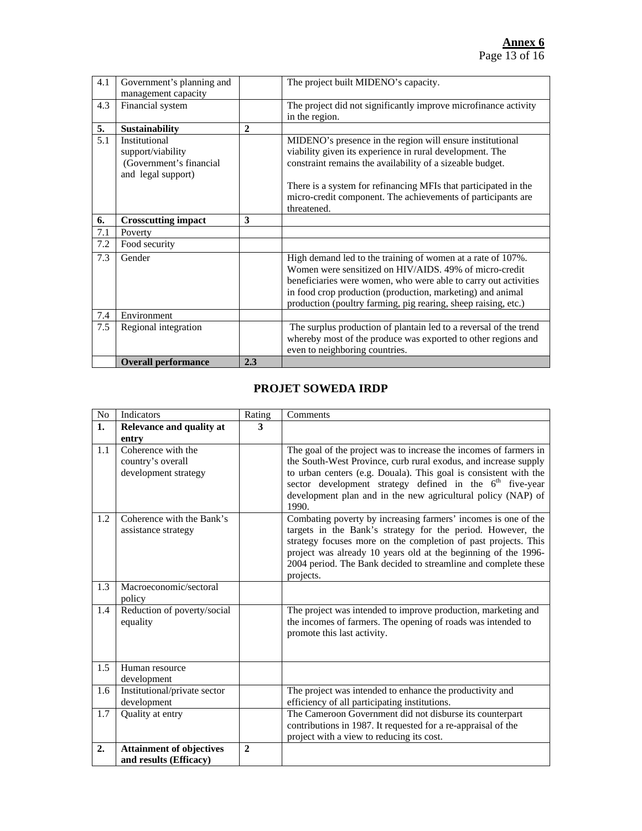| 4.1 | Government's planning and  |              | The project built MIDENO's capacity.                              |
|-----|----------------------------|--------------|-------------------------------------------------------------------|
|     | management capacity        |              |                                                                   |
| 4.3 | Financial system           |              | The project did not significantly improve microfinance activity   |
|     |                            |              | in the region.                                                    |
| 5.  | <b>Sustainability</b>      | $\mathbf{2}$ |                                                                   |
| 5.1 | Institutional              |              | MIDENO's presence in the region will ensure institutional         |
|     | support/viability          |              | viability given its experience in rural development. The          |
|     | (Government's financial    |              | constraint remains the availability of a sizeable budget.         |
|     | and legal support)         |              |                                                                   |
|     |                            |              | There is a system for refinancing MFIs that participated in the   |
|     |                            |              | micro-credit component. The achievements of participants are      |
|     |                            |              | threatened.                                                       |
|     |                            |              |                                                                   |
| 6.  | <b>Crosscutting impact</b> | 3            |                                                                   |
| 7.1 | Poverty                    |              |                                                                   |
| 7.2 | Food security              |              |                                                                   |
| 7.3 | Gender                     |              | High demand led to the training of women at a rate of 107%.       |
|     |                            |              | Women were sensitized on HIV/AIDS, 49% of micro-credit            |
|     |                            |              | beneficiaries were women, who were able to carry out activities   |
|     |                            |              | in food crop production (production, marketing) and animal        |
|     |                            |              | production (poultry farming, pig rearing, sheep raising, etc.)    |
| 7.4 | Environment                |              |                                                                   |
| 7.5 |                            |              |                                                                   |
|     | Regional integration       |              | The surplus production of plantain led to a reversal of the trend |
|     |                            |              | whereby most of the produce was exported to other regions and     |
|     |                            |              | even to neighboring countries.                                    |
|     | <b>Overall performance</b> | 2.3          |                                                                   |

### **PROJET SOWEDA IRDP**

| $\rm No$ | Indicators                            | Rating         | Comments                                                             |
|----------|---------------------------------------|----------------|----------------------------------------------------------------------|
| 1.       | Relevance and quality at              | 3              |                                                                      |
|          | entry                                 |                |                                                                      |
| 1.1      | Coherence with the                    |                | The goal of the project was to increase the incomes of farmers in    |
|          | country's overall                     |                | the South-West Province, curb rural exodus, and increase supply      |
|          | development strategy                  |                | to urban centers (e.g. Douala). This goal is consistent with the     |
|          |                                       |                | sector development strategy defined in the 6 <sup>th</sup> five-year |
|          |                                       |                | development plan and in the new agricultural policy (NAP) of         |
|          |                                       |                | 1990.                                                                |
| 1.2      | Coherence with the Bank's             |                | Combating poverty by increasing farmers' incomes is one of the       |
|          | assistance strategy                   |                | targets in the Bank's strategy for the period. However, the          |
|          |                                       |                | strategy focuses more on the completion of past projects. This       |
|          |                                       |                | project was already 10 years old at the beginning of the 1996-       |
|          |                                       |                | 2004 period. The Bank decided to streamline and complete these       |
|          | Macroeconomic/sectoral                |                | projects.                                                            |
| 1.3      |                                       |                |                                                                      |
| 1.4      | policy<br>Reduction of poverty/social |                | The project was intended to improve production, marketing and        |
|          | equality                              |                | the incomes of farmers. The opening of roads was intended to         |
|          |                                       |                | promote this last activity.                                          |
|          |                                       |                |                                                                      |
|          |                                       |                |                                                                      |
| 1.5      | Human resource                        |                |                                                                      |
|          | development                           |                |                                                                      |
| 1.6      | Institutional/private sector          |                | The project was intended to enhance the productivity and             |
|          | development                           |                | efficiency of all participating institutions.                        |
| 1.7      | Quality at entry                      |                | The Cameroon Government did not disburse its counterpart             |
|          |                                       |                | contributions in 1987. It requested for a re-appraisal of the        |
|          |                                       |                | project with a view to reducing its cost.                            |
| 2.       | <b>Attainment of objectives</b>       | $\overline{2}$ |                                                                      |
|          | and results (Efficacy)                |                |                                                                      |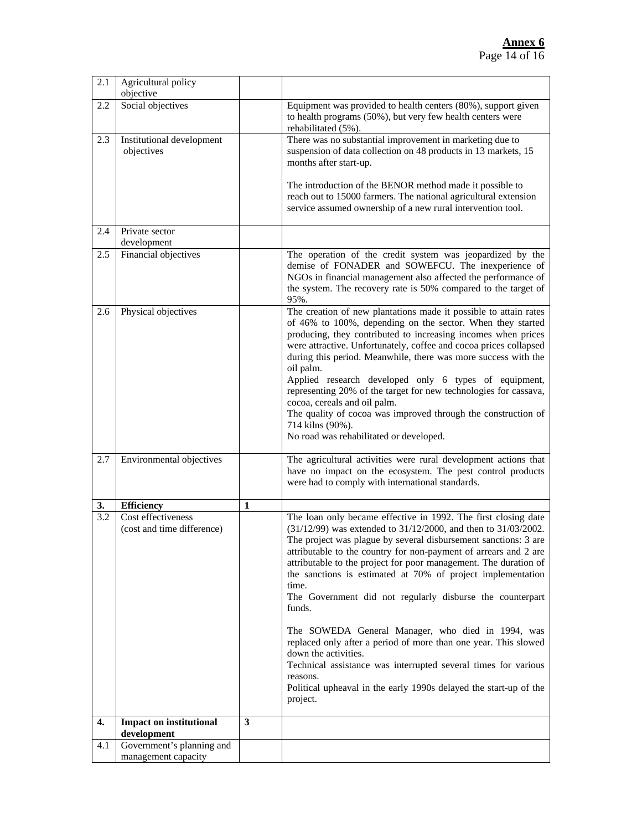| 2.1              | Agricultural policy<br>objective                 |   |                                                                                                                                                                                                                                                                                                                                                                                                                                                                                                                                                                                                                                                                                                              |
|------------------|--------------------------------------------------|---|--------------------------------------------------------------------------------------------------------------------------------------------------------------------------------------------------------------------------------------------------------------------------------------------------------------------------------------------------------------------------------------------------------------------------------------------------------------------------------------------------------------------------------------------------------------------------------------------------------------------------------------------------------------------------------------------------------------|
| 2.2              | Social objectives                                |   | Equipment was provided to health centers (80%), support given<br>to health programs (50%), but very few health centers were<br>rehabilitated (5%).                                                                                                                                                                                                                                                                                                                                                                                                                                                                                                                                                           |
| 2.3              | Institutional development<br>objectives          |   | There was no substantial improvement in marketing due to<br>suspension of data collection on 48 products in 13 markets, 15<br>months after start-up.<br>The introduction of the BENOR method made it possible to<br>reach out to 15000 farmers. The national agricultural extension<br>service assumed ownership of a new rural intervention tool.                                                                                                                                                                                                                                                                                                                                                           |
| 2.4              | Private sector<br>development                    |   |                                                                                                                                                                                                                                                                                                                                                                                                                                                                                                                                                                                                                                                                                                              |
| 2.5              | Financial objectives                             |   | The operation of the credit system was jeopardized by the<br>demise of FONADER and SOWEFCU. The inexperience of<br>NGOs in financial management also affected the performance of<br>the system. The recovery rate is 50% compared to the target of<br>95%.                                                                                                                                                                                                                                                                                                                                                                                                                                                   |
| 2.6              | Physical objectives                              |   | The creation of new plantations made it possible to attain rates<br>of 46% to 100%, depending on the sector. When they started<br>producing, they contributed to increasing incomes when prices<br>were attractive. Unfortunately, coffee and cocoa prices collapsed<br>during this period. Meanwhile, there was more success with the<br>oil palm.<br>Applied research developed only 6 types of equipment,<br>representing 20% of the target for new technologies for cassava,<br>cocoa, cereals and oil palm.<br>The quality of cocoa was improved through the construction of<br>714 kilns (90%).<br>No road was rehabilitated or developed.                                                             |
| 2.7              | Environmental objectives                         |   | The agricultural activities were rural development actions that<br>have no impact on the ecosystem. The pest control products<br>were had to comply with international standards.                                                                                                                                                                                                                                                                                                                                                                                                                                                                                                                            |
| 3.               | <b>Efficiency</b>                                | 1 |                                                                                                                                                                                                                                                                                                                                                                                                                                                                                                                                                                                                                                                                                                              |
| $\overline{3.2}$ | Cost effectiveness<br>(cost and time difference) |   | The loan only became effective in 1992. The first closing date<br>(31/12/99) was extended to 31/12/2000, and then to 31/03/2002.<br>The project was plague by several disbursement sanctions: 3 are<br>attributable to the country for non-payment of arrears and 2 are<br>attributable to the project for poor management. The duration of<br>the sanctions is estimated at 70% of project implementation<br>time.<br>The Government did not regularly disburse the counterpart<br>funds.<br>The SOWEDA General Manager, who died in 1994, was<br>replaced only after a period of more than one year. This slowed<br>down the activities.<br>Technical assistance was interrupted several times for various |
|                  |                                                  |   | reasons.<br>Political upheaval in the early 1990s delayed the start-up of the<br>project.                                                                                                                                                                                                                                                                                                                                                                                                                                                                                                                                                                                                                    |
| 4.               | <b>Impact on institutional</b><br>development    | 3 |                                                                                                                                                                                                                                                                                                                                                                                                                                                                                                                                                                                                                                                                                                              |
| 4.1              | Government's planning and                        |   |                                                                                                                                                                                                                                                                                                                                                                                                                                                                                                                                                                                                                                                                                                              |
|                  | management capacity                              |   |                                                                                                                                                                                                                                                                                                                                                                                                                                                                                                                                                                                                                                                                                                              |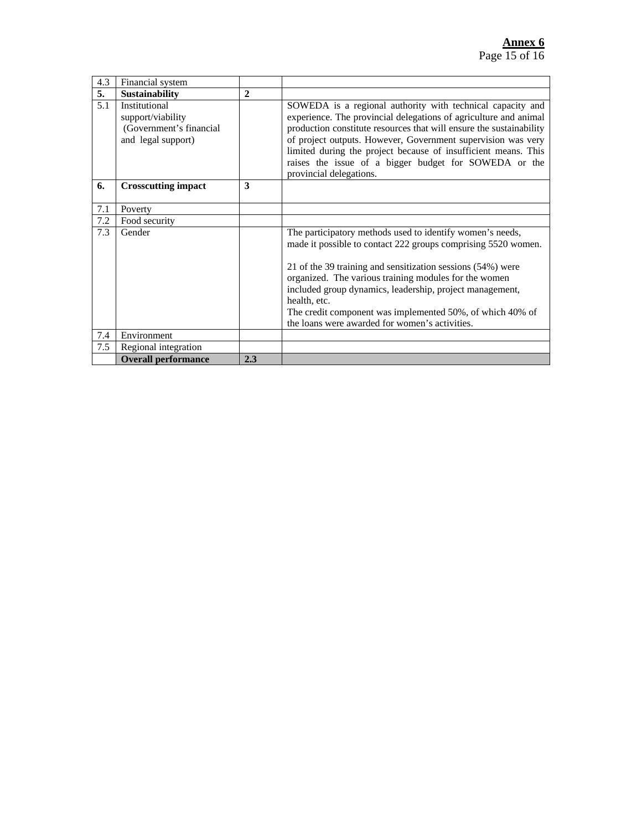| 4.3 | Financial system                                                                    |              |                                                                                                                                                                                                                                                                                                                                                                                                                                               |
|-----|-------------------------------------------------------------------------------------|--------------|-----------------------------------------------------------------------------------------------------------------------------------------------------------------------------------------------------------------------------------------------------------------------------------------------------------------------------------------------------------------------------------------------------------------------------------------------|
| 5.  | <b>Sustainability</b>                                                               | $\mathbf{2}$ |                                                                                                                                                                                                                                                                                                                                                                                                                                               |
| 5.1 | Institutional<br>support/viability<br>(Government's financial<br>and legal support) |              | SOWEDA is a regional authority with technical capacity and<br>experience. The provincial delegations of agriculture and animal<br>production constitute resources that will ensure the sustainability<br>of project outputs. However, Government supervision was very<br>limited during the project because of insufficient means. This<br>raises the issue of a bigger budget for SOWEDA or the<br>provincial delegations.                   |
| 6.  | <b>Crosscutting impact</b>                                                          | 3            |                                                                                                                                                                                                                                                                                                                                                                                                                                               |
| 7.1 | Poverty                                                                             |              |                                                                                                                                                                                                                                                                                                                                                                                                                                               |
| 7.2 | Food security                                                                       |              |                                                                                                                                                                                                                                                                                                                                                                                                                                               |
| 7.3 | Gender                                                                              |              | The participatory methods used to identify women's needs,<br>made it possible to contact 222 groups comprising 5520 women.<br>21 of the 39 training and sensitization sessions (54%) were<br>organized. The various training modules for the women<br>included group dynamics, leadership, project management,<br>health, etc.<br>The credit component was implemented 50%, of which 40% of<br>the loans were awarded for women's activities. |
| 7.4 | Environment                                                                         |              |                                                                                                                                                                                                                                                                                                                                                                                                                                               |
| 7.5 | Regional integration                                                                |              |                                                                                                                                                                                                                                                                                                                                                                                                                                               |
|     | <b>Overall performance</b>                                                          | 2.3          |                                                                                                                                                                                                                                                                                                                                                                                                                                               |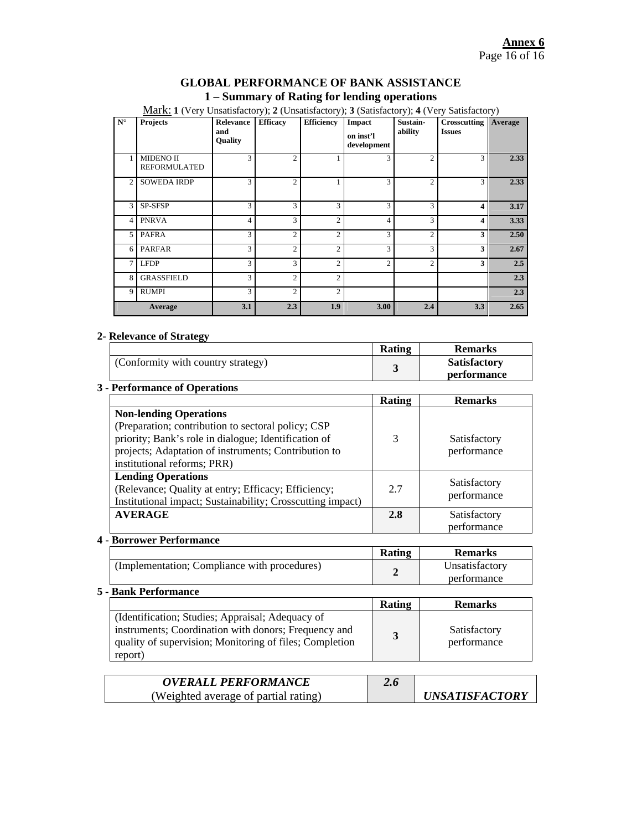#### **GLOBAL PERFORMANCE OF BANK ASSISTANCE 1 – Summary of Rating for lending operations**

| $\mathbf{N}^\circ$ | <b>Projects</b>                         | Relevance<br>and<br>Quality | <b>Efficacy</b> | <b>Efficiency</b> | Impact<br>on inst'l<br>development | Sustain-<br>ability | Crosscutting<br><b>Issues</b> | Average |
|--------------------|-----------------------------------------|-----------------------------|-----------------|-------------------|------------------------------------|---------------------|-------------------------------|---------|
|                    | <b>MIDENO II</b><br><b>REFORMULATED</b> | 3                           | $\overline{c}$  |                   | 3                                  | $\overline{c}$      | 3                             | 2.33    |
| 2                  | <b>SOWEDA IRDP</b>                      | 3                           | $\overline{c}$  |                   | 3                                  | $\overline{c}$      | 3                             | 2.33    |
| 3                  | SP-SFSP                                 | 3                           | 3               | 3                 | 3                                  | 3                   | $\overline{\mathbf{4}}$       | 3.17    |
| 4                  | <b>PNRVA</b>                            | 4                           | 3               | $\overline{c}$    | 4                                  | 3                   | $\overline{\mathbf{4}}$       | 3.33    |
| 5.                 | <b>PAFRA</b>                            | 3                           | $\overline{2}$  | $\overline{2}$    | 3                                  | $\overline{c}$      | 3                             | 2.50    |
| 6                  | <b>PARFAR</b>                           | 3                           | $\overline{c}$  | $\overline{2}$    | 3                                  | 3                   | 3                             | 2.67    |
| $\tau$             | <b>LFDP</b>                             | 3                           | 3               | $\overline{2}$    | $\overline{c}$                     | $\overline{c}$      | 3                             | 2.5     |
| 8                  | <b>GRASSFIELD</b>                       | 3                           | $\overline{c}$  | $\overline{2}$    |                                    |                     |                               | 2.3     |
| 9                  | <b>RUMPI</b>                            | 3                           | $\mathfrak{D}$  | $\overline{c}$    |                                    |                     |                               | 2.3     |
| Average            |                                         | 3.1                         | 2.3             | 1.9               | 3.00                               | 2.4                 | 3.3                           | 2.65    |

Mark: **1** (Very Unsatisfactory); **2** (Unsatisfactory); **3** (Satisfactory); **4** (Very Satisfactory)

#### **2- Relevance of Strategy**

|                                                                                                                                                                                                                                    | Rating        | <b>Remarks</b>                     |
|------------------------------------------------------------------------------------------------------------------------------------------------------------------------------------------------------------------------------------|---------------|------------------------------------|
| (Conformity with country strategy)                                                                                                                                                                                                 | 3             | <b>Satisfactory</b><br>performance |
| <b>3 - Performance of Operations</b>                                                                                                                                                                                               |               |                                    |
|                                                                                                                                                                                                                                    | <b>Rating</b> | <b>Remarks</b>                     |
| <b>Non-lending Operations</b><br>(Preparation; contribution to sectoral policy; CSP<br>priority; Bank's role in dialogue; Identification of<br>projects; Adaptation of instruments; Contribution to<br>institutional reforms; PRR) | 3             | Satisfactory<br>performance        |
| <b>Lending Operations</b><br>(Relevance; Quality at entry; Efficacy; Efficiency;<br>Institutional impact; Sustainability; Crosscutting impact)                                                                                     | 2.7           | Satisfactory<br>performance        |
| <b>AVERAGE</b>                                                                                                                                                                                                                     | 2.8           | Satisfactory<br>performance        |

#### **4 - Borrower Performance**

|                                              | <b>Rating</b> | <b>Remarks</b> |
|----------------------------------------------|---------------|----------------|
| (Implementation; Compliance with procedures) |               | Unsatisfactory |
|                                              |               | performance    |

#### **5 - Bank Performance**

|                                                                                                                                                                                | Rating | <b>Remarks</b>              |
|--------------------------------------------------------------------------------------------------------------------------------------------------------------------------------|--------|-----------------------------|
| (Identification; Studies; Appraisal; Adequacy of<br>instruments; Coordination with donors; Frequency and<br>quality of supervision; Monitoring of files; Completion<br>report) |        | Satisfactory<br>performance |

| <b>OVERALL PERFORMANCE</b>           | 2.6 |                              |
|--------------------------------------|-----|------------------------------|
| (Weighted average of partial rating) |     | <i><b>UNSATISFACTORY</b></i> |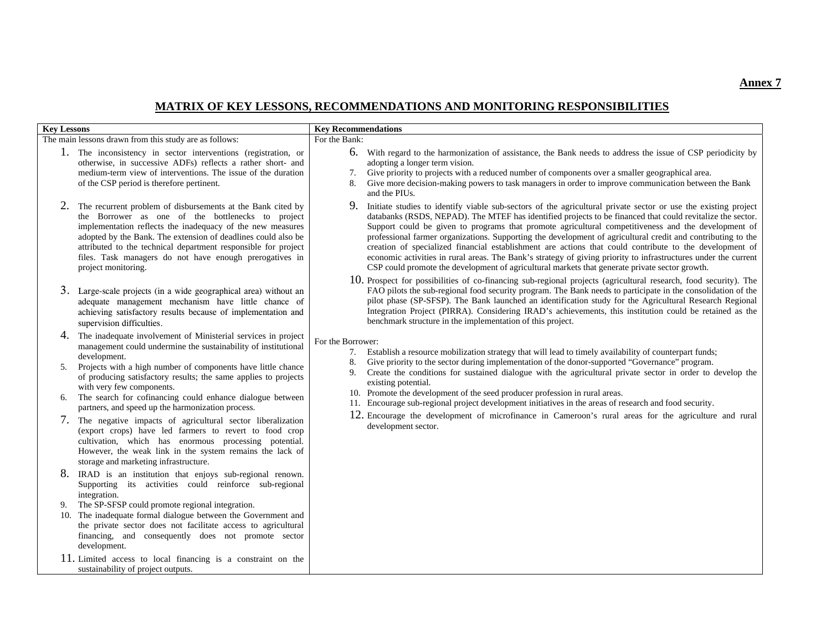#### **MATRIX OF KEY LESSONS, RECOMMENDATIONS AND MONITORING RESPONSIBILITIES**

| <b>Key Lessons</b>         |                                                                                                                                                                                                                                                                                                                                                                                                                                                                                                                                                                                                                                                                                                                                                                                                                                                                                                                    | <b>Key Recommendations</b>          |                                                                                                                                                                                                                                                                                                                                                                                                                                                                                                                                                                                                                                                                                                                                                                                        |
|----------------------------|--------------------------------------------------------------------------------------------------------------------------------------------------------------------------------------------------------------------------------------------------------------------------------------------------------------------------------------------------------------------------------------------------------------------------------------------------------------------------------------------------------------------------------------------------------------------------------------------------------------------------------------------------------------------------------------------------------------------------------------------------------------------------------------------------------------------------------------------------------------------------------------------------------------------|-------------------------------------|----------------------------------------------------------------------------------------------------------------------------------------------------------------------------------------------------------------------------------------------------------------------------------------------------------------------------------------------------------------------------------------------------------------------------------------------------------------------------------------------------------------------------------------------------------------------------------------------------------------------------------------------------------------------------------------------------------------------------------------------------------------------------------------|
|                            | The main lessons drawn from this study are as follows:                                                                                                                                                                                                                                                                                                                                                                                                                                                                                                                                                                                                                                                                                                                                                                                                                                                             | For the Bank:                       |                                                                                                                                                                                                                                                                                                                                                                                                                                                                                                                                                                                                                                                                                                                                                                                        |
|                            | 1. The inconsistency in sector interventions (registration, or<br>otherwise, in successive ADFs) reflects a rather short- and<br>medium-term view of interventions. The issue of the duration<br>of the CSP period is therefore pertinent.                                                                                                                                                                                                                                                                                                                                                                                                                                                                                                                                                                                                                                                                         | 7.<br>8.                            | 6. With regard to the harmonization of assistance, the Bank needs to address the issue of CSP periodicity by<br>adopting a longer term vision.<br>Give priority to projects with a reduced number of components over a smaller geographical area.<br>Give more decision-making powers to task managers in order to improve communication between the Bank<br>and the PIUs.                                                                                                                                                                                                                                                                                                                                                                                                             |
| 2.                         | The recurrent problem of disbursements at the Bank cited by<br>the Borrower as one of the bottlenecks to project<br>implementation reflects the inadequacy of the new measures<br>adopted by the Bank. The extension of deadlines could also be<br>attributed to the technical department responsible for project<br>files. Task managers do not have enough prerogatives in<br>project monitoring.                                                                                                                                                                                                                                                                                                                                                                                                                                                                                                                |                                     | 9. Initiate studies to identify viable sub-sectors of the agricultural private sector or use the existing project<br>databanks (RSDS, NEPAD). The MTEF has identified projects to be financed that could revitalize the sector.<br>Support could be given to programs that promote agricultural competitiveness and the development of<br>professional farmer organizations. Supporting the development of agricultural credit and contributing to the<br>creation of specialized financial establishment are actions that could contribute to the development of<br>economic activities in rural areas. The Bank's strategy of giving priority to infrastructures under the current<br>CSP could promote the development of agricultural markets that generate private sector growth. |
|                            | 3. Large-scale projects (in a wide geographical area) without an<br>adequate management mechanism have little chance of<br>achieving satisfactory results because of implementation and<br>supervision difficulties.                                                                                                                                                                                                                                                                                                                                                                                                                                                                                                                                                                                                                                                                                               |                                     | 10. Prospect for possibilities of co-financing sub-regional projects (agricultural research, food security). The<br>FAO pilots the sub-regional food security program. The Bank needs to participate in the consolidation of the<br>pilot phase (SP-SFSP). The Bank launched an identification study for the Agricultural Research Regional<br>Integration Project (PIRRA). Considering IRAD's achievements, this institution could be retained as the<br>benchmark structure in the implementation of this project.                                                                                                                                                                                                                                                                   |
| 4.<br>5.<br>6.<br>7.<br>9. | The inadequate involvement of Ministerial services in project<br>management could undermine the sustainability of institutional<br>development.<br>Projects with a high number of components have little chance<br>of producing satisfactory results; the same applies to projects<br>with very few components.<br>The search for cofinancing could enhance dialogue between<br>partners, and speed up the harmonization process.<br>The negative impacts of agricultural sector liberalization<br>(export crops) have led farmers to revert to food crop<br>cultivation, which has enormous processing potential.<br>However, the weak link in the system remains the lack of<br>storage and marketing infrastructure.<br>8. IRAD is an institution that enjoys sub-regional renown.<br>Supporting its activities could reinforce sub-regional<br>integration.<br>The SP-SFSP could promote regional integration. | For the Borrower:<br>7.<br>8.<br>9. | Establish a resource mobilization strategy that will lead to timely availability of counterpart funds;<br>Give priority to the sector during implementation of the donor-supported "Governance" program.<br>Create the conditions for sustained dialogue with the agricultural private sector in order to develop the<br>existing potential.<br>10. Promote the development of the seed producer profession in rural areas.<br>11. Encourage sub-regional project development initiatives in the areas of research and food security.<br>12. Encourage the development of microfinance in Cameroon's rural areas for the agriculture and rural<br>development sector.                                                                                                                  |
|                            | 10. The inadequate formal dialogue between the Government and<br>the private sector does not facilitate access to agricultural<br>financing, and consequently does not promote sector<br>development.<br>11. Limited access to local financing is a constraint on the<br>sustainability of project outputs.                                                                                                                                                                                                                                                                                                                                                                                                                                                                                                                                                                                                        |                                     |                                                                                                                                                                                                                                                                                                                                                                                                                                                                                                                                                                                                                                                                                                                                                                                        |

**Annex 7**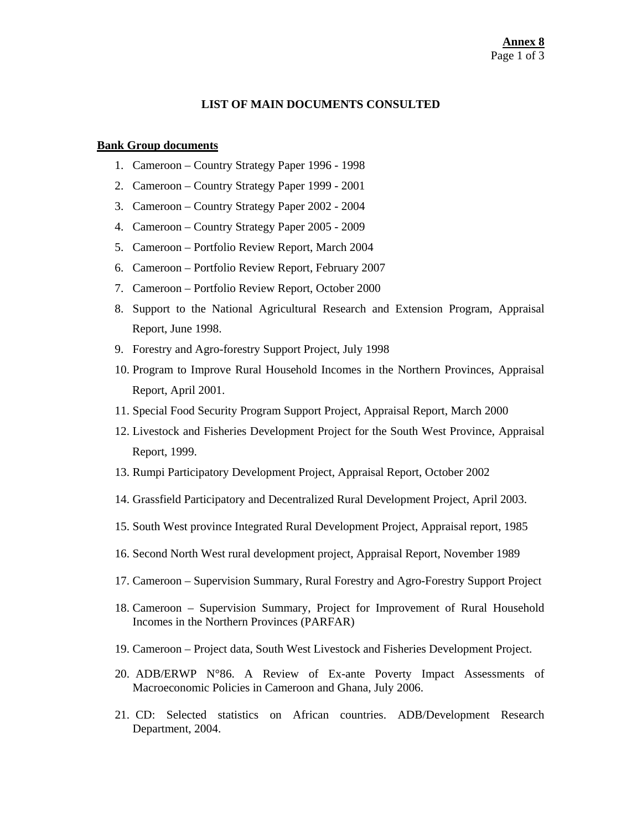#### **LIST OF MAIN DOCUMENTS CONSULTED**

#### **Bank Group documents**

- 1. Cameroon Country Strategy Paper 1996 1998
- 2. Cameroon Country Strategy Paper 1999 2001
- 3. Cameroon Country Strategy Paper 2002 2004
- 4. Cameroon Country Strategy Paper 2005 2009
- 5. Cameroon Portfolio Review Report, March 2004
- 6. Cameroon Portfolio Review Report, February 2007
- 7. Cameroon Portfolio Review Report, October 2000
- 8. Support to the National Agricultural Research and Extension Program, Appraisal Report, June 1998.
- 9. Forestry and Agro-forestry Support Project, July 1998
- 10. Program to Improve Rural Household Incomes in the Northern Provinces, Appraisal Report, April 2001.
- 11. Special Food Security Program Support Project, Appraisal Report, March 2000
- 12. Livestock and Fisheries Development Project for the South West Province, Appraisal Report, 1999.
- 13. Rumpi Participatory Development Project, Appraisal Report, October 2002
- 14. Grassfield Participatory and Decentralized Rural Development Project, April 2003.
- 15. South West province Integrated Rural Development Project, Appraisal report, 1985
- 16. Second North West rural development project, Appraisal Report, November 1989
- 17. Cameroon Supervision Summary, Rural Forestry and Agro-Forestry Support Project
- 18. Cameroon Supervision Summary, Project for Improvement of Rural Household Incomes in the Northern Provinces (PARFAR)
- 19. Cameroon Project data, South West Livestock and Fisheries Development Project.
- 20. ADB/ERWP N°86. A Review of Ex-ante Poverty Impact Assessments of Macroeconomic Policies in Cameroon and Ghana, July 2006.
- 21. CD: Selected statistics on African countries. ADB/Development Research Department, 2004.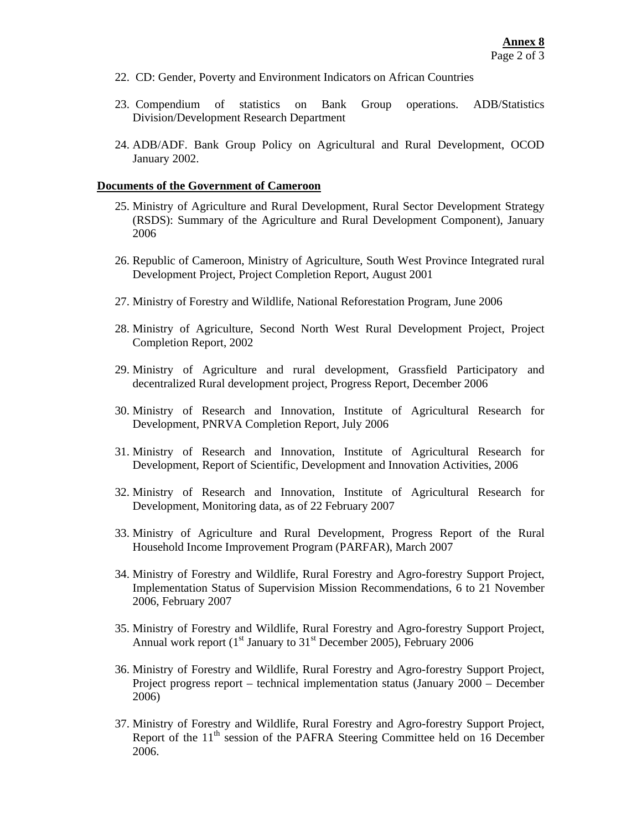- 22. CD: Gender, Poverty and Environment Indicators on African Countries
- 23. Compendium of statistics on Bank Group operations. ADB/Statistics Division/Development Research Department
- 24. ADB/ADF. Bank Group Policy on Agricultural and Rural Development, OCOD January 2002.

#### **Documents of the Government of Cameroon**

- 25. Ministry of Agriculture and Rural Development, Rural Sector Development Strategy (RSDS): Summary of the Agriculture and Rural Development Component), January 2006
- 26. Republic of Cameroon, Ministry of Agriculture, South West Province Integrated rural Development Project, Project Completion Report, August 2001
- 27. Ministry of Forestry and Wildlife, National Reforestation Program, June 2006
- 28. Ministry of Agriculture, Second North West Rural Development Project, Project Completion Report, 2002
- 29. Ministry of Agriculture and rural development, Grassfield Participatory and decentralized Rural development project, Progress Report, December 2006
- 30. Ministry of Research and Innovation, Institute of Agricultural Research for Development, PNRVA Completion Report, July 2006
- 31. Ministry of Research and Innovation, Institute of Agricultural Research for Development, Report of Scientific, Development and Innovation Activities, 2006
- 32. Ministry of Research and Innovation, Institute of Agricultural Research for Development, Monitoring data, as of 22 February 2007
- 33. Ministry of Agriculture and Rural Development, Progress Report of the Rural Household Income Improvement Program (PARFAR), March 2007
- 34. Ministry of Forestry and Wildlife, Rural Forestry and Agro-forestry Support Project, Implementation Status of Supervision Mission Recommendations, 6 to 21 November 2006, February 2007
- 35. Ministry of Forestry and Wildlife, Rural Forestry and Agro-forestry Support Project, Annual work report  $(1<sup>st</sup> January to 31<sup>st</sup> December 2005)$ , February 2006
- 36. Ministry of Forestry and Wildlife, Rural Forestry and Agro-forestry Support Project, Project progress report – technical implementation status (January 2000 – December 2006)
- 37. Ministry of Forestry and Wildlife, Rural Forestry and Agro-forestry Support Project, Report of the 11<sup>th</sup> session of the PAFRA Steering Committee held on 16 December 2006.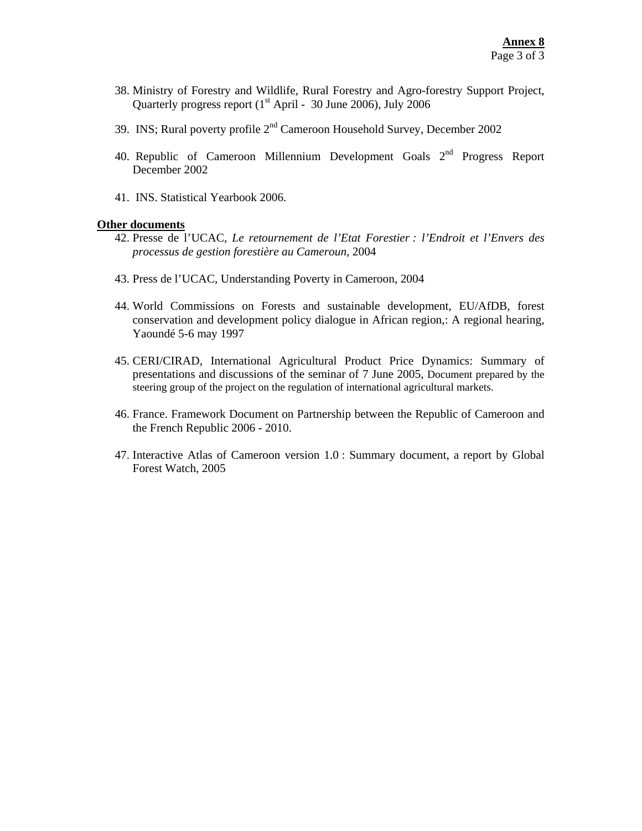- 38. Ministry of Forestry and Wildlife, Rural Forestry and Agro-forestry Support Project, Quarterly progress report  $(1<sup>st</sup> April - 30 June 2006)$ , July 2006
- 39. INS; Rural poverty profile  $2<sup>nd</sup>$  Cameroon Household Survey, December 2002
- 40. Republic of Cameroon Millennium Development Goals  $2<sup>nd</sup>$  Progress Report December 2002
- 41. INS. Statistical Yearbook 2006.

#### **Other documents**

- 42. Presse de l'UCAC, *Le retournement de l'Etat Forestier : l'Endroit et l'Envers des processus de gestion forestière au Cameroun*, 2004
- 43. Press de l'UCAC, Understanding Poverty in Cameroon, 2004
- 44. World Commissions on Forests and sustainable development, EU/AfDB, forest conservation and development policy dialogue in African region,: A regional hearing, Yaoundé 5-6 may 1997
- 45. CERI/CIRAD, International Agricultural Product Price Dynamics: Summary of presentations and discussions of the seminar of 7 June 2005, Document prepared by the steering group of the project on the regulation of international agricultural markets.
- 46. France. Framework Document on Partnership between the Republic of Cameroon and the French Republic 2006 - 2010.
- 47. Interactive Atlas of Cameroon version 1.0 : Summary document, a report by Global Forest Watch, 2005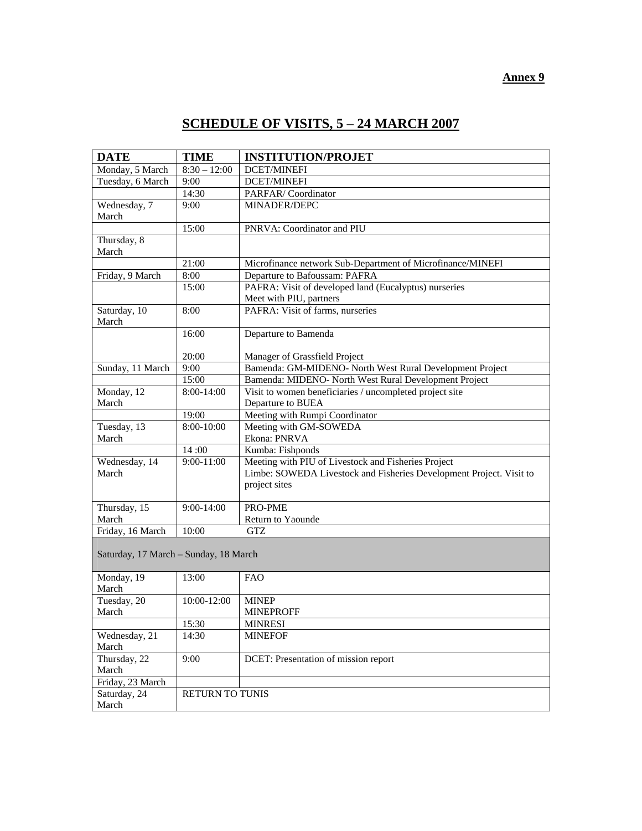# **SCHEDULE OF VISITS, 5 – 24 MARCH 2007**

| <b>DATE</b>                           | <b>TIME</b>     | <b>INSTITUTION/PROJET</b>                                           |
|---------------------------------------|-----------------|---------------------------------------------------------------------|
| Monday, 5 March                       | $8:30 - 12:00$  | <b>DCET/MINEFI</b>                                                  |
| Tuesday, 6 March                      | 9:00            | <b>DCET/MINEFI</b>                                                  |
|                                       | 14:30           | PARFAR/Coordinator                                                  |
| Wednesday, 7                          | 9:00            | MINADER/DEPC                                                        |
| March                                 |                 |                                                                     |
|                                       | 15:00           | PNRVA: Coordinator and PIU                                          |
| Thursday, 8                           |                 |                                                                     |
| March                                 |                 |                                                                     |
|                                       | 21:00           | Microfinance network Sub-Department of Microfinance/MINEFI          |
| Friday, 9 March                       | 8:00            | Departure to Bafoussam: PAFRA                                       |
|                                       | 15:00           | PAFRA: Visit of developed land (Eucalyptus) nurseries               |
|                                       |                 | Meet with PIU, partners                                             |
| Saturday, 10                          | 8:00            | PAFRA: Visit of farms, nurseries                                    |
| March                                 |                 |                                                                     |
|                                       | 16:00           | Departure to Bamenda                                                |
|                                       |                 |                                                                     |
|                                       | 20:00           | Manager of Grassfield Project                                       |
| Sunday, 11 March                      | 9:00            | Bamenda: GM-MIDENO- North West Rural Development Project            |
|                                       | 15:00           | Bamenda: MIDENO- North West Rural Development Project               |
| Monday, 12                            | 8:00-14:00      | Visit to women beneficiaries / uncompleted project site             |
| March                                 |                 | Departure to BUEA                                                   |
|                                       | 19:00           | Meeting with Rumpi Coordinator                                      |
| Tuesday, 13                           | 8:00-10:00      | Meeting with GM-SOWEDA                                              |
| March                                 |                 | Ekona: PNRVA                                                        |
|                                       | 14:00           | Kumba: Fishponds                                                    |
| Wednesday, 14                         | $9:00-11:00$    | Meeting with PIU of Livestock and Fisheries Project                 |
| March                                 |                 | Limbe: SOWEDA Livestock and Fisheries Development Project. Visit to |
|                                       |                 | project sites                                                       |
| Thursday, 15                          | $9:00 - 14:00$  | PRO-PME                                                             |
| March                                 |                 | Return to Yaounde                                                   |
| Friday, 16 March                      | 10:00           | GTZ                                                                 |
|                                       |                 |                                                                     |
| Saturday, 17 March – Sunday, 18 March |                 |                                                                     |
|                                       |                 |                                                                     |
| Monday, 19                            | 13:00           | <b>FAO</b>                                                          |
| March                                 |                 |                                                                     |
| Tuesday, 20                           | 10:00-12:00     | <b>MINEP</b>                                                        |
| March                                 |                 | <b>MINEPROFF</b>                                                    |
|                                       | 15:30           | <b>MINRESI</b>                                                      |
| Wednesday, 21                         | 14:30           | <b>MINEFOF</b>                                                      |
| March                                 |                 |                                                                     |
| Thursday, 22                          | 9:00            | DCET: Presentation of mission report                                |
| March                                 |                 |                                                                     |
| Friday, 23 March                      |                 |                                                                     |
| Saturday, 24                          | RETURN TO TUNIS |                                                                     |
| March                                 |                 |                                                                     |

### **Annex 9**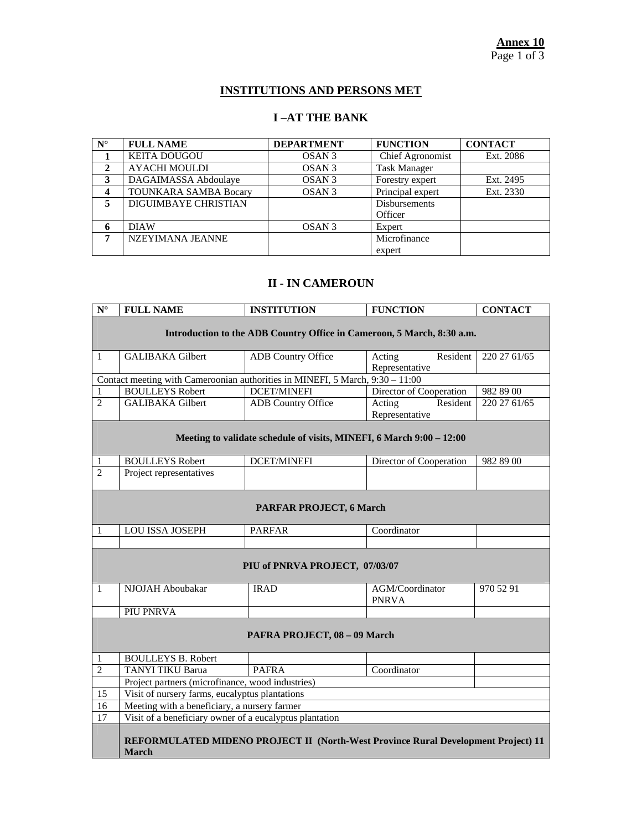## **INSTITUTIONS AND PERSONS MET**

## **I –AT THE BANK**

| $N^{\circ}$ | <b>FULL NAME</b>             | <b>DEPARTMENT</b> | <b>FUNCTION</b>      | <b>CONTACT</b> |
|-------------|------------------------------|-------------------|----------------------|----------------|
|             | <b>KEITA DOUGOU</b>          | OSAN <sub>3</sub> | Chief Agronomist     | Ext. 2086      |
|             | <b>AYACHI MOULDI</b>         | OSAN <sub>3</sub> | <b>Task Manager</b>  |                |
| 3           | DAGAIMASSA Abdoulaye         | OSAN <sub>3</sub> | Forestry expert      | Ext. 2495      |
| 4           | <b>TOUNKARA SAMBA Bocary</b> | OSAN <sub>3</sub> | Principal expert     | Ext. 2330      |
|             | <b>DIGUIMBAYE CHRISTIAN</b>  |                   | <b>Disbursements</b> |                |
|             |                              |                   | Officer              |                |
| 6           | <b>DIAW</b>                  | OSAN <sub>3</sub> | Expert               |                |
| 7           | NZEYIMANA JEANNE             |                   | Microfinance         |                |
|             |                              |                   | expert               |                |

## **II - IN CAMEROUN**

| $\overline{\mathbf{N}^{\circ}}$                                        | <b>FULL NAME</b>                                                                                     | <b>INSTITUTION</b>                                                   | <b>FUNCTION</b>                      | <b>CONTACT</b> |  |  |
|------------------------------------------------------------------------|------------------------------------------------------------------------------------------------------|----------------------------------------------------------------------|--------------------------------------|----------------|--|--|
| Introduction to the ADB Country Office in Cameroon, 5 March, 8:30 a.m. |                                                                                                      |                                                                      |                                      |                |  |  |
|                                                                        |                                                                                                      |                                                                      |                                      |                |  |  |
| $\mathbf{1}$                                                           | <b>GALIBAKA</b> Gilbert                                                                              | <b>ADB</b> Country Office                                            | Resident<br>Acting                   | 220 27 61/65   |  |  |
|                                                                        |                                                                                                      |                                                                      | Representative                       |                |  |  |
|                                                                        | Contact meeting with Cameroonian authorities in MINEFI, $5 \overline{\text{March}}$ , $9:30 - 11:00$ |                                                                      |                                      |                |  |  |
| $\mathbf{1}$                                                           | <b>BOULLEYS Robert</b>                                                                               | <b>DCET/MINEFI</b>                                                   | Director of Cooperation              | 982 89 00      |  |  |
| $\overline{2}$                                                         | <b>GALIBAKA</b> Gilbert                                                                              | <b>ADB</b> Country Office                                            | Resident<br>Acting<br>Representative | 220 27 61/65   |  |  |
|                                                                        |                                                                                                      |                                                                      |                                      |                |  |  |
|                                                                        |                                                                                                      | Meeting to validate schedule of visits, MINEFI, 6 March 9:00 - 12:00 |                                      |                |  |  |
|                                                                        |                                                                                                      |                                                                      |                                      |                |  |  |
| 1                                                                      | <b>BOULLEYS Robert</b>                                                                               | <b>DCET/MINEFI</b>                                                   | Director of Cooperation              | 982 89 00      |  |  |
| $\overline{2}$                                                         | Project representatives                                                                              |                                                                      |                                      |                |  |  |
|                                                                        |                                                                                                      |                                                                      |                                      |                |  |  |
|                                                                        |                                                                                                      | <b>PARFAR PROJECT, 6 March</b>                                       |                                      |                |  |  |
|                                                                        |                                                                                                      |                                                                      |                                      |                |  |  |
| 1                                                                      | <b>LOU ISSA JOSEPH</b>                                                                               | <b>PARFAR</b>                                                        | Coordinator                          |                |  |  |
|                                                                        |                                                                                                      |                                                                      |                                      |                |  |  |
|                                                                        |                                                                                                      | PIU of PNRVA PROJECT, 07/03/07                                       |                                      |                |  |  |
|                                                                        |                                                                                                      |                                                                      |                                      |                |  |  |
| $\mathbf{1}$                                                           | NJOJAH Aboubakar                                                                                     | <b>IRAD</b>                                                          | AGM/Coordinator                      | 970 52 91      |  |  |
|                                                                        |                                                                                                      |                                                                      | <b>PNRVA</b>                         |                |  |  |
|                                                                        | PIU PNRVA                                                                                            |                                                                      |                                      |                |  |  |
|                                                                        |                                                                                                      |                                                                      |                                      |                |  |  |
|                                                                        |                                                                                                      | PAFRA PROJECT, 08 - 09 March                                         |                                      |                |  |  |
|                                                                        |                                                                                                      |                                                                      |                                      |                |  |  |
| 1                                                                      | <b>BOULLEYS B. Robert</b>                                                                            |                                                                      |                                      |                |  |  |
| $\overline{2}$                                                         | <b>TANYI TIKU Barua</b>                                                                              | <b>PAFRA</b>                                                         | Coordinator                          |                |  |  |
|                                                                        | Project partners (microfinance, wood industries)                                                     |                                                                      |                                      |                |  |  |
| 15                                                                     | Visit of nursery farms, eucalyptus plantations                                                       |                                                                      |                                      |                |  |  |
| 16                                                                     | Meeting with a beneficiary, a nursery farmer                                                         |                                                                      |                                      |                |  |  |
| $\overline{17}$                                                        | Visit of a beneficiary owner of a eucalyptus plantation                                              |                                                                      |                                      |                |  |  |
|                                                                        |                                                                                                      |                                                                      |                                      |                |  |  |
|                                                                        | REFORMULATED MIDENO PROJECT II (North-West Province Rural Development Project) 11                    |                                                                      |                                      |                |  |  |
|                                                                        | <b>March</b>                                                                                         |                                                                      |                                      |                |  |  |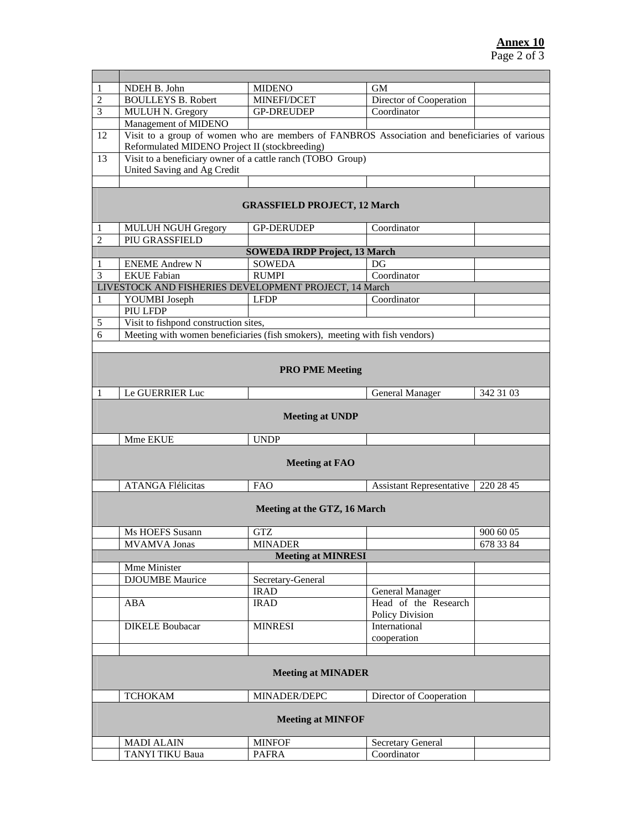| 1                                   | NDEH B. John                                                                                                                                    | <b>MIDENO</b>                        | GМ                              |           |  |
|-------------------------------------|-------------------------------------------------------------------------------------------------------------------------------------------------|--------------------------------------|---------------------------------|-----------|--|
| $\overline{2}$                      | <b>BOULLEYS B. Robert</b>                                                                                                                       | MINEFI/DCET                          | Director of Cooperation         |           |  |
| 3                                   | <b>MULUH N. Gregory</b>                                                                                                                         | <b>GP-DREUDEP</b>                    | Coordinator                     |           |  |
|                                     | Management of MIDENO                                                                                                                            |                                      |                                 |           |  |
| 12                                  | Visit to a group of women who are members of FANBROS Association and beneficiaries of various<br>Reformulated MIDENO Project II (stockbreeding) |                                      |                                 |           |  |
|                                     |                                                                                                                                                 |                                      |                                 |           |  |
| 13                                  | Visit to a beneficiary owner of a cattle ranch (TOBO Group)<br>United Saving and Ag Credit                                                      |                                      |                                 |           |  |
|                                     |                                                                                                                                                 |                                      |                                 |           |  |
|                                     |                                                                                                                                                 |                                      |                                 |           |  |
| <b>GRASSFIELD PROJECT, 12 March</b> |                                                                                                                                                 |                                      |                                 |           |  |
| 1                                   | <b>MULUH NGUH Gregory</b>                                                                                                                       | <b>GP-DERUDEP</b>                    | Coordinator                     |           |  |
| $\overline{2}$                      | PIU GRASSFIELD                                                                                                                                  |                                      |                                 |           |  |
|                                     |                                                                                                                                                 | <b>SOWEDA IRDP Project, 13 March</b> |                                 |           |  |
| 1                                   | <b>ENEME Andrew N</b>                                                                                                                           | <b>SOWEDA</b>                        | DG                              |           |  |
| 3                                   | <b>EKUE</b> Fabian                                                                                                                              | <b>RUMPI</b>                         | Coordinator                     |           |  |
|                                     | LIVESTOCK AND FISHERIES DEVELOPMENT PROJECT, 14 March                                                                                           |                                      |                                 |           |  |
| 1                                   | YOUMBI Joseph                                                                                                                                   | <b>LFDP</b>                          | Coordinator                     |           |  |
|                                     | PIU LFDP                                                                                                                                        |                                      |                                 |           |  |
| 5                                   | Visit to fishpond construction sites,                                                                                                           |                                      |                                 |           |  |
| 6                                   | Meeting with women beneficiaries (fish smokers), meeting with fish vendors)                                                                     |                                      |                                 |           |  |
|                                     |                                                                                                                                                 |                                      |                                 |           |  |
|                                     |                                                                                                                                                 |                                      |                                 |           |  |
|                                     |                                                                                                                                                 |                                      |                                 |           |  |
|                                     |                                                                                                                                                 | <b>PRO PME Meeting</b>               |                                 |           |  |
|                                     |                                                                                                                                                 |                                      |                                 |           |  |
| 1                                   | Le GUERRIER Luc                                                                                                                                 |                                      | <b>General Manager</b>          | 342 31 03 |  |
|                                     |                                                                                                                                                 | <b>Meeting at UNDP</b>               |                                 |           |  |
|                                     | <b>Mme EKUE</b>                                                                                                                                 | <b>UNDP</b>                          |                                 |           |  |
|                                     |                                                                                                                                                 | <b>Meeting at FAO</b>                |                                 |           |  |
|                                     |                                                                                                                                                 |                                      |                                 |           |  |
|                                     | <b>ATANGA Flélicitas</b>                                                                                                                        | FAO                                  | <b>Assistant Representative</b> | 220 28 45 |  |
|                                     |                                                                                                                                                 |                                      |                                 |           |  |
|                                     |                                                                                                                                                 | Meeting at the GTZ, 16 March         |                                 |           |  |
|                                     |                                                                                                                                                 |                                      |                                 |           |  |
|                                     | Ms HOEFS Susann                                                                                                                                 | <b>GTZ</b>                           |                                 | 900 60 05 |  |
|                                     | <b>MVAMVA Jonas</b>                                                                                                                             | <b>MINADER</b>                       |                                 | 678 33 84 |  |
|                                     |                                                                                                                                                 | <b>Meeting at MINRESI</b>            |                                 |           |  |
|                                     | Mme Minister                                                                                                                                    |                                      |                                 |           |  |
|                                     | <b>DJOUMBE</b> Maurice                                                                                                                          | Secretary-General                    |                                 |           |  |
|                                     |                                                                                                                                                 | <b>IRAD</b>                          | <b>General Manager</b>          |           |  |
|                                     | ABA                                                                                                                                             | <b>IRAD</b>                          | Head of the Research            |           |  |
|                                     |                                                                                                                                                 |                                      | Policy Division                 |           |  |
|                                     | <b>DIKELE Boubacar</b>                                                                                                                          | <b>MINRESI</b>                       | International                   |           |  |
|                                     |                                                                                                                                                 |                                      | cooperation                     |           |  |
|                                     |                                                                                                                                                 |                                      |                                 |           |  |
|                                     | <b>Meeting at MINADER</b>                                                                                                                       |                                      |                                 |           |  |
|                                     | <b>TCHOKAM</b>                                                                                                                                  | MINADER/DEPC                         | Director of Cooperation         |           |  |
|                                     |                                                                                                                                                 |                                      |                                 |           |  |
| <b>Meeting at MINFOF</b>            |                                                                                                                                                 |                                      |                                 |           |  |
|                                     | <b>MADI ALAIN</b>                                                                                                                               | <b>MINFOF</b>                        | Secretary General               |           |  |
|                                     | <b>TANYI TIKU Baua</b>                                                                                                                          | <b>PAFRA</b>                         | Coordinator                     |           |  |